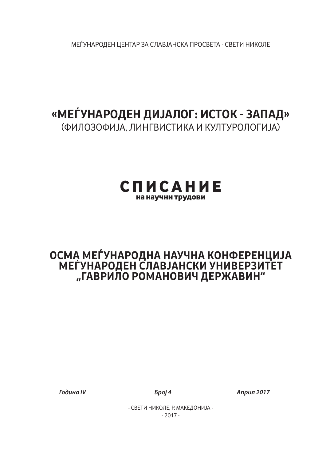МЕЃУНАРОДЕН ЦЕНТАР ЗА СЛАВЈАНСКА ПРОСВЕТА - СВЕТИ НИКОЛЕ

## **«МЕЃУНАРОДЕН ДИЈАЛОГ: ИСТОК - ЗАПАД»** (ФИЛОЗОФИЈА, ЛИНГВИСТИКА И КУЛТУРОЛОГИЈА)

С П И С А Н И Е на научни трудови

## **ОСМА МЕЃУНАРОДНА НАУЧНА КОНФЕРЕНЦИЈА МЕЃУНАРОДЕН СЛАВЈАНСКИ УНИВЕРЗИТЕТ "ГАВРИЛО РОМАНОВИЧ ДЕРЖАВИН"**

*Година IV Број 4 Април 2017*

- СВЕТИ НИКОЛЕ, Р. МАКЕДОНИЈА -  $-2017 -$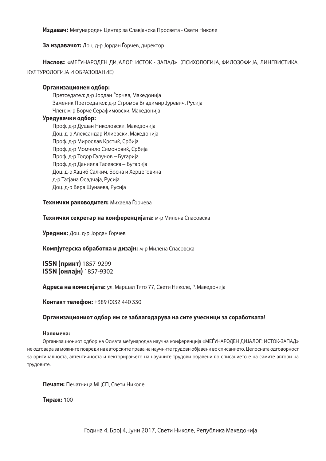**Издавач:** Меѓународен Центар за Славјанска Просвета - Свети Николе

**За издавачот:** Доц. д-р Јордан Ѓорчев, директор

**Наслов:** «МЕЃУНАРОДЕН ДИЈАЛОГ: ИСТОК - ЗАПАД» (ПСИХОЛОГИЈА, ФИЛОЗОФИЈА, ЛИНГВИСТИКА, КУЛТУРОЛОГИЈА И ОБРАЗОВАНИЕ)

#### **Организационен одбор:**

Претседател: д-р Јордан Ѓорчев, Македонија Заменик Претседател: д-р Стромов Владимир Јуревич, Русија Член: м-р Борче Серафимовски, Македонија

#### **Уредувачки одбор:**

Проф. д-р Душан Николовски, Македонија Доц. д-р Александар Илиевски, Македонија Проф. д-р Мирослав Крстиќ, Србија Проф. д-р Момчило Симоновиќ, Србија Проф. д-р Тодор Галунов – Бугарија Проф. д-р Даниела Тасевска – Бугарија Доц. д-р Хаџиб Салкич, Босна и Херцеговина д-р Татјана Осадчаја, Русија Доц. д-р Вера Шунаева, Русија

#### **Технички раководител:** Михаела Ѓорчева

#### **Технички секретар на конференцијата:** м-р Милена Спасовска

**Уредник:** Доц. д-р Јордан Ѓорчев

**Компјутерска обработка и дизајн:** м-р Милена Спасовска

**ISSN (принт)** 1857-9299 **ISSN (онлајн)** 1857-9302

**Адреса на комисијата:** ул. Маршал Тито 77, Свети Николе, Р. Македонија

**Контакт телефон:** +389 (0)32 440 330

#### **Организациониот одбор им се заблагодарува на сите учесници за соработката!**

#### **Напомена:**

Организациониот одбор на Осмата меѓународна научна конференција «МЕЃУНАРОДЕН ДИЈАЛОГ: ИСТОК-ЗАПАД» не одговара за можните повреди на авторските права на научните трудови објавени во списанието. Целосната одговорност за оригиналноста, автентичноста и лекторирањето на научните трудови објавени во списанието е на самите автори на трудовите.

**Печати:** Печатница МЦСП, Свети Николе

**Тираж:** 100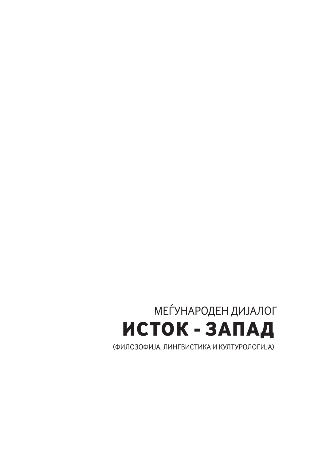# МЕЃУНАРОДЕН ДИЈАЛОГ ИСТОК - ЗАПАД

(ФИЛОЗОФИЈА, ЛИНГВИСТИКА И КУЛТУРОЛОГИЈА)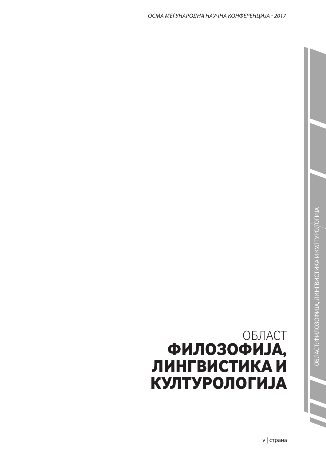## ОБЛАСТ ФИЛОЗОФИЈА, ЛИНГВИСТИКА И КУЛТУРОЛОГИЈА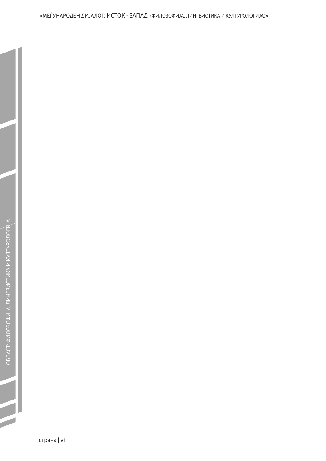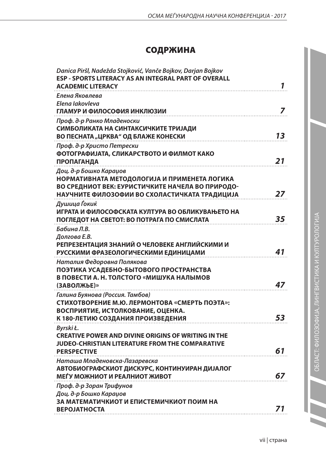## СОДРЖИНА

| Danica Piršl, Nadežda Stojković, Vanče Bojkov, Darjan Bojkov<br><b>ESP - SPORTS LITERACY AS AN INTEGRAL PART OF OVERALL</b><br><b>ACADEMIC LITERACY</b>                     | 1  |
|-----------------------------------------------------------------------------------------------------------------------------------------------------------------------------|----|
| Елена Яковлева<br>Elena lakovleva<br>ГЛАМУР И ФИЛОСОФИЯ ИНКЛЮЗИИ                                                                                                            | 7  |
| Проф. д-р Ранко Младеноски<br>СИМБОЛИКАТА НА СИНТАКСИЧКИТЕ ТРИЈАДИ<br>ВО ПЕСНАТА "ЦРКВА" ОД БЛАЖЕ КОНЕСКИ                                                                   | 13 |
| Проф. д-р Христо Петрески<br>ФОТОГРАФИЈАТА, СЛИКАРСТВОТО И ФИЛМОТ КАКО<br><b>ПРОПАГАНДА</b>                                                                                 | 21 |
| Доц. д-р Бошко Караџов<br>НОРМАТИВНАТА МЕТОДОЛОГИЈА И ПРИМЕНЕТА ЛОГИКА<br>ВО СРЕДНИОТ ВЕК: ЕУРИСТИЧКИТЕ НАЧЕЛА ВО ПРИРОДО-<br>НАУЧНИТЕ ФИЛОЗОФИИ ВО СХОЛАСТИЧКАТА ТРАДИЦИЈА | 27 |
| Душица Ѓокиќ<br>ИГРАТА И ФИЛОСОФСКАТА КУЛТУРА ВО ОБЛИКУВАЊЕТО НА<br>ПОГЛЕДОТ НА СВЕТОТ: ВО ПОТРАГА ПО СМИСЛАТА                                                              | 35 |
| Бабина Л.В.<br>Долгова Е.В.<br>РЕПРЕЗЕНТАЦИЯ ЗНАНИЙ О ЧЕЛОВЕКЕ АНГЛИЙСКИМИ И<br>РУССКИМИ ФРАЗЕОЛОГИЧЕСКИМИ ЕДИНИЦАМИ                                                        | 41 |
| Наталия Федоровна Полякова<br>ПОЭТИКА УСАДЕБНО-БЫТОВОГО ПРОСТРАНСТВА<br>В ПОВЕСТИ А. Н. ТОЛСТОГО «МИШУКА НАЛЫМОВ<br>(ЗАВОЛЖЬЕ)»                                             | 47 |
| Галина Буянова (Россия. Тамбов)<br>СТИХОТВОРЕНИЕ М.Ю. ЛЕРМОНТОВА «СМЕРТЬ ПОЭТА»:<br>ВОСПРИЯТИЕ, ИСТОЛКОВАНИЕ, ОЦЕНКА<br>К 180-ЛЕТИЮ СОЗДАНИЯ ПРОИЗВЕДЕНИЯ                   | 53 |
| Byrski Ł.<br><b>CREATIVE POWER AND DIVINE ORIGINS OF WRITING IN THE</b><br><b>JUDEO-CHRISTIAN LITERATURE FROM THE COMPARATIVE</b><br><b>PERSPECTIVE</b>                     | 61 |
| Наташа Младеновска-Лазаревска<br>АВТОБИОГРАФСКИОТ ДИСКУРС, КОНТИНУИРАН ДИЈАЛОГ<br>МЕЃУ МОЖНИОТ И РЕАЛНИОТ ЖИВОТ                                                             | 67 |
| Проф. д-р Зоран Трифунов<br>Доц. д-р Бошко Караџов<br>ЗА МАТЕМАТИЧКИОТ И ЕПИСТЕМИЧКИОТ ПОИМ НА<br><b>BEPOJATHOCTA</b>                                                       | 71 |
|                                                                                                                                                                             |    |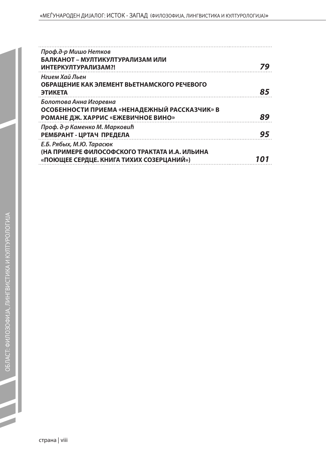| Проф.д-р Мишо Нетков<br>БАЛКАНОТ – МУЛТИКУЛТУРАЛИЗАМ ИЛИ<br>ИНТЕРКУЛТУРАЛИЗАМ?!                                       | 79 |
|-----------------------------------------------------------------------------------------------------------------------|----|
| Нгием Хай Льен<br>ОБРАЩЕНИЕ КАК ЭЛЕМЕНТ ВЬЕТНАМСКОГО РЕЧЕВОГО<br><b>ЭТИКЕТА</b>                                       | 85 |
| Болотова Анна Игоревна<br>ОСОБЕННОСТИ ПРИЕМА «НЕНАДЕЖНЫЙ РАССКАЗЧИК» В<br>РОМАНЕ ДЖ. ХАРРИС «ЕЖЕВИЧНОЕ ВИНО»          | 89 |
| Проф. д-р Каменко М. Марковић<br>РЕМБРАНТ - ЦРТАЧ ПРЕДЕЛА                                                             | 95 |
| Е.Б. Рябых, М.Ю. Тарасюк<br>(НА ПРИМЕРЕ ФИЛОСОФСКОГО ТРАКТАТА И.А. ИЛЬИНА<br>«ПОЮЩЕЕ СЕРДЦЕ. КНИГА ТИХИХ СОЗЕРЦАНИЙ») |    |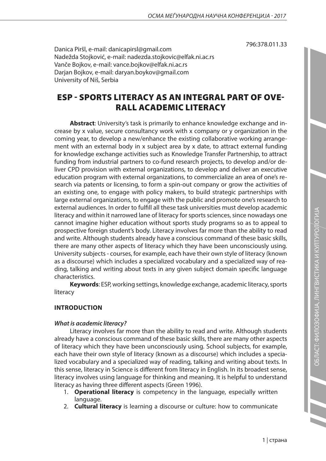796:378.011.33

Danica Piršl, e-mail: danicapirsl@gmail.com Nadežda Stojković, e-mail: nadezda.stojkovic@elfak.ni.ac.rs Vanče Bojkov, e-mail: vance.bojkov@elfak.ni.ac.rs Darjan Bojkov, e-mail: daryan.boykov@gmail.com University of Niš, Serbia

## ESP - SPORTS LITERACY AS AN INTEGRAL PART OF OVE-RALL ACADEMIC LITERACY

**Abstract**: University's task is primarily to enhance knowledge exchange and increase by x value, secure consultancy work with x company or y organization in the coming year, to develop a new/enhance the existing collaborative working arrangement with an external body in x subject area by x date, to attract external funding for knowledge exchange activities such as Knowledge Transfer Partnership, to attract funding from industrial partners to co-fund research projects, to develop and/or deliver CPD provision with external organizations, to develop and deliver an executive education program with external organizations, to commercialize an area of one's research via patents or licensing, to form a spin-out company or grow the activities of an existing one, to engage with policy makers, to build strategic partnerships with large external organizations, to engage with the public and promote one's research to external audiences. In order to fulfill all these task universities must develop academic literacy and within it narrowed lane of literacy for sports sciences, since nowadays one cannot imagine higher education without sports study programs so as to appeal to prospective foreign student's body. Literacy involves far more than the ability to read and write. Although students already have a conscious command of these basic skills, there are many other aspects of literacy which they have been unconsciously using. University subjects - courses, for example, each have their own style of literacy (known as a discourse) which includes a specialized vocabulary and a specialized way of reading, talking and writing about texts in any given subject domain specific language characteristics.

**Keywords**: ESP, working settings, knowledge exchange, academic literacy, sports literacy

#### **INTRODUCTION**

#### *What is academic literacy?*

Literacy involves far more than the ability to read and write. Although students already have a conscious command of these basic skills, there are many other aspects of literacy which they have been unconsciously using. School subjects, for example, each have their own style of literacy (known as a discourse) which includes a specialized vocabulary and a specialized way of reading, talking and writing about texts. In this sense, literacy in Science is different from literacy in English. In its broadest sense, literacy involves using language for thinking and meaning. It is helpful to understand literacy as having three different aspects (Green 1996).

- 1. **Operational literacy** is competency in the language, especially written language.
- 2. **Cultural literacy** is learning a discourse or culture: how to communicate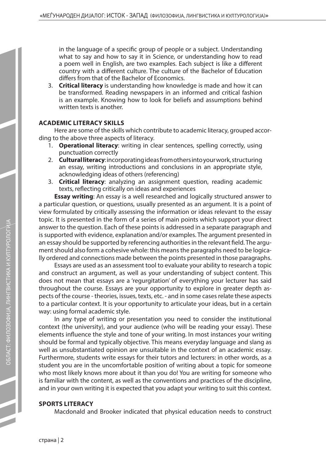in the language of a specific group of people or a subject. Understanding what to say and how to say it in Science, or understanding how to read a poem well in English, are two examples. Each subject is like a different country with a different culture. The culture of the Bachelor of Education differs from that of the Bachelor of Economics.

3. **Critical literacy** is understanding how knowledge is made and how it can be transformed. Reading newspapers in an informed and critical fashion is an example. Knowing how to look for beliefs and assumptions behind written texts is another.

#### **ACADEMIC LITERACY SKILLS**

Here are some of the skills which contribute to academic literacy, grouped according to the above three aspects of literacy.

- 1. **Operational literacy**: writing in clear sentences, spelling correctly, using punctuation correctly
- 2. **Cultural literacy**: incorporating ideas from others into your work, structuring an essay, writing introductions and conclusions in an appropriate style, acknowledging ideas of others (referencing)
- 3. **Critical literacy**: analyzing an assignment question, reading academic texts, reflecting critically on ideas and experiences

**Essay writing**: An essay is a well researched and logically structured answer to a particular question, or questions, usually presented as an argument. It is a point of view formulated by critically assessing the information or ideas relevant to the essay topic. It is presented in the form of a series of main points which support your direct answer to the question. Each of these points is addressed in a separate paragraph and is supported with evidence, explanation and/or examples. The argument presented in an essay should be supported by referencing authorities in the relevant field. The argument should also form a cohesive whole: this means the paragraphs need to be logically ordered and connections made between the points presented in those paragraphs.

Essays are used as an assessment tool to evaluate your ability to research a topic and construct an argument, as well as your understanding of subject content. This does not mean that essays are a 'regurgitation' of everything your lecturer has said throughout the course. Essays are your opportunity to explore in greater depth aspects of the course - theories, issues, texts, etc. - and in some cases relate these aspects to a particular context. It is your opportunity to articulate your ideas, but in a certain way: using formal academic style.

In any type of writing or presentation you need to consider the institutional context (the university), and your audience (who will be reading your essay). These elements influence the style and tone of your writing. In most instances your writing should be formal and typically objective. This means everyday language and slang as well as unsubstantiated opinion are unsuitable in the context of an academic essay. Furthermore, students write essays for their tutors and lecturers: in other words, as a student you are in the uncomfortable position of writing about a topic for someone who most likely knows more about it than you do! You are writing for someone who is familiar with the content, as well as the conventions and practices of the discipline, and in your own writing it is expected that you adapt your writing to suit this context.

#### **SPORTS LITERACY**

Macdonald and Brooker indicated that physical education needs to construct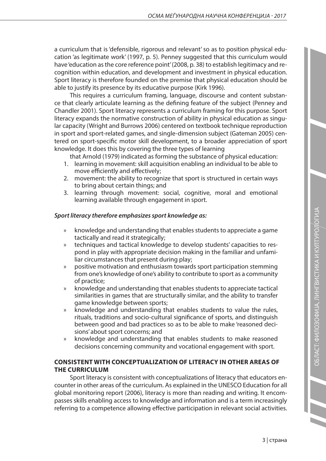a curriculum that is 'defensible, rigorous and relevant' so as to position physical education 'as legitimate work' (1997, p. 5). Penney suggested that this curriculum would have 'education as the core reference point' (2008, p. 38) to establish legitimacy and recognition within education, and development and investment in physical education. Sport literacy is therefore founded on the premise that physical education should be able to justify its presence by its educative purpose (Kirk 1996).

This requires a curriculum framing, language, discourse and content substance that clearly articulate learning as the defining feature of the subject (Penney and Chandler 2001). Sport literacy represents a curriculum framing for this purpose. Sport literacy expands the normative construction of ability in physical education as singular capacity (Wright and Burrows 2006) centered on textbook technique reproduction in sport and sport-related games, and single-dimension subject (Gateman 2005) centered on sport-specific motor skill development, to a broader appreciation of sport knowledge. It does this by covering the three types of learning

that Arnold (1979) indicated as forming the substance of physical education:

- 1. learning in movement: skill acquisition enabling an individual to be able to move efficiently and effectively;
- 2. movement: the ability to recognize that sport is structured in certain ways to bring about certain things; and
- 3. learning through movement: social, cognitive, moral and emotional learning available through engagement in sport.

#### *Sport literacy therefore emphasizes sport knowledge as:*

- » knowledge and understanding that enables students to appreciate a game tactically and read it strategically;
- » techniques and tactical knowledge to develop students' capacities to respond in play with appropriate decision making in the familiar and unfamiliar circumstances that present during play;
- » positive motivation and enthusiasm towards sport participation stemming from one's knowledge of one's ability to contribute to sport as a community of practice;
- » knowledge and understanding that enables students to appreciate tactical similarities in games that are structurally similar, and the ability to transfer game knowledge between sports;
- » knowledge and understanding that enables students to value the rules, rituals, traditions and socio-cultural significance of sports, and distinguish between good and bad practices so as to be able to make 'reasoned decisions' about sport concerns; and
- » knowledge and understanding that enables students to make reasoned decisions concerning community and vocational engagement with sport.

#### **CONSISTENT WITH CONCEPTUALIZATION OF LITERACY IN OTHER AREAS OF THE CURRICULUM**

Sport literacy is consistent with conceptualizations of literacy that educators encounter in other areas of the curriculum. As explained in the UNESCO Education for all global monitoring report (2006), literacy is more than reading and writing. It encompasses skills enabling access to knowledge and information and is a term increasingly referring to a competence allowing effective participation in relevant social activities.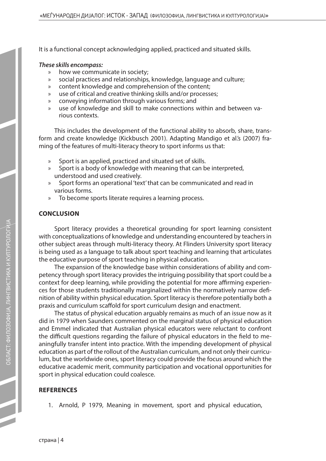It is a functional concept acknowledging applied, practiced and situated skills.

#### *These skills encompass:*

- » how we communicate in society;
- » social practices and relationships, knowledge, language and culture;
- » content knowledge and comprehension of the content;
- » use of critical and creative thinking skills and/or processes;
- » conveying information through various forms; and
- » use of knowledge and skill to make connections within and between various contexts.

This includes the development of the functional ability to absorb, share, transform and create knowledge (Kickbusch 2001). Adapting Mandigo et al.'s (2007) framing of the features of multi-literacy theory to sport informs us that:

- » Sport is an applied, practiced and situated set of skills.
- » Sport is a body of knowledge with meaning that can be interpreted, understood and used creatively.
- » Sport forms an operational 'text' that can be communicated and read in various forms.
- » To become sports literate requires a learning process.

#### **CONCLUSION**

Sport literacy provides a theoretical grounding for sport learning consistent with conceptualizations of knowledge and understanding encountered by teachers in other subject areas through multi-literacy theory. At Flinders University sport literacy is being used as a language to talk about sport teaching and learning that articulates the educative purpose of sport teaching in physical education.

The expansion of the knowledge base within considerations of ability and competency through sport literacy provides the intriguing possibility that sport could be a context for deep learning, while providing the potential for more affirming experiences for those students traditionally marginalized within the normatively narrow definition of ability within physical education. Sport literacy is therefore potentially both a praxis and curriculum scaffold for sport curriculum design and enactment.

The status of physical education arguably remains as much of an issue now as it did in 1979 when Saunders commented on the marginal status of physical education and Emmel indicated that Australian physical educators were reluctant to confront the difficult questions regarding the failure of physical educators in the field to meaningfully transfer intent into practice. With the impending development of physical education as part of the rollout of the Australian curriculum, and not only their curriculum, but the worldwide ones, sport literacy could provide the focus around which the educative academic merit, community participation and vocational opportunities for sport in physical education could coalesce.

#### **REFERENCES**

1. Arnold, P 1979, Meaning in movement, sport and physical education,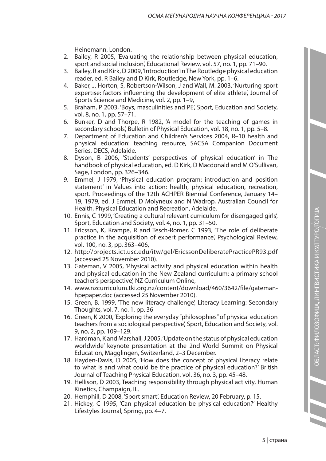Heinemann, London.

- 2. Bailey, R 2005, 'Evaluating the relationship between physical education, sport and social inclusion', Educational Review, vol. 57, no. 1, pp. 71–90.
- 3. Bailey, R and Kirk, D 2009, 'Introduction' in The Routledge physical education reader, ed. R Bailey and D Kirk, Routledge, New York, pp. 1–6.
- 4. Baker, J, Horton, S, Robertson-Wilson, J and Wall, M. 2003, 'Nurturing sport expertise: factors influencing the development of elite athlete', Journal of Sports Science and Medicine, vol. 2, pp. 1–9,
- 5. Braham, P 2003, 'Boys, masculinities and PE', Sport, Education and Society, vol. 8, no. 1, pp. 57–71.
- 6. Bunker, D and Thorpe, R 1982, 'A model for the teaching of games in secondary schools', Bulletin of Physical Education, vol. 18, no. 1, pp. 5–8.
- 7. Department of Education and Children's Services 2004, R–10 health and physical education: teaching resource, SACSA Companion Document Series, DECS, Adelaide.
- 8. Dyson, B 2006, 'Students' perspectives of physical education' in The handbook of physical education, ed. D Kirk, D Macdonald and M O'Sullivan, Sage, London, pp. 326–346.
- 9. Emmel, J 1979, 'Physical education program: introduction and position statement' in Values into action: health, physical education, recreation, sport. Proceedings of the 12th ACHPER Biennial Conference, January 14– 19, 1979, ed. J Emmel, D Molyneux and N Wadrop, Australian Council for Health, Physical Education and Recreation, Adelaide.
- 10. Ennis, C 1999, 'Creating a cultural relevant curriculum for disengaged girls', Sport, Education and Society, vol. 4, no. 1, pp. 31–50.
- 11. Ericsson, K, Krampe, R and Tesch-Romer, C 1993, 'The role of deliberate practice in the acquisition of expert performance', Psychological Review, vol. 100, no. 3, pp. 363–406,
- 12. http://projects.ict.usc.edu/itw/gel/EricssonDeliberatePracticePR93.pdf (accessed 25 November 2010).
- 13. Gateman, V 2005, 'Physical activity and physical education within health and physical education in the New Zealand curriculum: a primary school teacher's perspective', NZ Curriculum Online,
- 14. www.nzcurriculum.tki.org.nz/content/download/460/3642/file/gatemanhpepaper.doc (accessed 25 November 2010).
- 15. Green, B. 1999, 'The new literacy challenge', Literacy Learning: Secondary Thoughts, vol. 7, no. 1, pp. 36
- 16. Green, K 2000, 'Exploring the everyday "philosophies" of physical education teachers from a sociological perspective', Sport, Education and Society, vol. 9, no, 2, pp. 109–129.
- 17. Hardman, K and Marshall, J 2005, 'Update on the status of physical education worldwide' keynote presentation at the 2nd World Summit on Physical Education, Magglingen, Switzerland, 2–3 December.
- 18. Hayden-Davis, D 2005, 'How does the concept of physical literacy relate to what is and what could be the practice of physical education?' British Journal of Teaching Physical Education, vol. 36, no. 3, pp. 45–48.
- 19. Hellison, D 2003, Teaching responsibility through physical activity, Human Kinetics, Champaign, IL.
- 20. Hemphill, D 2008, 'Sport smart', Education Review, 20 February, p. 15.
- 21. Hickey, C 1995, 'Can physical education be physical education?' Healthy Lifestyles Journal, Spring, pp. 4–7.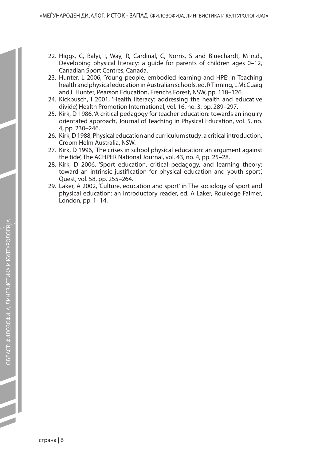- 22. Higgs, C, Balyi, I, Way, R, Cardinal, C, Norris, S and Bluechardt, M n.d., Developing physical literacy: a guide for parents of children ages 0–12, Canadian Sport Centres, Canada.
- 23. Hunter, L 2006, 'Young people, embodied learning and HPE' in Teaching health and physical education in Australian schools, ed. R Tinning, L McCuaig and L Hunter, Pearson Education, Frenchs Forest, NSW, pp. 118–126.
- 24. Kickbusch, I 2001, 'Health literacy: addressing the health and educative divide', Health Promotion International, vol. 16, no. 3, pp. 289–297.
- 25. Kirk, D 1986, 'A critical pedagogy for teacher education: towards an inquiry orientated approach', Journal of Teaching in Physical Education, vol. 5, no. 4, pp. 230–246.
- 26. Kirk, D 1988, Physical education and curriculum study: a critical introduction, Croom Helm Australia, NSW.
- 27. Kirk, D 1996, 'The crises in school physical education: an argument against the tide', The ACHPER National Journal, vol. 43, no. 4, pp. 25–28.
- 28. Kirk, D 2006, 'Sport education, critical pedagogy, and learning theory: toward an intrinsic justification for physical education and youth sport', Quest, vol. 58, pp. 255–264.
- 29. Laker, A 2002, 'Culture, education and sport' in The sociology of sport and physical education: an introductory reader, ed. A Laker, Rouledge Falmer, London, pp. 1–14.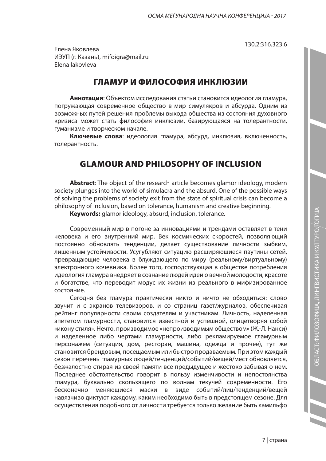130.2:316.323.6

Елена Яковлева ИЭУП (г. Казань), mifoigra@mail.ru Elena Iakovleva

## ГЛАМУР И ФИЛОСОФИЯ ИНКЛЮЗИИ

**Аннотация**: Объектом исследования статьи становится идеология гламура, погружающая современное общество в мир симулякров и абсурда. Одним из возможных путей решения проблемы выхода общества из состояния духовного кризиса может стать философия инклюзии, базирующаяся на толерантности, гуманизме и творческом начале.

**Ключевые слова**: идеология гламура, абсурд, инклюзия, включенность, толерантность.

## GLAMOUR AND PHILOSOPHY OF INCLUSION

**Abstract**: The object of the research article becomes glamor ideology, modern society plunges into the world of simulacra and the absurd. One of the possible ways of solving the problems of society exit from the state of spiritual crisis can become a philosophy of inclusion, based on tolerance, humanism and creative beginning.

**Keywords:** glamor ideology, absurd, inclusion, tolerance.

Современный мир в погоне за инновациями и трендами оставляет в тени человека и его внутренний мир. Век космических скоростей, позволяющий постоянно обновлять тенденции, делает существование личности зыбким, лишенным устойчивости. Усугубляют ситуацию расширяющиеся паутины сетей, превращающие человека в блуждающего по миру (реальному/виртуальному) электронного кочевника. Более того, господствующая в обществе потребления идеология гламура внедряет в сознание людей идеи о вечной молодости, красоте и богатстве, что переводит модус их жизни из реального в мифизированное состояние.

Сегодня без гламура практически никто и ничто не обходиться: слово звучит и с экранов телевизоров, и со страниц газет/журналов, обеспечивая рейтинг популярности своим создателям и участникам. Личность, наделенная эпитетом гламурности, становится известной и успешной, олицетворяя собой «икону стиля». Нечто, производимое «непроизводимым обществом» (Ж.-Л. Нанси) и наделенное либо чертами гламурности, либо рекламируемое гламурным персонажем (ситуация, дом, ресторан, машина, одежда и прочее), тут же становится брендовым, посещаемым или быстро продаваемым. При этом каждый сезон перечень гламурных людей/тенденций/событий/вещей/мест обновляется, безжалостно стирая из своей памяти все предыдущее и жестоко забывая о нем. Последнее обстоятельство говорит в пользу изменчивости и непостоянства гламура, буквально скользящего по волнам текучей современности. Его бесконечно меняющиеся маски в виде событий/лиц/тенденций/вещей навязчиво диктуют каждому, каким необходимо быть в предстоящем сезоне. Для осуществления подобного от личности требуется только желание быть камильфо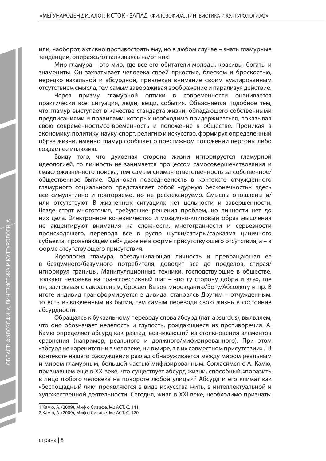или, наоборот, активно противостоять ему, но в любом случае – знать гламурные тенденции, опираясь/отталкиваясь на/от них.

Мир гламура – это мир, где все его обитатели молоды, красивы, богаты и знамениты. Он захватывает человека своей яркостью, блеском и броскостью, нередко нахальной и абсурдной, привлекая внимание своим вуалированным отсутствием смысла, тем самым завораживая воображение и парализуя действие.

Через призму гламурной оптики в современности оценивается практически все: ситуация, люди, вещи, события. Объясняется подобное тем, что гламур выступает в качестве стандарта жизни, обладающего собственными предписаниями и правилами, которых необходимо придерживаться, показывая свою современность/со-временность и положение в обществе. Проникая в экономику, политику, науку, спорт, религию и искусство, формируя определенный образ жизни, именно гламур сообщает о престижном положении персоны либо создает ее иллюзию.

Ввиду того, что духовная сторона жизни игнорируется гламурной идеологией, то личность не занимается процессом самосовершенствования и смысложизненного поиска, тем самым снимая ответственность за собственное/ общественное бытие. Одинокая повседневность в контексте отчужденного гламурного социального представляет собой «дурную бесконечность»: здесь все симулятивно и повторяемо, но не рефлексируемо. Смыслы опошлены и/ или отсутствуют. В жизненных ситуациях нет цельности и завершенности. Везде стоят многоточия, требующие решения проблем, но личности нет до них дела. Электронное кочевничество и мозаично-клиповый образ мышления не акцентируют внимания на сложности, многогранности и серьезности происходящего, переводя все в русло шутки/сатиры/сарказма циничного субъекта, проявляющем себя даже не в форме присутствующего отсутствия, а – в форме отсутствующего присутствия.

Идеология гламура, обездушивающая личность и превращающая ее в бездумного/безумного потребителя, доводит все до пределов, стирая/ игнорируя границы. Манипуляционные техники, господствующие в обществе, толкают человека на трансгрессивный шаг – «по ту сторону добра и зла», где он, заигрывая с сакральным, бросает Вызов мирозданию/Богу/Абсолюту и пр. В итоге индивид трансформируется в дивида, становясь Другим – отчужденным, то есть выключенным из бытия, тем самым переводя свою жизнь в состояние абсурдности.

Обращаясь к буквальному переводу слова абсурд (лат. аbsurdus), выявляем, что оно обозначает нелепость и глупость, рождающиеся из противоречия. А. Камю определяет абсурд как разлад, возникающий из столкновения элементов сравнения (например, реального и должного/мифизированного). При этом «абсурд не коренится ни в человеке, ни в мире, а в их совместном присутствии».  ${}^{1}$ В контексте нашего рассуждения разлад обнаруживается между миром реальным и миром гламурным, большей частью мифизированным. Согласимся с А. Камю, признавшем еще в ХХ веке, что существует абсурд жизни, способный «поразить в лицо любого человека на повороте любой улицы».<sup>2</sup> Абсурд и его климат как «беспощадный лик» проявляются в виде искусства жить, в интеллектуальной и художественной деятельности. Сегодня, живя в ХХI веке, необходимо признать:

<sup>1</sup> Камю, А. (2009), Миф о Сизифе. М.: АСТ. С. 141.

<sup>2</sup> Камю, А. (2009), Миф о Сизифе. М.: АСТ. С. 120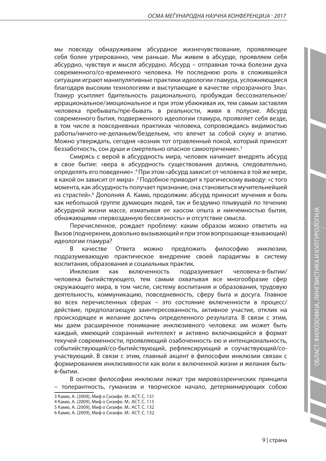мы повсюду обнаруживаем абсурдное жизнечувствование, проявляющее себя более утрированно, чем раньше. Мы живем в абсурде, проявляем себя абсурдно, чувствуя и мысля абсурдно. Абсурд – отправная точка болезни духа современного/со-временного человека. Не последнюю роль в сложившейся ситуации играют манипулятивные практики идеологии гламура, усложняющиеся благодаря высоким технологиям и выступающие в качестве «прозрачного Зла». Гламур усыпляет бдительность рационального, пробуждая бессознательное/ иррациональное/эмоциональное и при этом убаюкивая их, тем самым заставляя человека пребывать/пре-бывать в реальности, живя в полусне. Абсурд современного бытия, подверженного идеологии гламура, проявляет себя везде, в том числе в повседневных практиках человека, сопровождаясь видимостью работы/ничего-не-деланьем/бездельем, что влечет за собой скуку и апатию. Можно утверждать, сегодня «возник тот отравленный покой, который приносят беззаботность, сон души и смертельно опасное самоотречение».3

Смирясь с верой в абсурдность мира, человек начинает внедрять абсурд в свое бытие: «вера в абсурдность существования должна, следовательно, определять его поведение» .4 При этом «абсурд зависит от человека в той же мере, в какой он зависит от мира» .<sup>5</sup> Подобное приводит к трагическому выводу: «с того момента, как абсурдность получает признание, она становиться мучительнейшей из страстей».<sup>6</sup> Дополняя А. Камю, продолжим: абсурд приносит мучения и боль как небольшой группе думающих людей, так и бездумно плывущей по течению абсурдной жизни массе, изматывая ее хаосом опыта и никчемностью бытия, обнажающими «первозданную бессвязность» и отсутствие смысла.

Перечисленное, рождает проблему: каким образом можно ответить на Вызов (подчеркнем, довольно вызывающий и при этом вопрошающе-взывающий) идеологии гламура?

В качестве Ответа можно предложить философию инклюзии, подразумевающую практическое внедрение своей парадигмы в систему воспитания, образования и социальных практик.

Инклюзия как включенность подразумевает человека-в-бытии/ человека бытийствующего, тем самым охватывая все многообразие сфер окружающего мира, в том числе, систему воспитания и образования, трудовую деятельность, коммуникацию, повседневность, сферу быта и досуга. Главное во всех перечисленных сферах – это состояние включенности в процесс/ действие, предполагающую заинтересованность, активное участие, отклик на происходящее и желание достичь определенного результата. В связи с этим, мы даем расширенное понимание инклюзивного человека: им может быть каждый, имеющий сохранный интеллект и активно включающийся в формат текучей современности, проявляющий озабоченность ею и интенциональность, событийствующий/со-бытийствующий, рефлексирующий и соучаствующий/соучаствующий. В связи с этим, главный акцент в философии инклюзии связан с формированием инклюзивности как воли к включенной жизни и желания бытьв-бытии.

В основе философии инклюзии лежат три мировоззренческих принципа – толерантность, гуманизм и творческое начало, детерминирующих собою

<sup>3</sup> Камю, А. (2009), Миф о Сизифе. М.: АСТ. С. 131

<sup>4</sup> Камю, А. (2009), Миф о Сизифе. М.: АСТ. С. 115

<sup>5</sup> Камю, А. (2009), Миф о Сизифе. М.: АСТ. С. 132

<sup>6</sup> Камю, А. (2009), Миф о Сизифе. М.: АСТ. С. 132.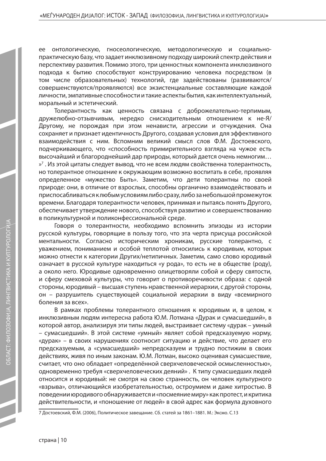ее онтологическую, гносеологическую, методологическую и социальнопрактическую базу, что задает инклюзивному подходу широкий спектр действия и перспективу развития. Помимо этого, три ценностных компонента инклюзивного подхода к бытию способствуют конструированию человека посредством (в том числе образовательных) технологий, где задействованы (развиваются/ совершенствуются/проявляются) все экзистенциальные составляющие каждой личности, эмпативные способности и такие аспекты бытия, как интеллектуальный, моральный и эстетический.

Толерантность как ценность связана с доброжелательно-терпимым, дружелюбно-отзывчивым, нередко снисходительным отношением к не-Я/ Другому, не порождая при этом ненависти, агрессии и отчуждения. Она сохраняет и признает идентичность Другого, создавая условия для эффективного взаимодействия с ним. Вспомним великий смысл слов Ф.М. Достоевского, подчеркивающего, что «способность примирительного взгляда на чужое есть высочайший и благороднейший дар природы, который дается очень немногим… »<sup>7</sup> . Из этой цитаты следует вывод, что не всем людям свойственна толерантность, но толерантное отношение к окружающим возможно воспитать в себе, проявляя определенное «мужество Быть». Заметим, что дети толерантны по своей природе: они, в отличие от взрослых, способны органично взаимодействовать и приспосабливаться к любым условиям либо сразу, либо за небольшой промежуток времени. Благодаря толерантности человек, принимая и пытаясь понять Другого, обеспечивает утверждение нового, способствуя развитию и совершенствованию в поликультурной и поликонфессиональной среде.

Говоря о толерантности, необходимо вспомнить эпизоды из истории русской культуры, говорящие в пользу того, что эта черта присуща российской ментальности. Согласно историческим хроникам, русские толерантно, с уважением, пониманием и особой теплотой относились к юродивым, которых можно отнести к категории Других/нетипичных. Заметим, само слово юродивый означает в русской культуре находиться «у рода», то есть не в обществе (роду), а около него. Юродивые одновременно олицетворяли собой и сферу святости, и сферу смеховой культуры, что говорит о противоречивости образа: с одной стороны, юродивый – высшая ступень нравственной иерархии, с другой стороны, он – разрушитель существующей социальной иерархии в виду «всемирного боления за всех».

В рамках проблемы толерантного отношения к юродивым и, в целом, к инклюзивным людям интересна работа Ю.М. Лотмана «Дурак и сумасшедший», в которой автор, анализируя эти типы людей, выстраивает систему «дурак – умный – сумасшедший». В этой системе «умный» являет собой предсказуемую норму, «дурак» – в своих нарушениях соотносит ситуацию и действие, что делает его предсказуемым, а «сумасшедший» непредсказуем и трудно постижим в своих действиях, живя по иным законам. Ю.М. Лотман, высоко оценивая сумасшествие, считает, что оно обладает «определённой сверхчеловеческой осмысленностью», одновременно требуя «сверхчеловеческих деяний» . К типу сумасшедших людей относится и юродивый: не смотря на свою странность, он человек культурного «взрыва», отличающийся изобретательностью, остроумием и даже хитростью. В поведении юродивого обнаруживается и «посмеяние миру» как протест, и критика действительности, и «поношение от людей» в свой адрес как формула духовного

7 Достоевский, Ф.М. (2006), Политическое завещание. Сб. статей за 1861–1881. М.: Эксмо. С.13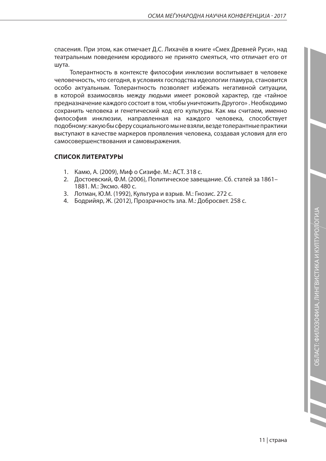спасения. При этом, как отмечает Д.С. Лихачёв в книге «Смех Древней Руси», над театральным поведением юродивого не принято смеяться, что отличает его от шута.

Толерантность в контексте философии инклюзии воспитывает в человеке человечность, что сегодня, в условиях господства идеологии гламура, становится особо актуальным. Толерантность позволяет избежать негативной ситуации, в которой взаимосвязь между людьми имеет роковой характер, где «тайное предназначение каждого состоит в том, чтобы уничтожить Другого» . Необходимо сохранить человека и генетический код его культуры. Как мы считаем, именно философия инклюзии, направленная на каждого человека, способствует подобному: какую бы сферу социального мы не взяли, везде толерантные практики выступают в качестве маркеров проявления человека, создавая условия для его самосовершенствования и самовыражения.

#### **СПИСОК ЛИТЕРАТУРЫ**

- 1. Камю, А. (2009), Миф о Сизифе. М.: АСТ. 318 с.
- 2. Достоевский, Ф.М. (2006), Политическое завещание. Сб. статей за 1861– 1881. М.: Эксмо. 480 с.
- 3. Лотман, Ю.М. (1992), Культура и взрыв. М.: Гнозис. 272 с.
- 4. Бодрийяр, Ж. (2012), Прозрачность зла. М.: Добросвет. 258 с.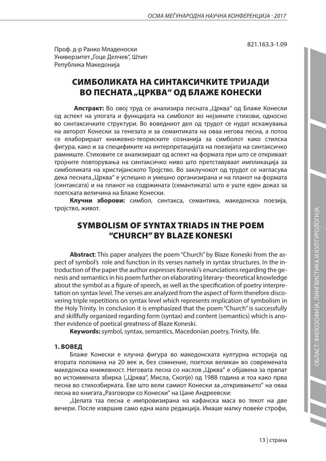821.163.3-1.09

Проф. д-р Ранко Младеноски Универзитет "Гоце Делчев", Штип Република Македонија

## СИМБОЛИКАТА НА СИНТАКСИЧКИТЕ ТРИЈАДИ ВО ПЕСНАТА "ЦРКВА" ОД БЛАЖЕ КОНЕСКИ

**Апстракт:** Во овој труд се анализира песната "Црква" од Блаже Конески од аспект на улогата и функцијата на симболот во нејзините стихови, односно во синтаксичките структури. Во воведниот дел од трудот се нудат искажувања на авторот Конески за генезата и за семантиката на оваа негова песна, а потоа се елаборираат книжевно-теориските сознанија за симболот како стилска фигура, како и за спецификите на интерпретацијата на поезијата на синтаксичко рамниште. Стиховите се анализираат од аспект на формата при што се откриваат тројните повторувања на синтаксичко ниво што претставуваат импликација за симболиката на христијанското Тројство. Во заклучокот од трудот се нагласува дека песната "Црква" е успешно и умешно организирана и на планот на формата (синтаксата) и на планот на содржината (семантиката) што е уште еден доказ за поетската величина на Блаже Конески.

**Клучни зборови:** симбол, синтакса, семантика, македонска поезија, тројство, живот.

## SYMBOLISM OF SYNTAX TRIADS IN THE POEM "CHURCH" BY BLAZE KONESKI

**Abstract**: This paper analyzes the poem "Church" by Blaze Koneski from the aspect of symbol's role and function in its verses namely in syntax structures. In the introduction of the paper the author expresses Koneski's enunciations regarding the genesis and semantics in his poem further on elaborating literary- theoretical knowledge about the symbol as a figure of speech, as well as the specification of poetry interpretation on syntax level. The verses are analyzed from the aspect of form therefore discovering triple repetitions on syntax level which represents implication of symbolism in the Holy Trinity. In conclusion it is emphasized that the poem "Church" is successfully and skillfully organized regarding form (syntax) and content (semantics) which is another evidence of poetical greatness of Blaze Koneski.

**Keywords:** symbol, syntax, semantics, Macedonian poetry, Trinity, life.

#### **1. ВОВЕД**

Блаже Конески е клучна фигура во македонската културна историја од втората половина на 20 век и, без сомнение, поетски великан во современата македонска книжевност. Неговата песна со наслов "Црква" е објавена за првпат во истоимената збирка ("Црква", Мисла, Скопје) од 1988 година и тоа како прва песна во стихозбирката. Еве што вели самиот Конески за "откривањето" на оваа песна во книгата "Разговори со Конески" на Цане Андреевски:

"Целата таа песна е импровизирана на кафанска маса во текот на две вечери. После извршив само една мала редакција. Имаше малку повеќе строфи,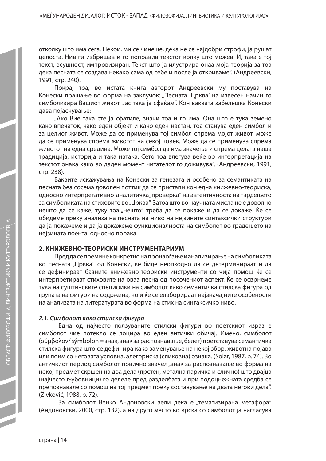отколку што има сега. Некои, ми се чинеше, дека не се најдобри строфи, ја рушат целоста. Нив ги избришав и го поправив текстот колку што можев. И, така е тој текст, всушност, импровизиран. Текст што ја илустрира онаа моја теорија за тоа дека песната се создава некако сама од себе и после ја откриваме". (Андреевски, 1991, стр. 240).

Покрај тоа, во истата книга авторот Андреевски му поставува на Конески прашање во форма на заклучок: "Песната 'Црква' на извесен начин го симболизира Вашиот живот. Јас така ја сфаќам". Кон ваквата забелешка Конески дава појаснување:

"Ако Вие така сте ја сфатиле, значи тоа и го има. Она што е тука земено како впечаток, како еден објект и како еден настан, тоа станува еден симбол и за целиот живот. Може да се применува тој симбол спрема мојот живот, може да се применува спрема животот на секој човек. Може да се применува спрема животот на една средина. Може тој симбол да има значење и спрема целата наша традиција, историја и така натака. Сето тоа влегува веќе во интерпретација на текстот онака како во даден момент читателот го доживува". (Андреевски, 1991, стр. 238).

Ваквите искажувања на Конески за генезата и особено за семантиката на песната беа сосема доволен поттик да се пристапи кон една книжевно-теориска, односно интерпретативно-аналитичка "проверка" на автентичноста на тврдењето за симболиката на стиховите во "Црква". Затоа што во научната мисла не е доволно нешто да се каже, туку тоа "нешто" треба да се покаже и да се докаже. Ќе се обидеме преку анализа на песната на ниво на нејзините синтаксички структури да ја покажеме и да ја докажеме функционалноста на симболот во градењето на нејзината поента, односно порака.

#### **2. КНИЖЕВНО-ТЕОРИСКИ ИНСТРУМЕНТАРИУМ**

Пред да се премине конкретно на пронаоѓање и анализирање на симболиката во песната "Црква" од Конески, ќе биде неопходно да се детерминираат и да се дефинираат базните книжевно-теориски инструменти со чија помош ќе се интерпретираат стиховите на оваа песна од посочениот аспект. Ќе се осврнеме тука на суштинските специфики на симболот како семантичка стилска фигура од групата на фигури на содржина, но и ќе се елаборираат најзначајните особености на анализата на литературата во форма на стих на синтаксичко ниво.

#### *2.1. Симболот како стилска фигура*

Една од најчесто ползуваните стилски фигури во поетскиот израз е симболот чие потекло се лоцира во еден антички обичај. Имено, симболот (σύμβολον/ sýmbolon = знак, знак за распознавање, белег) претставува семантичка стилска фигура што се дефинира како заменување на некој збор, животна појава или поим со неговата условна, алегориска (сликовна) ознака. (Solar, 1987, p. 74). Во античкиот период симболот првично значел "знак за распознавање во форма на некој предмет скршен на два дела (прстен, метална паричка и слично) што двајца (најчесто љубовници) го делеле пред разделбата и при подоцнежната средба се препознавале со помош на тој предмет преку составување на двата негови дела". (Živković, 1988, p. 72).

За симболот Венко Андоновски вели дека е "тематизирана метафора" (Андоновски, 2000, стр. 132), а на друго место во врска со симболот ја нагласува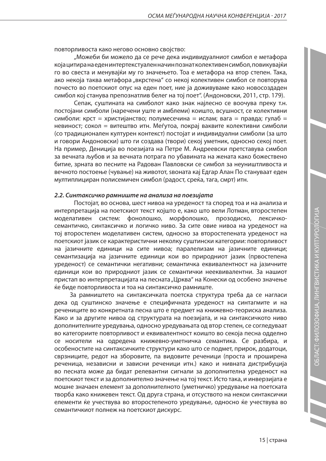повторливоста како негово основно својство:

"Можеби би можело да се рече дека индивидуалниот симбол е метафора која цитира на еден интертекстуален начин познат колективен симбол, повикувајќи го во свеста и менувајќи му го значењето. Тоа е метафора на втор степен. Така, ако некоја таква метафора "вкрстена" со некој колективен симбол се повторува почесто во поетскиот опус на еден поет, ние ја доживуваме како новосоздаден симбол кој станува препознатлив белег на тој поет". (Андоновски, 2011, стр. 179).

Сепак, суштината на симболот како знак најлесно се воочува преку т.н. постојани симболи (наречени уште и амблеми) коишто, всушност, се колективни симболи: крст = христијанство; полумесечина = ислам; вага = правда; гулаб = невиност; сокол = витештво итн. Меѓутоа, покрај ваквите колективни симболи (со традиционален културен контекст) постојат и индивидуални симболи (за што и говори Андоновски) што ги создава (твори) секој уметник, односно секој поет. На пример, Дениција во поезијата на Петре М. Андреевски претставува симбол за вечната љубов и за вечната потрага по убавината на жената како божествено битие, зрната во песните на Радован Павловски се симбол за неуништливоста и вечното постоење (чување) на животот, ѕвоната кај Едгар Алан По стануваат еден мултиплициран полисемичен симбол (радост, среќа, тага, смрт) итн.

#### *2.2. Синтаксичко рамниште на анализа на поезијата*

Постојат, во основа, шест нивоа на уреденост та според тоа и на анализа и интерпретација на поетскиот текст којшто е, како што вели Лотман, второстепен моделативен систем: фонолошко, морфолошко, прозодиско, лексичкосемантичко, синтаксичко и логичко ниво. За сите овие нивоа на уреденост на тој второстепен моделативен систем, односно за второстепената уреденост на поетскиот јазик се карактеристични неколку суштински категории: повторливост на јазичните единици на сите нивоа; паралелизам на јазичните единици; семантизација на јазичните единици кои во природниот јазик (првостепена уреденост) се семантички негативни; семантичка еквивалентност на јазичните единици кои во природниот јазик се семантички нееквивалентни. За нашиот пристап во интерпретацијата на песната "Црква" на Конески од особено значење ќе биде повторливоста и тоа на синтаксичко рамниште.

За рамништето на синтаксичката поетска структура треба да се нагласи дека од суштинско значење е специфичната уреденост на синтагмите и на речениците во конкретната песна што е предмет на книжевно-теориска анализа. Како и за другите нивоа од структурата на поезијата, и на синтаксичкото ниво дополнителните уредувања, односно уредувањата од втор степен, се согледуваат во категориите повторливост и еквивалентност коишто во секоја песна одделно се носители на одредена книжевно-уметничка семантика. Се разбира, и особеностите на синтаксичките структури како што се подмет, прирок, додатоци, сврзниците, редот на зборовите, па видовите реченици (проста и проширена реченица, независни и зависни реченици итн.) како и нивната дистрибуција во песната може да бидат релевантни сигнали за дополнителна уреденост на поетскиот текст и за дополнително значење на тој текст. Исто така, и инверзијата е мошне значаен елемент за дополнителното (уметничко) уредување на поетската творба како книжевен текст. Од друга страна, и отсуството на некои синтаксички елементи ќе учествува во второстепеното уредување, односно ќе учествува во семантичкиот полнеж на поетскиот дискурс.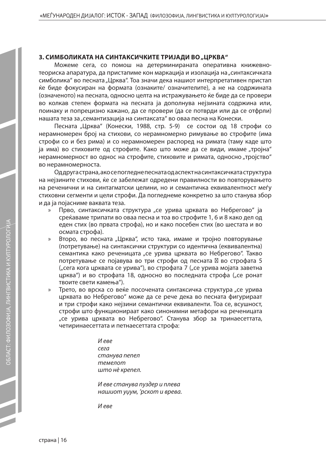#### **3. СИМБОЛИКАТА НА СИНТАКСИЧКИТЕ ТРИЈАДИ ВО "ЦРКВА"**

Можеме сега, со помош на детерминираната оперативна книжевнотеориска апаратура, да пристапиме кон маркација и изолација на "синтаксичката симболика" во песната "Црква". Тоа значи дека нашиот интерпретативен пристап ќе биде фокусиран на формата (ознаките/ означителите), а не на содржината (означеното) на песната, односно целта на истражувањето ќе биде да се провери во колкав степен формата на песната ја дополнува нејзината содржина или, поинаку и попрецизно кажано, да се провери (да се потврди или да се отфрли) нашата теза за "семантизација на синтаксата" во оваа песна на Конески.

Песната "Црква" (Конески, 1988, стр. 5-9) се состои од 18 строфи со нерамномерен број на стихови, со нерамномерно римување во строфите (има строфи со и без рима) и со нерамномерен распоред на римата (таму каде што ја има) во стиховите од строфите. Како што може да се види, имаме "тројна" нерамномерност во однос на строфите, стиховите и римата, односно "тројство" во нерамномерноста.

Од друга страна, ако се погледне песната од аспект на синтаксичката структура на нејзините стихови, ќе се забележат одредени правилности во повторувањето на реченични и на синтагматски целини, но и семантичка еквивалентност меѓу стиховни сегменти и цели строфи. Да погледнеме конкретно за што станува збор и да ја појасниме ваквата теза.

- Прво, синтаксичката структура "се урива црквата во Небрегово" ја среќаваме трипати во оваа песна и тоа во строфите 1, 6 и 8 како дел од еден стих (во првата строфа), но и како посебен стих (во шестата и во осмата строфа).
- Второ, во песната "Црква", исто така, имаме и тројно повторување (потретување) на синтаксички структури со идентична (еквивалентна) семантика како реченицата "се урива црквата во Небрегово". Такво потретување се појавува во три строфи од песната ‒ во строфата 5 ("сега кога црквата се урива"), во строфата 7 ("се урива мојата заветна црква") и во строфата 18, односно во последната строфа ("се ронат твоите свети камења").
- » Трето, во врска со веќе посочената синтаксичка структура "се урива црквата во Небрегово" може да се рече дека во песната фигурираат и три строфи како нејзини семантички еквиваленти. Тоа се, всушност, строфи што функционираат како синонимни метафори на реченицата "се урива црквата во Небрегово". Станува збор за тринаесеттата, четиринаесеттата и петнаесеттата строфа:

 *И еве сега станува пепел темелот што нè крепел.*

 *И еве станува пуздер и плева нашиот уџум, 'рскот и врева.*

 *И еве*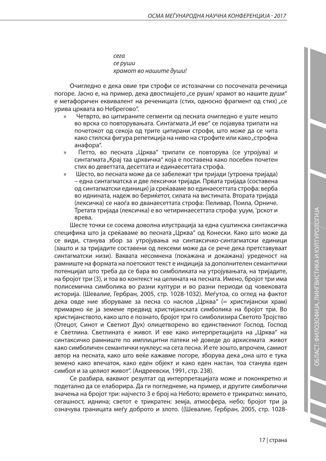*сега се руши храмот во нашите души!*

Очигледно е дека овие три строфи се истозначни со посочената реченица погоре. Јасно е, на пример, дека двостишјето "се руши/ храмот во нашите души" е метафоричен еквивалент на реченицата (стих, односно фрагмент од стих) "се урива црквата во Небрегово".

- » Четврто, во цитираните сегменти од песната очигледно е уште нешто во врска со повторувањата. Синтагмата "И еве" се појавува трипати на почетокот од секоја од трите цитирани строфи, што може да се чита како стилска фигура репетиција на ниво на строфите или како "строфна анафора".
- » Петто, во песната "Црква" трипати се повторува (се утројува) и синтагмата "Крај таа црквичка" која е поставена како посебен почетен стих во деветтата, десеттата и единаесеттата строфа.
- » Шесто, во песната може да се забележат три тријади (утроена тријада) – една синтагматска и две лексички тријади. Првата тријада (составена од синтагматски единици) ја среќаваме во единаесеттата строфа: верба во иднината, надеж во бериќетот, силата на вистината. Втората тријада (лексичка) се наоѓа во дванаесеттата строфа: Пеливар, Поила, Орниче. Третата тријада (лексичка) е во четиринаесеттата строфа: уџум, 'рскот и врева.

Шесте точки се сосема доволна илустрација за една суштинска синтаксичка специфика што ја среќаваме во песната "Црква" од Конески. Како што може да се види, станува збор за утројувањa на синтаксичко-синтагматски единици (зашто и за тријадите составени од лексеми може да се рече дека претставуваат синтагматски низи). Ваквата несомнена (покажана и докажана) уреденост на рамниште на формата на поетскиот текст е индиција за дополнителен семантички потенцијал што треба да се бара во симболиката на утројувањата, на тријадите, на бројот три (3), и тоа во контекст на целината на песната. Имено, бројот три има полисемична симболика во разни култури и во разни периоди од човековата историја. (Шевалие, Гербран, 2005, стр. 1028-1032). Меѓутоа, со оглед на фактот дека овде ние зборуваме за песна со наслов "Црква" (= христијански храм) примарно ќе ја земеме предвид христијанската симболика на бројот три. Во христијанството, како што е познато, бројот три го симболизира Светото Тројство (Отецот, Синот и Светиот Дух) олицетворено во единствениот Господ. Господ е Светлина. Светлината е живот. И еве како интерпретацијата на "Црква" на синтаксичко рамниште по имплицитни патеки нè доведе до архисемата живот како симболичен семантички нуклеус на сета песна. И ете зошто, впрочем, самиот автор на песната, како што веќе кажавме погоре, зборува дека "она што е тука земено како впечаток, како еден објект и како еден настан, тоа станува еден симбол и за целиот живот". (Андреевски, 1991, стр. 238).

Се разбира, ваквиот резултат од интерпретацијата може и поконкретно и подетално да се елаборира. Да ги погледнеме, на пример, и другите симболични значења на бројот три: најчесто 3 е број на Небото; времето е трикратно: минато, сегашност, иднина; светот е трикратен: земја, атмосфера, небо; бројот три ја означува границата меѓу доброто и злото. ((Шевалие, Гербран, 2005, стр. 1028-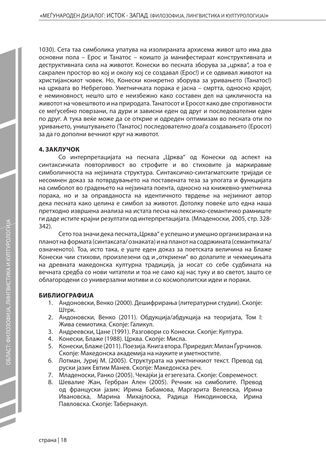1030). Сета таа симболика упатува на изолираната архисема живот што има два основни пола – Ерос и Танатос – коишто ја манифестираат конструктивната и деструктивната сила на животот. Конески во песната зборува за "црква", а тоа е сакрален простор во кој и околу кој се создавал (Ерос!) и се одвивал животот на христијанскиот човек. Но, Конески конкретно зборува за уривањето (Танатос!) на црквата во Небрегово. Уметничката порака е јасна – смртта, односно крајот, е неминовност, нешто што е неизбежно како составен дел на цикличноста на животот на човештвото и на природата. Танатосот и Еросот како две спротивности се меѓусебно поврзани, па дури и зависни еден од друг и последователни еден по друг. А тука веќе може да се открие и одреден оптимизам во песната оти по уривањето, уништувањето (Танатос) последователно доаѓа создавањето (Еросот) за да го дополни вечниот круг на животот.

#### **4. ЗАКЛУЧОК**

Со интерпретацијата на песната "Црква" од Конески од аспект на синтаксичката повторливост во строфите и во стиховите ја маркиравме симболичноста на нејзината структура. Синтаксичко-синтагматските тријади се несомнен доказ за потврдувањето на поставената теза за улогата и функцијата на симболот во градењето на нејзината поента, односно на книжевно-уметничка порака, но и за оправданоста на идентичното тврдење на нејзиниот автор дека песната како целина е симбол за животот. Дотолку повеќе што една наша претходно извршена анализа на истата песна на лексичко-семантичко рамниште ги даде истите крајни резултати од интерпретацијата. (Младеноски, 2005, стр. 328- 342).

Сето тоа значи дека песната "Црква" е успешно и умешно организирана и на планот на формата (синтаксата/ ознаката) и на планот на содржината (семантиката/ означеното). Тоа, исто така, е уште еден доказ за поетската величина на Блаже Конески чии стихови, произлезени од и "откриени" во долапите и чекмеџињата на древната македонска културна традиција, ја носат со себе судбината на вечната средба со нови читатели и тоа не само кај нас туку и во светот, зашто се облагородени со универзални мотиви и со космополитски идеи и пораки.

#### **БИБЛИОГРАФИЈА**

- 1. Андоновски, Венко (2000). Дешифрирања (литературни студии). Скопје: Штрк.
- 2. Андоновски, Венко (2011). Обдукција/абдукција на теоријата, Том I: Жива семиотика. Скопје: Галикул.
- 3. Андреевски, Цане (1991). Разговори со Конески. Скопје: Култура.
- 4. Конески, Блаже (1988). Црква. Скопје: Мисла.
- 5. Конески, Блаже (2011). Поезија. Книга втора. Приредил: Милан Ѓурчинов. Скопје: Македонска академија на науките и уметностите.
- 6. Лотман, Јуриј М. (2005). Структурата на уметничкиот текст. Превод од руски јазик Евтим Манев. Скопје: Македонска реч.
- 7. Младеноски, Ранко (2005). Чекајќи ја егзегезата. Скопје: Современост.
- 8. Шевалие Жан, Гербран Ален (2005). Речник на симболите. Превод од француски јазик: Ирина Бабамова, Маргарита Велевска, Ирина Ивановска, Марина Михајлоска, Радица Никодиновска, Ирина Павловска. Скопје: Табернакул.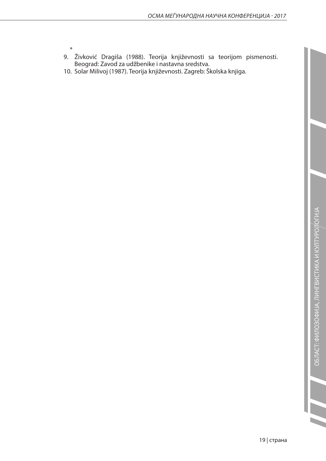\*

- 9. Živković Dragiša (1988). Teorija književnosti sa teorijom pismenosti. Beograd: Zavod za udžbenike i nastavna sredstva.
- 10. Solar Milivoj (1987). Teorija književnosti. Zagreb: Školska knjiga.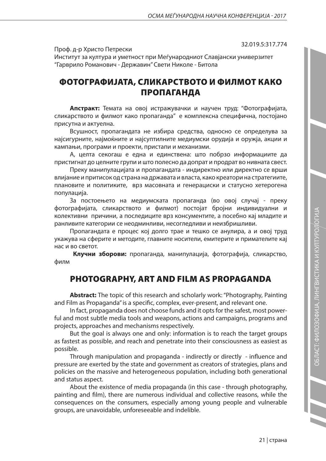32.019.5:317.774

Проф. д-р Христо Петрески

Институт за култура и уметност при Меѓународниот Славјански универзитет "Гарврило Романович - Державин" Свети Николе - Битола

## ФОТОГРАФИЈАТА, СЛИКАРСТВОТО И ФИЛМОТ КАКО ПРОПАГАНДА

**Апстракт:** Темата на овој истражувачки и научен труд: "Фотографијата, сликарството и филмот како пропаганда" е комплексна специфична, постојано присутна и актуелна.

Всушност, пропагандата не избира средства, односно се определува за најсигурните, најмоќните и најсуптилните медиумски орудија и оружја, акции и кампањи, програми и проекти, пристапи и механизми.

А, целта секогаш е една и единствена: што побрзо информациите да пристигнат до целните групи и што полесно да допрат и продрат во нивната свест.

Преку манипулацијата и пропагандата - индиректно или директно се врши влијание и притисок од страна на државата и власта, како креатори на стратегиите, плановите и политиките, врз масовната и генерациски и статусно хетерогена популација.

За постоењето на медиумската пропаганда (во овој случај - преку фотографијата, сликарството и филмот) постојат бројни индивидуални и колективни причини, а последиците врз консументите, а посебно кај младите и ранливите категории се неодминливи, несогледливи и неизбришливи.

Пропагандата е процес кој долго трае и тешко се анулира, а и овој труд укажува на сферите и методите, главните носители, емитерите и примателите кај нас и во светот.

 **Клучни зборови:** пропаганда, манипулација, фотографија, сликарство, филм

## PHOTOGRAPHY, ART AND FILM AS PROPAGANDA

**Abstract:** The topic of this research and scholarly work: "Photography, Painting and Film as Propaganda" is a specific, complex, ever-present, and relevant one.

In fact, propaganda does not choose funds and it opts for the safest, most powerful and most subtle media tools and weapons, actions and campaigns, programs and projects, approaches and mechanisms respectively.

But the goal is always one and only: information is to reach the target groups as fastest as possible, and reach and penetrate into their consciousness as easiest as possible.

Through manipulation and propaganda - indirectly or directly - influence and pressure are exerted by the state and government as creators of strategies, plans and policies on the massive and heterogeneous population, including both generational and status aspect.

About the existence of media propaganda (in this case - through photography, painting and film), there are numerous individual and collective reasons, while the consequences on the consumers, especially among young people and vulnerable groups, are unavoidable, unforeseeable and indelible.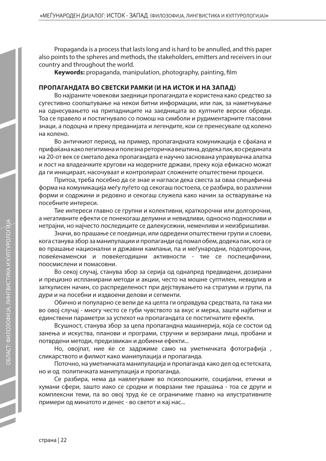Propaganda is a process that lasts long and is hard to be annulled, and this paper also points to the spheres and methods, the stakeholders, emitters and receivers in our country and throughout the world.

**Keywords:** propaganda, manipulation, photography, painting, film

#### **ПРОПАГАНДАТА ВО СВЕТСКИ РАМКИ (И НА ИСТОК И НА ЗАПАД)**

Во најраните човекови заедници пропагандата е користена како средство за сугестивно соопштување на некои битни информации, или пак, за наметнување на однесувањето на припадниците на заедницата во култните верски обреди. Тоа се правело и постигнувало со помош на симболи и рудиментарните гласовни знаци, а подоцна и преку преданијата и легендите, кои се пренесувале од колено на колено.

Во античкиот период, на пример, пропагандната комуникација е сфаќана и прифаќана како легитимна и полезна реторичка вештина, додека пак, во средината на 20-от век се сметало дека пропагандата е научно заснована управувачка алатка и лост на владеачките кругови на модерните држави, преку која ефикасно можат да ги иницираат, насочуваат и контролираат сложените општествени процеси.

Притоа, треба посебно да се знае и нагласи дека свеста за оваа специфична форма на комуникација меѓу луѓето од секогаш постоела, се разбира, во различни форми и содржини и редовно и секогаш служела како начин за остварување на посебните интереси.

Тие интереси главно се групни и колективни, краткорочни или долгорочни, а негативните ефекти се понекогаш делумни и невидливи, односно подносливи и нетрајни, но најчесто последиците се далекусежни, неменливи и неизбришливи.

Значи, во прашање се поединци, или одредени општествени групи и слоеви, кога станува збор за манипулации и пропаганди од помал обем, додека пак, кога се во прашање национални и државни кампањи, па и меѓународни, подолгорочни, повеќенаменски и повеќегодишни активности - тие се поспецифични, поосмислени и помасовни.

Во секој случај, станува збор за серија од однапред предвидени, дозирани и прецизно испланирани методи и акции, често на мошне суптилен, невидлив и заткулисен начин, со распределеност при дејствувањето на стратуми и групи, па дури и на посебни и издвоени делови и сегменти.

Обично и популарно се вели де ка целта ги оправдува средствата, па така ми во овој случај - многу често се губи чувството за вкус и мерка, зашти најбитни и единствени параметри за успехот на пропагандата се постигнатите ефекти.

Всушност, станува збор за цела пропагандна машинерија, која се состои од занења и искуства, планови и програми, стручни и верзирани лица, пробани и потврдени методи, предизвикан и добиени ефекти...

Но, овојпат, ние ќе се задржиме само на уметничката фотографија , сликарството и филмот како манипулација и пропаганда.

Поточно, на уметничката манипулација и пропаганда како дел од естетската, но и од политичката манипулација и пропаганда.

Се разбира, нема да навлегуваме во психолошките, социјални, етички и хумани сфери, зашто иако се сродни и поврзани тие прашања - тоа се други и комплексни теми, па во овој труд ќе се ограничиме главно на илустративните примери од минатото и денес - во светот и кај нас...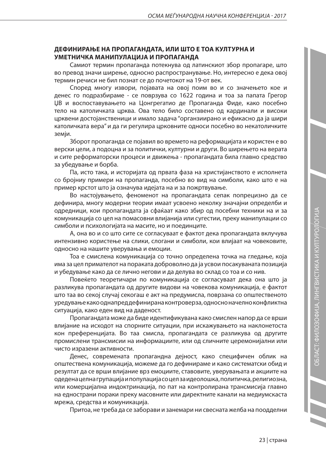#### **ДЕФИНИРАЊЕ НА ПРОПАГАНДАТА, ИЛИ ШТО Е ТОА КУЛТУРНА И УМЕТНИЧКА МАНИПУЛАЦИЈА И ПРОПАГАНДА**

Самиот термин пропаганда потекнува од латинскиот збор пропагаре, што во превод значи ширење, односно распространување. Но, интересно е дека овој термин речиси не бил познат се до почетокот на 19-от век.

Според многу извори, појавата на овој поим во и со значењето кое и денес го подразбираме - се поврзува со 1622 година и тоа за папата Грегор ЏВ и воспоставувањето на Цонгрегатио де Пропаганда Фиде, како посебно тело на католичката црква. Ова тело било составено од кардинали и високи црквени достојанственици и имало задача "органзиирано и ефикасно да ја шири католичката вера" и да ги регулира црковните односи посебно во некатоличките земји.

Зборот пропаганда се појавил во времето на реформацијата и користен е во верски цели, а подоцна и за политички, културни и други. Во ширењето на верата и сите реформаторски процеси и движења - пропагандата била главно средство за убедување и борба.

Па, исто така, и историјата од првата фаза на христијанството е исполнета со бројниу примери на пропаганда, посебно во вид на симболи, како што е на пример крстот што ја означува идејата на и за пожртвување.

Во настојувањето, феноменот на пропагандата сепак попрецизно да се дефинира, многу модерни теории имаат усвоено неколку значајни определби и одредници, кои пропагандата ја сфаќаат како збир од посебни техники на и за комуникација со цел на помасовни влијанија или сугестии, преку манипулации со симболи и психологијата на масите, но и поединците.

А, она во и со што сите се согласуваат е фактот дека пропагандата вклучува интензивно користење на слики, слогани и симболи, кои влијаат на човековите, односно на нашите уверувања и емоции.

Тоа е смислена комуникација со точно определена точка на гледање, која има за цел примателот на пораката доброволно да ја усвои посакуваната позиција и убедување како да се лично негови и да делува во склад со тоа и со нив.

Повеќето теоретичари по комуникација се согласуваат дека она што ја разликува пропагандата од другите видови на човекова комуникација, е фактот што таа во секој случај секогаш е акт на предумисла, поврзана со општественото уредување како однапред дефинирана контроверза, односно начелно конфликтна ситуација, како еден вид на даденост.

Пропагандата може да биде идентификувана како смислен напор да се врши влијание на исходот на спорните ситуации, при искажувањето на наклонетоста кон преференцијата. Во таа смисла, пропагандата се разликува од другите промислени трансмисии на информациите, или од сличните церемонијални или чисто изразени активности.

Денес, современата пропагандна дејност, како специфичен облик на општествена комуникација, можеме да го дефинираме и како систематски обид и резултат да се врши влијание врз емоциите, ставовите, уверувањата и акциите на одедена целна групација и популација со цел за идеолошка, политичка, религиозна, или комерцијална индоктринација, по пат на контролирана трансмисија главно на еднострани пораки преку масовните или директните канали на медиумскаста мрежа, средства и комуникација.

Притоа, не треба да се заборави и занемари ни свесната желба на поодделни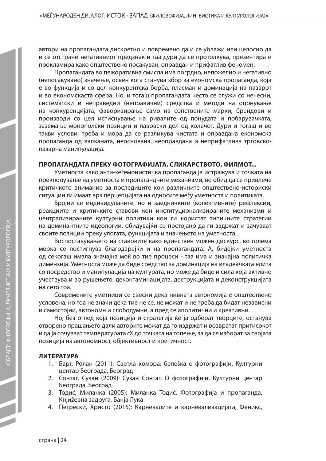автори на пропагандата дискретно и повремено да и се ублажи или целосно да и се отстрани негативниот предзнак и таа дури да се протолкува, презентира и прокламира како општествено посакуван, оправдан и прифатлив феномен.

Пропагандата во пежоративна смисла има погрдно, непожелно и негативно (непосакувано) значење, освен кога станува збор за економска пропаганда, која е во функција и со цел конкурентска борба, пласман и доминација на пазарот и во економскаста сфера. Но, и тогаш пропагандата често се служи со нечесни, систематски и неправедни (неправични) средства и методи на оцрнување на конкуренцијата, фаворизирање само на сопствените марки, брендови и производи со цел истиснување на ривалите од понудата и побарувачката, заземање монополски позиции и лавовски дел од колачот. Дури и тогаш и во такви услови, треба и мора да се разликува чистата и оправдана економска пропаганда од валканата, неоснована, неоправдана и неприфатлива трговскопазарна манипулација.

#### **ПРОПАГАНДАТА ПРЕКУ ФОТОГРАФИЈАТА, СЛИКАРСТВОТО, ФИЛМОТ...**

Уметноста како анти-хегемонистичка пропаганда ја истражува и точката на преклопување на уметноста и пропагандните механизми, во обид да се привлече критичкото внимание за последиците кои различните општествено-историски ситуации ги имаат врз перцепцијата на односите меѓу уметноста и политиката.

Бројни се индивидуланите, но и заедничките (колективните) рефлексии, реакциите и критичките ставови кон институционализираните механизми и централизираните културни политики кои ги користат типичните стратегии на доминантните идеологии, обидувајќи се постојано да ги задржат и зачуваат своите позиции преку улогата, функцијата и значењето на уметноста.

Воспоставувањето на ставовите како единствен можен дискурс, во голема мерка се постигнува благодарејќи и на пропагандата. А, бидејќи уметноста од секогаш имала значајна моќ во тие процеси - таа има и значајна политичка димензија. Уметноста може да биде средство за доминација на владеачката елита со посредство и манипулација на културата, но може да биде и сила која активно учествува и во рушењето, деконтаминацијата, деструкцијата и деконструкцијата на сето тоа.

Современите уметници се свесни дека нивната автономија е општествено условена, но тоа не значи дека тие не се, не можат и не треба да бидат независни и самостојни, автономн и слободумни, а пред се аполитични и креативни.

Но, без оглед која позиција и стратегија ќе ја одберат творците, останува отворено прашањето дали авторите можат да го издржат и возвратат притисокот и да ја сочуваат температурата с до точката на топење, за да се изборат за својата позиција на автономност, објективност и критичност.

#### **ЛИТЕРАТУРА**

- 1. Барт, Ролан (2011): Светла комора: белеšка о фотографији, Културни центар Београда, Београд
- 2. Сонтаг, Сузан (2009): Сузан Сонтаг, О фотографији, Културни центар Београда, Београд
- 3. Тодиć, Миланка (2005): Миланка Тодиć, Фотографија и пропаганда, Кнјиžевна задруга, Банја Лука
- 4. Петрески, Христо (2015): Карневалите и карневализацијата, Феникс,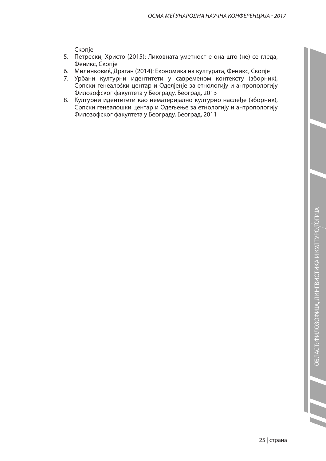Скопје

- 5. Петрески, Христо (2015): Ликовната уметност е она што (не) се гледа, Феникс, Скопје
- 6. Милинковиќ, Драган (2014): Економика на културата, Феникс, Скопје
- 7. Урбани културни идентитети у савременом контексту (зборник), Српски генеалоšки центар и Оделјенје за етнологију и антропологију Филозофског факултета у Београду, Београд, 2013
- 8. Културни идентитети као нематеријално културно наслеђе (зборник), Српски генеалошки центар и Одељење за етнологију и антропологију Филозофског факултета у Београду, Београд, 2011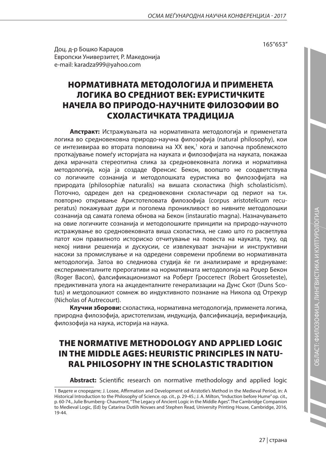165"653"

Доц. д-р Бошко Караџов Европски Универзитет, Р. Македонија e-mail: karadza999@yahoo.com

## НОРМАТИВНАТА МЕТОДОЛОГИЈА И ПРИМЕНЕТА ЛОГИКА ВО СРЕДНИОТ ВЕК: ЕУРИСТИЧКИТЕ НАЧЕЛА ВО ПРИРОДО-НАУЧНИТЕ ФИЛОЗОФИИ ВО СХОЛАСТИЧКАТА ТРАДИЦИЈА

**Апстракт:** Истражувањата на нормативната методологија и применетата логика во средновековна природо-научна филозофија (natural philosophy), кои се интезивираа во втората половина на XX век,<sup>1</sup> кога и започна проблемското проткајување помеѓу историјата на науката и филозофијата на науката, покажаа дека мрачната стереотипна слика за средновековната логика и нормативна методологија, која ја создаде Френсис Бекон, воопшто не соодветствува со логичките сознанија и методолошката еуристика во филозофијата на природата (philosophiæ naturalis) на вишата схоластика (high scholasticism). Поточно, одреден дел на средновековни схоластичари од периот на т.н. повторно откривање Аристотеловата филозофија (corpus aristotelicum recuperatus) покажуваат дури и поголема проникливост во нивните методолошки сознанија од самата голема обнова на Бекон (instauratio magna). Назначувањето на овие логичките сознанија и методолошките принципи на природо-научното истражување во средновековната виша схоластика, не само што го расветлува патот кон правилното историско отчитување на повеста на науката, туку, од некој нивни решенија и дускусии, се извлекуваат значајни и инструктивни насоки за промислување и на одредени современи проблеми во нормативната методологија. Затоа во следниова студија ќе ги анализираме и вреднуваме: експерименталните прерогативи на нормативната методологија на Роџер Бекон (Roger Bacon), фалсификационизмот на Роберт Гроссетест (Robert Grosseteste), предиктивната улога на акцеденталните генерализации на Дунс Скот (Duns Scotus) и метдолошкиот сомнеж во индуктивното познание на Никола од Отрекур (Nicholas of Autrecourt).

**Клучни зборови:** схоластика, нормативна методологија, применета логика, природна филозофија, аристотелизам, индукција, фалсификација, верификација, филозофија на наука, историја на наука.

## THE NORMATIVE METHODOLOGY AND APPLIED LOGIC IN THE MIDDLE AGES: HEURISTIC PRINCIPLES IN NATU-RAL PHILOSOPHY IN THE SCHOLASTIC TRADITION

**Abstract:** Scientific research on normative methodology and applied logic

<sup>1</sup> Видете и споредете; J. Losee, Affirmation and Development od Aristotle's Method in the Medieval Period, in: A Historical Introduction to the Philosophy of Science. op. cit., p. 29-45.; J. A. Milton, "Induction before Hume" op. cit., p. 60-74., Julie Brumberg- Chaumont, "The Legacy of Ancient Logic in the Middle Ages". The Cambridge Companion to Medieval Logic, (Ed) by Catarina Dutlih Novaes and Stephen Read, University Printing House, Cambridge, 2016, 19-44.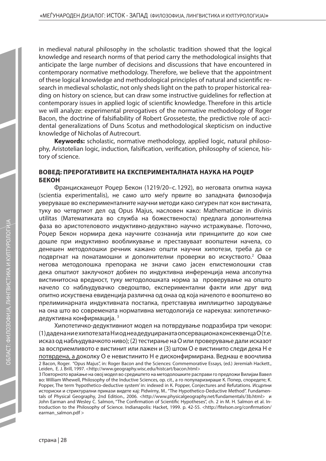in medieval natural philosophy in the scholastic tradition showed that the logical knowledge and research norms of that period carry the methodological insights that anticipate the large number of decisions and discussions that have encountered in contemporary normative methodology. Therefore, we believe that the appointment of these logical knowledge and methodological principles of natural and scientific research in medieval scholastic, not only sheds light on the path to proper historical reading on history on science, but can draw some instructive guidelines for reflection at contemporary issues in applied logic of scientific knowledge. Therefore in this article we will analyze: experimental prerogatives of the normative methodology of Roger Bacon, the doctrine of falsifiability of Robert Grosseteste, the predictive role of accidental generalizations of Duns Scotus and methodological skepticism on inductive knowledge of Nicholas of Autrecourt.

**Keywords:** scholastic, normative methodology, applied logic, natural philosophy, Aristotelian logic, induction, falsification, verification, philosophy of science, history of science.

#### **ВОВЕД: ПРЕРОГАТИВИТЕ НА ЕКСПЕРИМЕНТАЛНАТА НАУКА НА РОЏЕР БЕКОН**

Францисканецот Роџер Бекон (1219/20–c.1292), во неговата опитна наука (scientia experimentalis), не само што меѓу првите во западната филозофија уверуваше во експерименталните научни методи како сигурен пат кон вистината, туку во четвртиот дел од Opus Majus, насловен како: Mathematicae in divinis utilitas (Математиката во служба на божественоста) предлага дополнителна фаза во аристотеловото индуктивно-дедуктвно научно истражување. Поточно, Роџер Бекон нормира дека научните сознанија или принципите до кои сме дошле при индуктивно вообликување и преставуваат воопштени начела, со денешен методолошки речник кажано општи научни хипотези, треба да се подвргнат на понатамошни и дополнителни проверки во искуството.<sup>2</sup> Оваа негова методолошка препорака не значи само јасен епистемолошки став дека општиот заклучокот добиен по индуктивна инференција нема апсолутна вистинитосна вредност, туку методолошката норма за проверување на општо начело со набљудувачко сведоштво, експериментални факти или друг вид опитно искуствена евиденција различна од онаа од која начелото е воопштено во прелиминарната индуктивната постапка, претставува имплицитно зародување на она што во современата нормативна методологија се нарекува: хипотетичкодедуктивна конфирмација. 3

Хипотетичко-дедуктивниот модел на потврдување подразбира три чекори: (1) дадена ни е хипотезата Н и од неа дедуцираната опсервациона консеквенца О (т.е. исказ од набљудувачкото ниво); (2) тестирање на О или проверување дали исказот за восприемливото е вистинит или лажен и (3) штом О е вистинито следи дека Н е потврдена, а доколку О е невистинито Н е дисконфирмирана. Веднаш е воочлива 2 Bacon, Roger. "Opus Majus", in: Roger Bacon and the Sciences: Commemorative Essays, (ed.) Jeremiah Hackett.,

Leiden, E. J. Brill, 1997. <http://www.geography.wisc.edu/histcart/bacon.html>

<sup>3</sup> Повторното враќање на овој модел во средиштето на методолошките расправи го предложи Вилијам Вавел во: William Whewell, Philosophy of the Inductive Sciences, op. cit., а го популаризираше К. Попер, споредете; K. Popper, The term 'hypothetico-deductive system' in: indexed in К. Popper, Conjectures and Refutations. Исцрпни историски и стриктурални прикази видете кај: Pidwirny, M.. "The Hypothetico-Deductive Method". Fundamentals of Physical Geography, 2nd Edition., 2006. <http://www.physicalgeography.net/fundamentals/3b.html> и John Earman and Wesley C. Salmon, "The Confirmation of Scientific Hypotheses", ch. 2 in M. H. Salmon et al. Introduction to the Philosophy of Science. Indianapolis: Hacket, 1999. p. 42-55. <http://fitelson.org/confirmation/ earman\_salmon.pdf >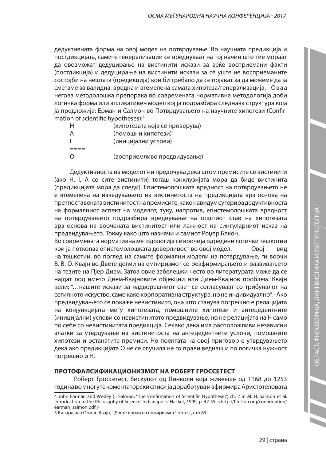дедуктивната форма на овој модел на потврдување. Во научната предикција и постдикцијата, самите генерализации се вреднуваат на тој начин што тие мораат да овозможат дедуцирање на вистинити искази за веќе восприемани факти (постдикција) и дедуцирање на вистинити искази за сè уште не восприеманите состојби на нештата (предикција) кои би требало да се појават за да можеме да ја сметаме за валидна, вредна и втемелена самата хипотеза/генерализација. Оваа негова методолошка препорака во современата нормативна методологија доби логичка форма или апликативен модел кој ја подразбира следнава структура која ја предложија: Ерман и Салмон во Потврдувањето на научните хипотези (Confirmation of scientific hypotheses):4

| н | (хипотезата која се проверува) |
|---|--------------------------------|
|   | (помошни хипотези)             |
|   | (иницијални услови)            |
|   |                                |
|   | (восприемливо предвидување)    |

Дедуктивноста на моделот ни предочува дека штом премисите се вистинити (ако H, I, A се сите вистинити) тогаш конклузијата мора да биде вистинита (предикцијата мора да следи). Епистемолошката вредност на потврдувањето не е втемелена на изведувањето на вистинитоста на предикцијата врз основа на претпоставената вистинитост на премисите, како навидум сугерира дедуктивноста на формалниот аспект на моделот, туку, напротив, епистемолошката вредност на потврдувањето подразбира вреднување на општиот став на хипотезата врз основа на воочената вистинитост или лажност на сингуларниот исказ на предвидувањето. Токму како што назначи и самиот Роџер Бекон.

Во современата нормативна методологија се воочија одредени логички тешкотии кои ја поткопаа епистемолошката доверливост во овој модел. Овој вид на тешкотии, во поглед на самите формални модели на потврдување, ги воочи В. В. О. Квајн во Двете догми на емпиризмот со реафирмирањето и развивањето на тезите на Пјер Дием. Затоа овие забелешки често во литературата може да се најдат под името Дием-Квајновите објекции или Дием-Квајнов проблем. Квајн вели: "…нашите искази за надворешниот свет се согласуваат со трибуналот на сетилното искуство, само како корпоративна структура, но не индивидуално". 5 Ако предвидувањето се покаже невистинито, она што станува погрешно е релацијата на конјункцијата меѓу хипотезата, помошните хипотези и антецедентните (иницијални) услови со невистинитото предвидување, но не релацијата на Н само по себе со невистинитата предикција. Секако дека има расположливи независни алатки за утврдување на вистинитоста на антецедентните услови, помошните хипотези и останатите премиси. Но поентата на овој приговор е утврдувањето дека ако предикцијата О не се случила не го прави веднаш и по логичка нужност погрешно и Н.

#### **ПРОТОФАЛСИФИКАЦИОНИЗМОТ НА РОБЕРТ ГРОССЕТЕСТ**

Роберт Гроссетест, бискупот од Линколн која живееше од 1168 до 1253 година во многуте коментаторски списи ја доработува и афирмира Аристотеловата

5 Вилард ван Орман Квајн, "Двете догми на емпиризмот", op. cit., стр.63.

<sup>4</sup> John Earman and Wesley C. Salmon, "The Confirmation of Scientific Hypotheses", ch. 2 in M. H. Salmon et al. Introduction to the Philosophy of Science. Indianapolis: Hacket, 1999. p. 42-55. <http://fitelson.org/confirmation/ earman\_salmon.pdf >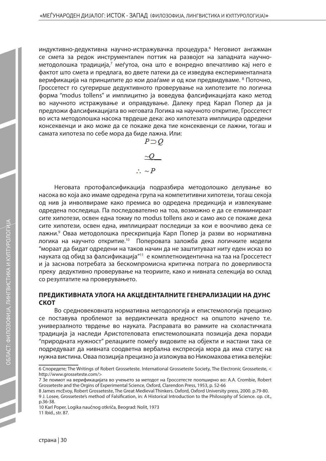индуктивно-дедуктивна научно-истражувачка процедура.<sup>6</sup> Неговиот ангажман се смета за редок инструментален поттик на развојот на западната научнометодолошка традиција,<sup>7</sup> меѓутоа, она што е вонредно впечатливо кај него е фактот што смета и предлага, во двете патеки да се изведува експерименталната верификација на принципите до кои доаѓаме и од кои предвидуваме. <sup>8</sup> Поточно, Гроссетест го сугерирше дедуктивното проверување на хипотезите по логичка форма "modus tollens" и имплицитно ја воведува фалсификацијата како метод во научното истражување и оправдување. Далеку пред Карал Попер да ја предложи фалсификацијата во неговата Логика на научното откритие, Гроссетест во иста методолошка насока тврдеше дека: ако хипотезата имплицира одредени консеквенци и ако може да се покаже дека тие консеквенци се лажни, тогаш и самата хипотеза по себе мора да биде лажна. Или:

$$
P \supset Q
$$

$$
\supset Q
$$

$$
\supset P
$$

Неговата протофалсификација подразбира методолошко делување во насока во која ако имаме одредена група на компетитивни хипотези, тогаш секоја од нив ја инволвираме како премиса во одредена предикција и извлекуваме одредена последица. Па последователно на тоа, возможно е да се елиминираат сите хипотези, освен една токму по modus tollens ако и само ако се покаже дека сите хипотези, освен една, имплицираат последици за кои е воочливо дека се лажни.9 Оваа методолошка прескрипција Карл Попер ја разви во нормативна логика на научнто откритие.<sup>10</sup> Поперовата заложба дека логичките модели "мораат да бидат одредени на таков начин да не заштитуваат ниту еден исказ во науката од обид за фалсификација"11 е комплетноидентична на таа на Гроссетест и ја заснова потребата за бескомпромисна критичка потрага по доверливоста преку дедуктивно проверување на теориите, како и нивната селекција во склад со резултатите на проверувањето.

#### **ПРЕДИКТИВНАТА УЛОГА НА АКЦЕДЕНТАЛНИТЕ ГЕНЕРАЛИЗАЦИИ НА ДУНС СКОТ**

Во средновековната нормативна методологија и епистемологија прецизно се поставува проблемот за вердиктичката вредност на општото начело т.е. универзалното тврдење во науката. Расправата во рамките на схоластичката традиција ја наследи Аристотеловата епистемолошката позиција дека поради "природната нужност" релациите помеѓу видовите на објекти и настани така се подредуваат да нивната соодветна вербална експресија мора да има статус на нужна вистина. Оваа позиција прецизно ја изложува во Никомахова етика велејќи:

<sup>6</sup> Споредете; The Writings of Robert Grosseteste. International Grosseteste Society, The Electronic Grosseteste, < http://www.grosseteste.com/>

<sup>7</sup> Зе поимот на верификацијата во учењето за методот на Гроссетесте поопширно во: А.А. Crombie, Robert Grosseteste and the Orgins of Experimental Science, Oxford, Clarendon Press, 1953, p. 52-66

<sup>8</sup> James mcEvoy, Robert Grosseteste, The Great Medieval Thinkers. Oxford, Oxford University press, 2000. p.79-80. 9 J. Losee, Grosseteste's method of Falsification, in: A Historical Introduction to the Philosophy of Science. op. cit., p.36-38.

<sup>10</sup> Karl Poper, Logika naučnog otkriča, Beograd: Nolit, 1973 11 Ibid., str. 87.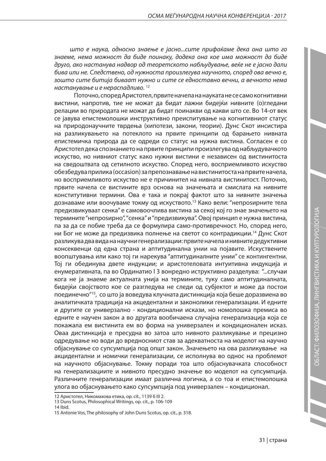*што е наука, односно знаење е јасно...сите прифаќаме дека она што го знаеме, нема можност да биде поинаку, додека она кое има можност да биде друго, ако настанува надвор од теоретското набљудување, веќе не е јасно дали бива или не. Следствено, од нужноста произлегува научното, според ова вечно е, зошто сите битија биваат нужно и сите се едноставно вечни, а вечното нема настанување и е нераспадливо. 12*

Поточно, според Аристотел, првите начела на науката не се само когнитивни вистини, напротив, тие не можат да бидат лажни бидејќи нивните (о)гледани релации во природата не можат да бидат поинакви од какви што се. Во 14-от век се јавува епистемолошки инструктивно преиспитување на когнитивниот статус на природонаучните тврдења (хипотези, закони, теории). Дунс Скот инсистира на разликувањето на потеклото на првите принципи од барањето нивната епистемичка природа да се одреди со статус на нужна вистина. Согласен е со Аристотел дека спознанието на првите принципи произлегува од набљудувачкото искуство, но нивниот статус како нужни вистини е независен од вистинитоста на сведоштвата од сетилното искуство. Според него, восприемливото искуство обезбедува прилика (occasion) за препознавање на вистинитоста на првите начела, но восприемливото искуство не е причинител на нивната вистинитост. Поточно, првите начела се вистините врз основа на значењата и смислата на нивните конститутивни термини. Ова е така и покрај фактот што за нивните значења дознаваме или воочуваме токму од искуството.<sup>13</sup> Како вели: "непроѕирните тела предизвикуваат сенка" е самовоочлива вистина за секој кој го знае значењето на термините "непроѕирно", "сенка" и "предизвикува". Овој принцип е нужна вистина, па за да се побие треба да се формулира само-противречност. Но, според него, ни Бог не може да предизвика полнење на светот со контрадикции.14 Дунс Скот разликува два вида на научни генерализации: првите начела и нивните дедуктивни консеквенци од една страна и аптитудинална унии на појавите. Искуствените воопштувања или како тој ги нарекува "аптитудиналните унии" се контингентни. Тој ги обединува двете индукции; и аристотеловата интуитивна индукција и енумеративната, па во Ординатио I 3 вонредно иструктивно разделува: "...случаи кога не ја знаеме актуалната унија на термините, туку само аптитудиналната, бидејќи својството кое се разгледува не следи од субјектот и може да постои поединечно"15, со што ја воведува клучната дистинкција која беше доразвиена во аналитичката традиција на акцедентални и законолики генерализации. И едните и другите се универзално - кондиционални искази, но номолошка премиса во едните е научен закон а во другата вообичаена случајна генерализација која се покажала ем вистинита ем во форма на универзален и кондиционален исказ. Оваа дистинкција е пресудна во затоа што нивното разликување и прецизно одредување нo води до вредносниот став за адекватноста на моделот на научно објаснување со супсумпција под општ закон. Значењето на ова разликување на акцидентални и номички генерализации, се исполнува во однос на проблемот на научното објаснување. Токму поради тоа што објаснувачката способност на генерализациите и нивното пресудно значење во моделот на супсумпција. Различните генерализации имаат различна логичка, а со тоа и епистемолошка улога во објаснувањето како супсумпција под универзален – кондиционал.

<sup>12</sup> Аристотел, Никомахова етика, op. cit., 1139 б III 2.

<sup>13</sup> Duns Scotus, Philosophical Writings, op. cit., p. 106-109

<sup>14</sup> Ibid.

<sup>15</sup> Antonie Vos, The philosophy of John Duns Scotus, op. cit., p. 318.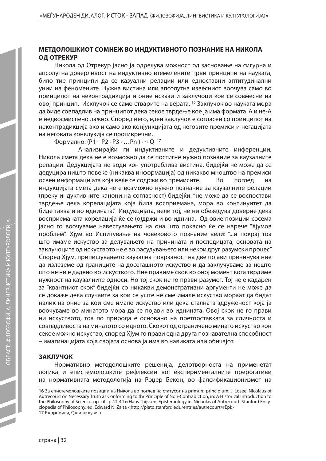#### **МЕТДОЛОШКИОТ СОМНЕЖ ВО ИНДУКТИВНОТО ПОЗНАНИЕ НА НИКОЛА ОД ОТРЕКУР**

Никола од Отрекур јасно ја одрекува можност од засновање на сигурна и апсолутна доверливост на индуктивно втемелените први принципи на науката, било тие принципи да се казуални релации или едноставни аптитудинални унии на феномените. Нужна вистина или апсолутна извесниот воочува само во принципот на неконтрадикција и оние искази и заклучоци кои се совмесни на овој принцип. Исклучок се само стварите на верата. 16 Заклучок во науката мора да биде совпадлив на принципот дека секоe тврдење кое ја има формата А и не-А е недвосмислено лажно. Според него, еден заклучок е согласен со принципот на неконтрадикција ако и само ако конјункцијата од неговите премиси и негацијата на неговата конклузија се противречни.

Формално: (P1 ∙ P2 ∙ P3 ∙ …Pn ) ∙ ~ Q 17

 Анализирајќи ги индуктивните и дедуктивните инференции, Никола смета дека не е возможно да се постигне нужно познание за каузалните релации. Дедукцијата не води кон употреблива вистина, бидејќи не може да се дедуцира ништо повеќе (никаква информација) од никакво мноштво на премиси освен информацијата која веќе се содржи во премисите. Во поглед на индукцијата смета дека не е возможно нужно познание за каузалните релации (преку индуктивните канони на согласност) бидејќи: "не може да се воспостави тврдење дека корелацијата која била восприемана, мора во континуитет да биде таква и во иднината." Индукцијата, вели тој, не ни обезедува доверие дека восприеманата корелација ќе се (о)држи и во иднина. Од овие позиции сосема јасно го воочуваме навестувањето на она што покасно ќе се нарече "Хјумов проблем". Хјум во Испитување на човековото познание вели: "...и покрај тоа што имаме искуство за делувањето на причината и последицата, основата на заклучоците од искуството не е во расудувањето или некои друг разумски процес" Според Хјум, припишувањето каузална поврзаност на две појави причинува ние да излеземе од границите на досегашното искуство и да заклучуваме за нешто што не ни е дадено во искуството. Ние правиме скок во оној момент кога тврдиме нужност на каузалните односи. Но тој скок не го прави разумот. Тој не е кадарен за "квантниот скок" бидејќи со никакви демонстративни аргументи не може да се докаже дека случаите за кои се уште не сме имале искуство мораат да бидат налик на оние за кои сме имале искуство или дека сталната здруженост која ја воочуваме во минатото мора да се појави во иднината. Овој скок не го прави ни искуството, тоа по природа е основано на претпоставката за сличноста и совпадливоста на минатото со идното. Скокот од ограничено минато искуство кон секое можно искуство, според Хјум го прави една друга познавателна способност – имагинацијата која својата основа ја има во навиката или обичајот.

#### **ЗАКЛУЧОК**

Нормативно методолошките решенија, делотворноста на применетат логика и епистемолошките рефлексии во: експерименталните прерогативи на нормативната методологија на Роџер Бекон, во фалсификационизмот на

<sup>16</sup> За епистемолошките позиции на Никола во поглед на статусот на primum principium; J. Losee, Nicolaus of Autrecourt on Necessary Truth as Conforming to thr Principle of Non-Contradiction, in: A Historical Introduction to the Philosophy of Science. op. cit., p.41-44 и Hans Thijssen, Epistemology in: Nicholas of Autrecourt, Stanford Encyclopedia of Philosophy. ed. Edward N. Zalta <http://plato.stanford.edu/entries/autrecourt/#Epi> 17 P=премиси, Q=конклузија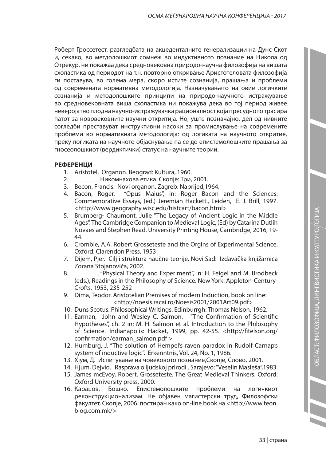Роберт Гроссетест, разгледбата на акцеденталните генерализации на Дунс Скот и, секако, во метдолошкиот сомнеж во индуктивното познание на Никола од Отрекур, ни покажаа дека средновековна природо-научна филозофија на вишата схоластика од периодот на т.н. повторно откривање Аристотеловата филозофија ги поставува, во голема мера, скоро истите сознанија, прашања и проблеми од современата нормативна методологија. Назначувањето на овие логичките сознанија и методолошките принципи на природо-научното истражување во средновековната виша схоластика ни покажува дека во тој период живее неверојатно плодна научно-истражувачка рационалност која пресудно го трасира патот за нововековните научни откритија. Но, уште позначајно, дел од нивните согледби преставуват инструктивни насоки за промислување на современите проблеми во нормативната методологија: од логиката на научното откритие, преку логиката на научното објаснување па се до епистемолошките прашања за гносеолошкиот (вердиктички) статус на научните теории.

#### **РЕФЕРЕНЦИ**

- 1. Aristotel, Organon. Beograd: Kultura, 1960.
- 2. \_\_\_\_\_\_\_. Никомнахова етика. Скопје: Три, 2001.
- 3. Becon, Francis. Novi organon. Zagreb: Naprijed,1964.
- 4. Bacon, Roger. "Opus Maius", in: Roger Bacon and the Sciences: Commemorative Essays, (ed.) Jeremiah Hackett., Leiden, E. J. Brill, 1997. <http://www.geography.wisc.edu/histcart/bacon.html>
- 5. Brumberg- Chaumont, Julie "The Legacy of Ancient Logic in the Middle Ages". The Cambridge Companion to Medieval Logic, (Ed) by Catarina Dutlih Novaes and Stephen Read, University Printing House, Cambridge, 2016, 19- 44.
- 6. Crombie, А.А. Robert Grosseteste and the Orgins of Experimental Science. Oxford: Clarendon Press, 1953
- 7. Dijem, Pjer. Cilj i struktura naučne teorije. Novi Sad: Izdavačka knjižarnica Zorana Stojanovića, 2002.
- 8. **Experiment**", in: H. Feigel and M. Brodbeck (eds.), Readings in the Philosophy of Science. New York: Appleton-Century-Crofts, 1953, 235-252
- 9. Dima, Teodor. Aristotelian Premises of modern Induction, book on line: <http://noesis.racai.ro/Noesis2001/2001Art09.pdf>
- 10. Duns Scotus. Philosophical Writings. Edinburrgh: Thomas Nelson, 1962.
- 11. Earman, John and Wesley C. Salmon. "The Confirmation of Scientific Hypotheses", ch. 2 in: M. H. Salmon et al. Introduction to the Philosophy of Science. Indianapolis: Hacket, 1999, pp. 42-55. <http://fitelson.org/ confirmation/earman\_salmon.pdf >
- 12. Humburg, J. "The solution of Hempel's raven paradox in Rudolf Carnap's system of inductive logic". Erkenntnis, Vol. 24, No. 1, 1986.
- 13. Хјум, Д. Испитување на човековото познание,Скопје, Слово, 2001.
- 14. Hjum, Dejvid. Rasprava o ljudskoj prirodi . Sarajevo: "Veselin Masleša",1983.
- 15. James mcEvoy, Robert. Grosseteste. The Great Medieval Thinkers. Oxford: Oxford University press, 2000.
- 16. Караџов, Бошко. Епистемолошките проблеми на логичкиот реконструкционализам. Не објавен магистерски труд, Филозофски факултет, Скопје, 2006. постиран како on-line book на <http://www.teon. blog.com.mk/>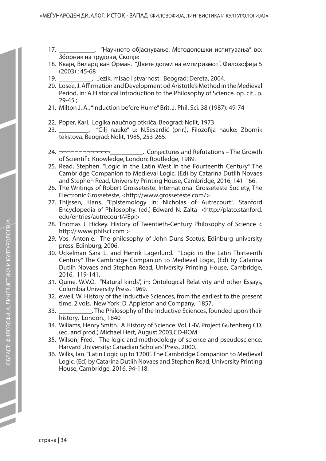- 17. \_\_\_\_\_\_\_\_\_\_\_. "Научното објаснување: Методолошки испитувања". во: Зборник на трудови, Скопје:
- 18. Квајн, Вилард ван Орман. "Двете догми на емпиризмот". Филозофија 5  $(2003): 45-68$
- 19. \_\_\_\_\_\_\_\_\_\_. Jezik, misao i stvarnost. Beograd: Dereta, 2004.
- 20. Losee, Ј. Affirmation and Development od Aristotle's Method in the Medieval Period, in: A Historical Introduction to the Philosophy of Science. op. cit., p. 29-45.;
- 21. Milton J. A., "Induction before Hume" Brit. J. Phil. Sci. 38 (1987): 49-74
- 22. Poper, Karl. Logika naučnog otkriča. Beograd: Nolit, 1973
- 23. \_\_\_\_\_\_\_\_\_. "Cilj nauke" u: N.Sesardić (prir.), Filozofija nauke: Zbornik tekstova. Beograd: Nolit, 1985, 253-265.
- 24. 
—
24.  $\frac{1}{24}$   $\frac{1}{24}$  Conjectures and Refutations The Growth of Scientific Knowledge, London: Routledge, 1989.
- 25. Read, Stephen. "Logic in the Latin West in the Fourteenth Century" The Cambridge Companion to Medieval Logic, (Ed) by Catarina Dutlih Novaes and Stephen Read, University Printing House, Cambridge, 2016, 141-166.
- 26. The Writings of Robert Grosseteste. International Grosseteste Society, The Electronic Grosseteste, <http://www.grosseteste.com/>
- 27. Thijssen, Hans. "Epistemology in: Nicholas of Autrecourt". Stanford Encyclopedia of Philosophy. (еd.) Edward N. Zalta <http://plato.stanford. edu/entries/autrecourt/#Epi>
- 28. Thomas J. Hickey. History of Twentieth-Century Philosophy of Science < http:// www.philsci.com >
- 29. Vos, Antonie. The philosophy of John Duns Scotus, Edinburg university press: Edinburg, 2006.
- 30. Uckelman Sara L. and Henrik Lagerlund. "Logic in the Latin Thirteenth Century" The Cambridge Companion to Medieval Logic, (Ed) by Catarina Dutlih Novaes and Stephen Read, University Printing House, Cambridge, 2016, 119-141.
- 31. Quine, W.V.O. "Natural kinds", in: Ontological Relativity and other Essays, Columbia University Press, 1969.
- 32. ewell, W. History of the Inductive Sciences, from the earliest to the present time. 2 vols, New York: D. Appleton and Company, 1857.
- 33. \_\_\_\_\_\_\_\_\_\_. The Philosophy of the Inductive Sciences, founded upon their history. London., 1840
- 34. Wiliams, Henry Smith. A History of Science. Vol. I.-IV, Project Gutenberg CD. (ed. and prod.) Michael Hert, August 2003,CD-ROM.
- 35. Wilson, Fred. The logic and methodology of science and pseudoscience. Harvard University: Canadian Scholars' Press, 2000.
- 36. Wilks, Ian. "Latin Logic up to 1200". The Cambridge Companion to Medieval Logic, (Ed) by Catarina Dutlih Novaes and Stephen Read, University Printing House, Cambridge, 2016, 94-118.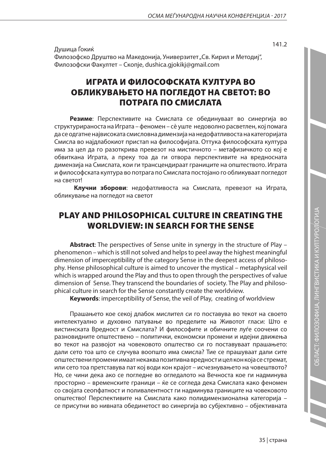Душица Ѓокиќ Филозофско Друштво на Македонија, Универзитет "Св. Кирил и Методиј", Филозофски Факултет – Скопје, dushica.gjokikj@gmail.com

### ИГРАТА И ФИЛОСОФСКАТА КУЛТУРА ВО ОБЛИКУВАЊЕТО НА ПОГЛЕДОТ НА СВЕТОТ: ВО ПОТРАГА ПО СМИСЛАТА

**Резиме**: Перспективите на Смислата се обединуваат во синергија во структурираноста на Играта – феномен – сè уште недоволно расветлен, кој помага да се одгатне највисоката смисловна димензија на недофатливоста на категоријата Смисла во најдлабокиот пристап на философијата. Оттука философската култура има за цел да го разоткрива превезот на мистичното – метафизичкото со кој е обвиткана Играта, а преку тоа да ги отвора перспективите на вредносната димензија на Смислата, кои ги трансцендираат границите на општеството. Играта и философската култура во потрага по Смислата постојано го обликуваат погледот на светот!

**Клучни зборови**: недофатливоста на Смислата, превезот на Играта, обликување на погледот на светот

## PLAY AND PHILOSOPHICAL CULTURE IN CREATING THE WORLDVIEW: IN SEARCH FOR THE SENSE

**Abstract**: The perspectives of Sense unite in synergy in the structure of Play – phenomenon – which is still not solved and helps to peel away the highest meaningful dimension of imperceptibility of the category Sense in the deepest access of philosophy. Hense philosophical culture is aimed to uncover the mystical – metaphysical veil which is wrapped around the Play and thus to open through the perspectives of value dimension of Sense. They transcend the boundaries of society. The Play and philosophical culture in search for the Sense constantly create the worldview.

**Keywords**: imperceptibility of Sense, the veil of Play, creating of worldview

Прашањето кое секој длабок мислител си го поставува во текот на своето интелектуално и духовно патување во пределите на Животот гласи: Што е вистинската Вредност и Смислата? И философите и обичните луѓе соочени со разновидните општествено – политички, економски промени и идејни движења во текот на развојот на човековото општество си го поставуваат прашањето: дали сето тоа што се случува воопшто има смисла? Тие се прашуваат дали сите општествени промени имаат некаква позитивна вредност и цел кон која се стремат, или сето тоа претставува пат кој води кон крајот – исчезнувањето на човештвото? Но, се чини дека ако се погледне во огледалото на Вечноста кое ги надминува просторно – временските граници – ќе се согледа дека Смислата како феномен со својата сеопфатност и поливалентност ги надминува границите на човековото општество! Перспективите на Смислата како полидимензионална категорија – се присутни во нивната обединетост во синергија во субјективно – објективната

141.2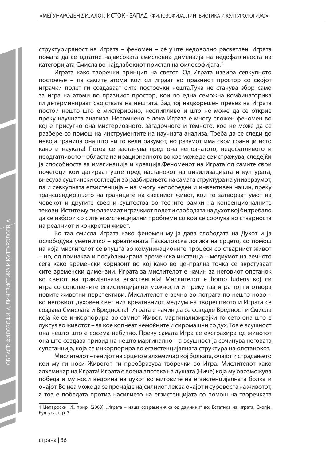структурираност на Играта – феномен – сè уште недоволно расветлен. Играта помага да се одгатне највисоката смисловна димензија на недофатливоста на категоријата Смисла во најдлабокиот пристап на философијата. 1

Играта како творечки принцип на светот! Од Играта извира севкупното постоење – па самите атоми кои си играат во празниот простор со својот играчки полет ги создаваат сите постоечки нешта.Тука не станува збор само за игра на атоми во празниот простор, кои во една семожна комбинаторика ги детерминираат својствата на нештата. Зад тој надворешен превез на Играта постои нешто што е мистериозно, неопипливо и што не може да се открие преку научната анализа. Несомнено е дека Играта е многу сложен феномен во кој е присутно она мистериозното, загадочното и темното, кое не може да се разбере со помош на инструментите на научната анализа. Треба да се следи до некоја граница она што ни го вели разумот, но разумот има свои граници исто како и науката! Потоа се застанува пред она непознатото, недофатливото и неодгатливото – областа на ирационалното во кое може да се истражува, следејќи ја способноста за имагинација и креација.Феноменот на Играта од самите свои почетоци кои датираат уште пред настанокот на цивилизацијата и културата, внесува суштински согледби во разбирањето на самата структура на универзумот, па и севкупната егзистенција – на многу непосреден и инвентивен начин, преку трансцендирањето на границите на свесниот живот, кои го затвораат умот на човекот и другите свесни суштества во тесните рамки на конвенционалните текови. Истите му ги одземаат играчкиот полет и слободата на духот кој би требало да се избори со сите егзистенцијални проблеми со кои се соочува во стварноста на реалниот и конкретен живот.

Во таа смисла Играта како феномен му ја дава слободата на Духот и ја ослободува уметничко – креативната Паскаловска логика на срцето, со помош на која мислителот се впушта во комуникационите процеси со стварниот живот – но, од поинаква и посублимирана временска инстанца – медиумот на вечното сега како временски хоризонт во кој како во централна точка се вкрстуваат сите временски димензии. Играта за мислителот е начин за неговиот опстанок во светот на тривијалната егзистенција! Мислителот е homo ludens кој си игра со сопствените егзистенцијални можности и преку таа игра тој ги отвора новите животни перспективи. Мислителот е вечно во потрага по нешто ново – во неговиот духовен свет низ креативниот медиум на творештвото и Играта се создава Смислата и Вредноста! Играта е начин да се создаде Вредност и Смисла која ќе се инкорпорира во самиот Живот, маргинализирајќи го сето она што е луксуз во животот – за кое копнеат немоќните и сиромашни со дух. Тоа е всушност она нешто што е сосема небитно. Преку самата Игра се екстрахира од животот она што создава привид на нешто маргинално – а всушност ја сочинува неговата супстанција, која се инкорпорира во егзистенцијалната структура на опстанокот.

Мислителот – генијот на срцето е алхемичар кој болката, очајот и страдањето кои му ги носи Животот ги преобразува творечки во Игра. Мислителот како алхемичар на Играта! Играта е воена апотека на душата (Ниче) која му овозможува победа и му носи ведрина на духот во миговите на егзистенцијалната болка и очајот. Во неа може да се пронајде најсилниот лек за очајот и суровоста на животот, а тоа е победата против насилието на егзистенцијата со помош на творечката

<sup>1</sup> Џепароски, И., прир. (2003), "Играта – наша современичка од дамнини" во: Естетика на играта, Скопје: Култура, стр. 7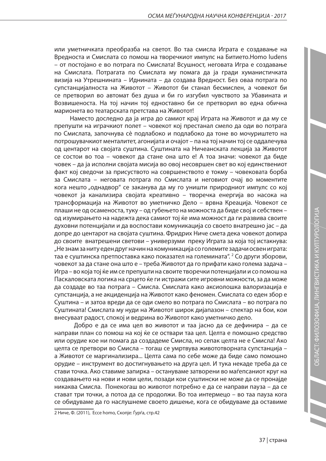или уметничката преобразба на светот. Во таа смисла Играта е создавање на Вредноста и Смислата со помош на творечкиот импулс на Битието.Homo ludens – от постојано е во потрага по Смислата! Всушност, неговата Игра е создавање на Смислата. Потрагата по Смислата му помага да ја гради хуманистичката визија на Утрешнината – Иднината – да создава Вредност. Без оваа потрага по супстанцијалноста на Животот – Животот би станал бесмислен, а човекот би се претворил во автомат без душа и би го изгубил чувството за Убавината и Возвишеноста. На тој начин тој едноставно би се претворил во една обична марионета во театарската претстава на Животот!

Наместо доследно да ја игра до самиот крај Играта на Животот и да му се препушти на играчкиот полет – човекот кој престанал смело да оди во потрага по Смислата, започнува сè подлабоко и подлабоко да тоне во мочуриштето на потрошувачкиот менталитет, агонијата и очајот – па на тој начин тој се оддалечува од центарот на својата суштина. Суштината на Ничеанската лекција за Животот се состои во тоа – човекот да стане она што е! А тоа значи: човекот да биде човек – да ја исполни својата мисија во овој несовршен свет во кој единствениот факт кој сведочи за присуството на совршенството е токму – човековата борба за Смислата – неговата потрага по Смислата и неговиот очај во моментите кога нешто "однадвор" се заканува да му го уништи природниот импулс со кој човекот ја канализира својата креативно – творечка енергија во насока на трансформација на Животот во уметничко Дело – врвна Креација. Човекот се плаши не од осаменоста, туку – од губењето на можноста да биде свој и себствен – од изумирањето на надежта дека самиот тој ќе има можност да ги развива своите духовни потенцијали и да воспостави комуникација со своето внатрешно јас – да допре до центарот на својата суштина. Фридрих Ниче смета дека човекот допира до своите внатрешени светови – универзуми преку Играта за која тој истакнува: "Не знам за ниту еден друг начин на комуникација со големите задачи освен играта: таа е суштинска претпоставка како показател на големината". 2 Со други зборови, човекот за да стане она што е – треба Животот да го прифати како голема задача – Игра – во која тој ќе им се препушти на своите творечки потенцијали и со помош на Паскаловската логика на срцето ќе ги истражи сите игровни можности, за да може да создаде во таа потрага – Смисла. Смислата како аксиолошка валоризација е супстанција, а не акциденција на Животот како феномен. Смислата со еден збор е Суштина – и затоа вреди да се оди смело во потрага по Смислата – во потрага по Суштината! Смислата му нуди на Животот широк дијапазон – спектар на бои, кои внесуваат радост, спокој и ведрина во Животот како уметничко дело.

Добро е да се има цел во животот и таа јасно да се дефинира – да се направи план со помош на кој ќе се оствари таа цел. Целта е помошно средство или орудие кое ни помага да создадеме Смисла, но сепак целта не е Смисла! Ако целта се претвори во Смисла – тогаш се умртвува живототворната супстанција – а Животот се маргинализира... Целта сама по себе може да биде само помошно орудие – инструмент во достигнувањето на друга цел. И тука некаде треба да се стави точка. Ако ставиме запирка – остануваме затворени во маѓепсаниот круг на создавањето на нови и нови цели, позади кои суштински не може да се пронајде никаква Смисла. Понекогаш во животот потребно е да се направи пауза – да се стават три точки, а потоа да се продолжи. Во тоа интермецо – во таа пауза кога се обидуваме да го наслушнеме своето дишење, кога се обидуваме да оставиме

2 Ниче, Ф. (2011), Ecce homo, Скопје: Ѓурѓа, стр.42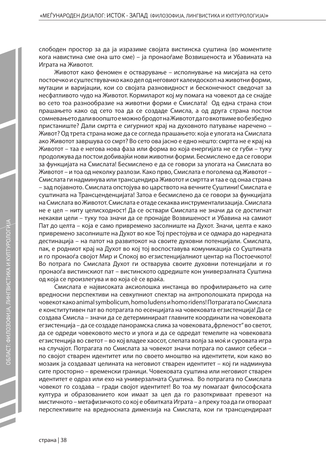слободен простор за да ја изразиме својата вистинска суштина (во моментите кога навистина сме она што сме) – ја пронаоѓаме Возвишеноста и Убавината на Играта на Животот.

Животот како феномен е остварување – исполнување на мисијата на сето постоечко и суштествувачко како дел од неговиот калеидоскоп на животни форми, мутации и варијации, кои со својата разновидност и бесконечност сведочат за несфатливото чудо на Животот. Кормиларот кој му помага на човекот да се снајде во сето тоа разнообразие на животни форми е Смислата! Од една страна стои прашањето како од сето тоа да се создаде Смисла, а од друга страна постои сомневањето дали воопшто е можно бродот на Животот да го вкотвиме во безбедно пристаниште? Дали смртта е сигурниот крај на духовното патување наречено – Живот? Од трета страна може да се согледа прашањето: која е улогата на Смислата ако Животот завршува со смрт? Во сето ова јасно е едно нешто: смртта не е крај на Животот – таа е негова нова фаза или форма во која енергијата не се губи – туку продолжува да постои добивајќи нови животни форми. Бесмислено е да се говори за функцијата на Смислата! Бесмислено е да се говори за улогата на Смислата во Животот – и тоа од неколку разлози. Како прво, Смислата е поголема од Животот – Смислата ги надминува или трансцендира Животот и смртта и таа е од онаа страна – зад појавното. Смислата опстојува во царството на вечните Суштини! Смислата е суштината на Трансценденцијата! Затоа е бесмислено да се говори за функцијата на Смислата во Животот. Смислата е отаде секаква инструментализација. Смислата не е цел – ниту целисходност! Да се оствари Смислата не значи да се достигнат некакви цели – туку тоа значи да се пронајде Возвишеност и Убавина на самиот Пат до целта – која е само привремено засолниште на Духот. Значи, целта е како привремено засолниште на Духот во кое Тој престојува и се одмара до наредната дестинација – на патот на развитокот на своите духовни потенцијали. Смислата, пак, е родниот крај на Духот во кој тој воспоставува комуникација со Суштината и го пронаоѓа својот Мир и Спокој во егзистенцијалниот центар на Постоечкото! Во потрага по Смислата Духот ги остварува своите духовни потенцијали и го пронаоѓа вистинскиот пат – вистинското одредиште кон универзалната Суштина од која се произлегува и во која сè се враќа.

Смислата е највисоката аксиолошка инстанца во профилирањето на сите вредносни перспективи на севкупниот спектар на антрополошката природа на човекот како animal symbolicum, homo ludens и homo ridens! Потрагата по Смислата е конститутивен пат во потрагата по есенцијата на човековата егзистенција! Да се создава Смисла – значи да се детерминираат главните координати на човековата егзистенција – да се создаде панорамска слика за човековата "фрленост" во светот, да се одреди човековото место и улога и да се одредат темелите на човековата егзистенција во светот – во кој владее хаосот, слепата волја за моќ и суровата игра на случајот. Потрагата по Смислата за човекот значи потрага по самиот себеси – по својот стварен идентитет или по своето мноштво на идентитети, кои како во мозаик ја создаваат целината на неговиот стварен идентитет – кој ги надминува сите просторно – временски граници. Човековата суштина или неговиот стварен идентитет е одраз или ехо на универзалната Суштина. Во потрагата по Смислата човекот го создава – гради својот идентитет! Во тоа му помагаат философската култура и образованието кои имаат за цел да го разоткриваат превезот на мистичното – метафизичкото со кој е обвитката Играта – а преку тоа да ги отвораат перспективите на вредносната димензија на Смислата, кои ги трансцендираат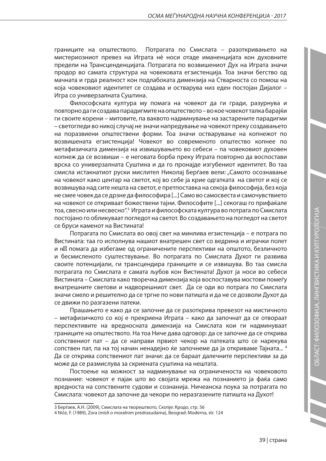границите на општеството. Потрагата по Смислата – разоткривањето на мистериозниот превез на Играта нè носи отаде иманенцијата кон духовните предели на Трансценденцијата. Потрагата по возвишениот Дух на Играта значи продор во самата структура на човековата егзистенција. Тоа значи бегство од мачната и грда реалност кон подлабоката димензија на Стварноста со помош на која човековиот идентитет се создава и остварува низ еден постојан Дијалог – Игра со универзалната Суштина.

Философската култура му помага на човекот да ги гради, разурнува и повторно да ги создава парадигмите на општеството – во кое човекот талка барајќи ги своите корени – митовите, па ваквото надминување на застарените парадигми – светогледи во никој случај не значи напредување на човекот преку создавањето на поразвиени општествени форми. Тоа значи остварување на копнежот по возвишената егзистенција! Човекот во современото општество копнее по метафизичката димензија на извишувањето во себеси – па човековиот духовен копнеж да се возвиши – е неговата борба преку Играта повторно да воспостави врска со универзалната Суштина и да го пронајде изгубениот идентитет. Во таа смисла истакнатиот руски мислител Николај Берѓаев вели: "Самото осознавање на човекот како центар на светот, кој во себе ја крие одгатката на светот и кој се возвишува над сите нешта на светот, е претпоставка на секоја философија, без која не смее човек да се дрзне да философира [...] Само во самосвеста и самочувствието на човекот се откриваат божествени тајни. Философите [...] секогаш го прифаќале тоа, свесно или несвесно".3 Играта и философската култура во потрага по Смислата постојано го обликуваат погледот на светот. Во создавањето на погледот на светот се бруси каменот на Вистината!

Потрагата по Смислата во овој свет на минлива егзистенција – е потрага по Вистината: таа го исполнува нашиот внатрешен свет со ведрина и играчки полет и н помага да избегаме од ограничените перспективи на општото, безличното и бесмисленото суштествување. Во потрагата по Смислата Духот ги развива своите потенцијали, ги трансцендира границите и се извишува. Во таа смисла потрагата по Смислата е самата љубов кон Вистината! Духот ја носи во себеси Вистината – Смислата како творечка димензија која воспоставува мостови помеѓу внатрешните светови и надворешниот свет. Да се оди во потрага по Смислата значи смело и решително да се тргне по нови патишта и да не се дозволи Духот да се движи по разгазени патеки.

Прашањето е како да се започне да се разоткрива превезот на мистичното – метафизичкото со кој е прекриена Играта – како да започнат да се отвораат перспективите на вредносната димензија на Смислата кои ги надминуваат границите на општеството. На тоа Ниче дава одговор: да се започне да се открива сопствениот пат – да се направи првиот чекор на патеката што се нарекува сопствен пат, па на тој начин ненадејно ќе започнеме да ја откриваме Тајната... 4 Да се открива сопствениот пат значи: да се бараат далечните перспективи за да може да се размислува за скриената суштина на нештата.

Постоење на можност за надминување на ограниченоста на човековото познание: човекот е пајак што во својата мрежа на познанието ја фаќа само вредноста на сопствените судови и сознанија. Ничеанска поука за потрагата по Смислата: човекот да започне да чекори по неразгазените патишта на Духот!

<sup>3</sup> Берѓаев, А.Н. (2009), Смислата на творештвото, Скопје: Кродо, стр. 56

<sup>4</sup> Niče, F. (1989), Zora (misli o moralnim predrasudama), Beograd: Moderna, str. 124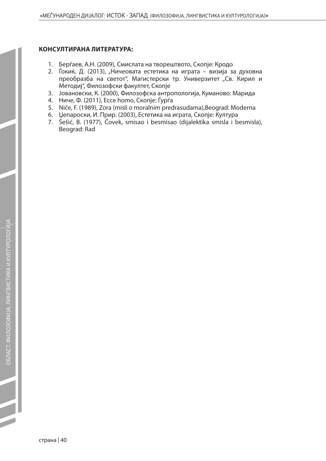### **КОНСУЛТИРАНА ЛИТЕРАТУРА:**

- 1. Берѓаев, А.Н. (2009), Смислата на творештвото, Скопје: Кродо
- 2. Ѓокиќ, Д. (2013), "Ничеовата естетика на играта визија за духовна преобразба на светот", Магистерски тр. Универзитет "Св. Кирил и Методиј", Филозофски факултет, Скопје
- 3. Јовановски, К. (2000), Филозофска антропологија, Куманово: Марида
- 4. Ниче, Ф. (2011), Ecce homo, Скопје: Ѓурѓа
- 5. Niče, F. (1989), Zora (misli o moralnim predrasudama),Beograd: Moderna
- 6. Џепароски, И. Прир. (2003), Естетика на играта, Скопје: Култура
- 7. Šеšić, B. (1977), Čovek, smisao i besmisao (dijalektika smisla i besmisla), Beograd: Rad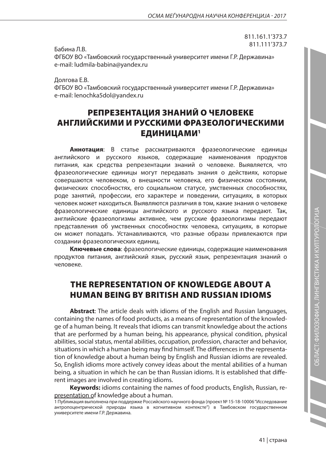811.161.1'373.7 811.111'373.7

Бабина Л.В.

ФГБОУ ВО «Тамбовский государственный университет имени Г.Р. Державина» e-mail: ludmila-babina@yandex.ru

Долгова Е.В. ФГБОУ ВО «Тамбовский государственный университет имени Г.Р. Державина» e-mail: lenochka5dol@yandex.ru

## РЕПРЕЗЕНТАЦИЯ ЗНАНИЙ О ЧЕЛОВЕКЕ АНГЛИЙСКИМИ И РУССКИМИ ФРАЗЕОЛОГИЧЕСКИМИ ЕДИНИЦАМИ1

**Аннотация**: В статье рассматриваются фразеологические единицы английского и русского языков, содержащие наименования продуктов питания, как средства репрезентации знаний о человеке. Выявляется, что фразеологические единицы могут передавать знания о действиях, которые совершаются человеком, о внешности человека, его физическом состоянии, физических способностях, его социальном статусе, умственных способностях, роде занятий, профессии, его характере и поведении, ситуациях, в которых человек может находиться. Выявляются различия в том, какие знания о человеке фразеологические единицы английского и русского языка передают. Так, английские фразеологизмы активнее, чем русские фразеологизмы передают представления об умственных способностях человека, ситуациях, в которые он может попадать. Устанавливаются, что разные образы привлекаются при создании фразеологических единиц.

**Ключевые слова**: фразеологические единицы, содержащие наименования продуктов питания, английский язык, русский язык, репрезентация знаний о человеке.

# THE REPRESENTATION OF KNOWLEDGE ABOUT A HUMAN BEING BY BRITISH AND RUSSIAN IDIOMS

**Abstract**: The article deals with idioms of the English and Russian languages, containing the names of food products, as a means of representation of the knowledge of a human being. It reveals that idioms can transmit knowledge about the actions that are performed by a human being, his appearance, physical condition, physical abilities, social status, mental abilities, occupation, profession, character and behavior, situations in which a human being may find himself. The differences in the representation of knowledge about a human being by English and Russian idioms are revealed. So, English idioms more actively convey ideas about the mental abilities of a human being, a situation in which he can be than Russian idioms. It is established that different images are involved in creating idioms.

**Keywords:** idioms containing the names of food products, English, Russian, representation of knowledge about a human.

<sup>1</sup> Публикация выполнена при поддержке Российского научного фонда (проект № 15-18-10006 "Исследование антропоцентрической природы языка в когнитивном контексте") в Тамбовском государственном университете имени Г.Р. Державина.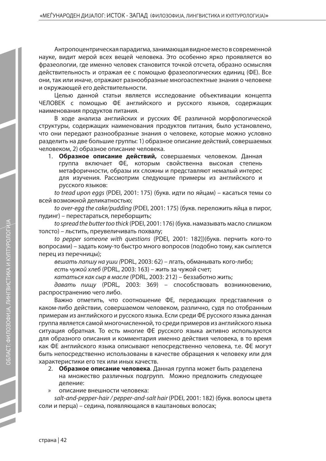Антропоцентрическая парадигма, занимающая видное место в современной науке, видит мерой всех вещей человека. Это особенно ярко проявляется во фразеологии, где именно человек становится точкой отсчета, образно осмысляя действительность и отражая ее с помощью фразеологических единиц (ФЕ). Все они, так или иначе, отражают разнообразные многоаспектные знания о человеке и окружающей его действительности.

Целью данной статьи является исследование объективации концепта ЧЕЛОВЕК с помощью ФЕ английского и русского языков, содержащих наименования продуктов питания.

В ходе анализа английских и русских ФЕ различной морфологической структуры, содержащих наименования продуктов питания, было установлено, что они передают разнообразные знания о человеке, которые можно условно разделить на две большие группы: 1) образное описание действий, совершаемых человеком, 2) образное описание человека.

1. **Образное описание действий,** совершаемых человеком. Данная группа включает ФЕ, которым свойственна высокая степень метафоричности, образы их сложны и представляют немалый интерес для изучения. Рассмотрим следующие примеры из английского и русского языков:

*to tread upon eggs* (PDEI, 2001: 175) (букв. идти по яйцам) – касаться темы со всей возможной деликатностью;

*to over-egg the cake/pudding* (PDEI, 2001: 175) (букв. переложить яйца в пирог, пудинг) – перестараться, переборщить;

*to spread the butter too thick* (PDEI, 2001: 176) (букв. намазывать масло слишком толсто) – льстить, преувеличивать похвалу;

*to pepper someone with questions* (PDEI, 2001: 182])(букв. перчить кого-то вопросами) – задать кому-то быстро много вопросов (подобно тому, как сыплется перец из перечницы);

*вешать лапшу на уши (*PDRL, 2003: 62) – лгать, обманывать кого-либо;

*есть чужой хлеб* (PDRL, 2003: 163) – жить за чужой счет;

*кататься как сыр в масле* (PDRL, 2003: 212) – беззаботно жить;

*давать пищу* (PDRL, 2003: 369) – способствовать возникновению, распространению чего либо.

Важно отметить, что соотношение ФЕ, передающих представления о каком-либо действии, совершаемом человеком, различно, судя по отобранным примерам из английского и русского языка. Если среди ФЕ русского языка данная группа является самой многочисленной, то среди примеров из английского языка ситуация обратная. То есть многие ФЕ русского языка активно используются для образного описания и комментария именно действия человека, в то время как ФЕ английского языка описывают непосредственно человека, т.е. ФЕ могут быть непосредственно использованы в качестве обращения к человеку или для характеристики его тех или иных качеств.

- 2. **Образное описание человека**. Данная группа может быть разделена на множество различных подгрупп. Можно предложить следующее деление:
- » описание внешности человека:

*salt-and-pepper-hair / pepper-and-salt hair* (PDEI, 2001: 182) (букв. волосы цвета соли и перца) – седина, появляющаяся в каштановых волосах;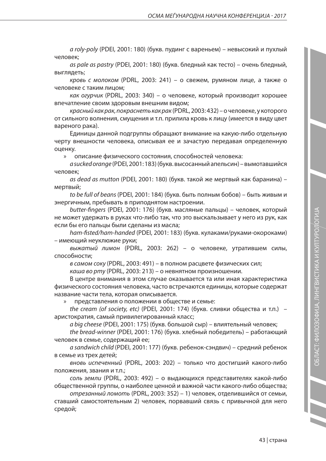*a roly-poly* (PDEI, 2001: 180) (букв. пудинг с вареньем) – невысокий и пухлый человек;

*as pale as pastry* (PDEI, 2001: 180) (букв. бледный как тесто) – очень бледный, выглядеть;

*кровь с молоком* (PDRL, 2003: 241) – о свежем, румяном лице, а также о человеке с таким лицом;

*как огурчик* (PDRL, 2003: 340) – о человеке, который производит хорошее впечатление своим здоровым внешним видом;

*красный как рак, покраснеть как рак* (PDRL, 2003: 432) – о человеке, у которого от сильного волнения, смущения и т.п. прилила кровь к лицу (имеется в виду цвет вареного рака).

Единицы данной подгруппы обращают внимание на какую-либо отдельную черту внешности человека, описывая ее и зачастую передавая определенную оценку.

» описание физического состояния, способностей человека:

*a sucked orange* (PDEI, 2001: 183) (букв. высосанный апельсин) – вымотавшийся человек;

*as dead as mutton* (PDEI, 2001: 180) (букв. такой же мертвый как баранина) – мертвый;

*to be full of beans* (PDEI, 2001: 184) (букв. быть полным бобов) – быть живым и энергичным, пребывать в приподнятом настроении.

*butter-fingers* (PDEI, 2001: 176) (букв. масляные пальцы) – человек, который не может удержать в руках что-либо так, что это выскальзывает у него из рук, как если бы его пальцы были сделаны из масла;

*ham-fisted/ham-handed* (PDEI, 2001: 183) (букв. кулаками/руками-окороками) – имеющий неуклюжие руки;

*выжатый лимон* (PDRL, 2003: 262) – о человеке, утратившем силы, способности;

*в самом соку* (PDRL, 2003: 491) – в полном расцвете физических сил;

*каша во рту* (PDRL, 2003: 213) – о невнятном произношении.

В центре внимания в этом случае оказывается та или иная характеристика физического состояния человека, часто встречаются единицы, которые содержат название части тела, которая описывается.

» представления о положении в обществе и семье:

*the cream (of society, etc)* (PDEI, 2001: 174) (букв. сливки общества и т.п.) – аристократия, самый привилегированный класс;

*a big cheese* (PDEI, 2001: 175) (букв. большой сыр) – влиятельный человек;

*the bread-winner* (PDEI, 2001: 176) (букв. хлебный победитель) – работающий человек в семье, содержащий ее;

*a sandwich child* (PDEI, 2001: 177) (букв. ребенок-сэндвич) – средний ребенок в семье из трех детей;

*вновь испеченный* (PDRL, 2003: 202) – только что достигший какого-либо положения, звания и т.п.;

*соль земли* (PDRL, 2003: 492) – о выдающихся представителях какой-либо общественной группы, о наиболее ценной и важной части какого-либо общества;

*отрезанный ломоть* (PDRL, 2003: 352) – 1) человек, отделившийся от семьи, ставший самостоятельным 2) человек, порвавший связь с привычной для него средой;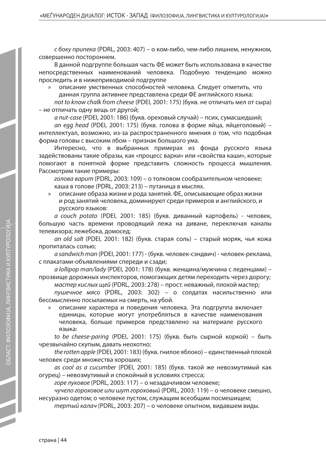*с боку припека* (PDRL, 2003: 407) – о ком-либо, чем-либо лишнем, ненужном, совершенно постороннем.

В данной подгруппе большая часть ФЕ может быть использована в качестве непосредственных наименований человека. Подобную тенденцию можно проследить и в нижеприводимой подгруппе

» описание умственных способностей человека. Следует отметить, что данная группа активнее представлена среди ФЕ английского языка:

*not to know chalk from cheese* (PDEI, 2001: 175) (букв. не отличать мел от сыра) – не отличать одну вещь от другой;

*a nut-case* (PDEI, 2001: 186) (букв. ореховый случай) – псих, сумасшедший;

*an egg head* (PDEI, 2001: 175) (букв. голова в форме яйца, яйцеголовый) – интеллектуал, возможно, из-за распространенного мнения о том, что подобная форма головы с высоким лбом – признак большого ума.

Интересно, что в выбранных примерах из фонда русского языка задействованы такие образы, как «процесс варки» или «свойства каши», которые помогают в понятной форме представить сложность процесса мышления. Рассмотрим такие примеры:

*голова варит* (PDRL, 2003: 109) – о толковом сообразительном человеке; каша в голове (PDRL, 2003: 213) – путаница в мыслях.

» описание образа жизни и рода занятий. ФЕ, описывающие образ жизни и род занятий человека, доминируют среди примеров и английского, и русского языков:

*a couch potato* (PDEI, 2001: 185) (букв. диванный картофель) - человек, большую часть времени проводящий лежа на диване, переключая каналы телевизора; лежебока, домосед;

*an old salt* (PDEI, 2001: 182) (букв. старая соль) – старый моряк, чья кожа пропиталась солью;

*a sandwich man* (PDEI, 2001: 177) - (букв. человек-сэндвич) - человек-реклама, с плакатами-объявлениями спереди и сзади;

*a lollipop man/lady* (PDEI, 2001: 178) (букв. женщина/мужчина с леденцами) – прозвище дорожных инспекторов, помогающих детям переходить через дорогу; *мастер кислых щей* (PDRL, 2003: 278) – прост. неважный, плохой мастер;

*пушечное мясо* (PDRL, 2003: 302) – о солдатах насильственно или бессмысленно посылаемых на смерть, на убой.

» описание характера и поведения человека. Эта подгруппа включает единицы, которые могут употребляться в качестве наименования человека, больше примеров представлено на материале русского языка:

*to be cheese-paring* (PDEI, 2001: 175) (букв. быть сырной коркой) – быть чрезвычайно скупым, давать неохотно;

*the rotten apple* (PDEI, 2001: 183) (букв. гнилое яблоко) – единственный плохой человек среди множества хороших;

*as cool as a cucumber* (PDEI, 2001: 185) (букв. такой же невозмутимый как огурец) – невозмутимый и спокойный в условиях стресса;

*горе луковое* (PDRL, 2003: 117) – о незадачливом человеке;

*чучело гороховое или шут гороховый* (PDRL, 2003: 119) – о человеке смешно, несуразно одетом; о человеке пустом, служащим всеобщим посмешищем;

*тертый калач* (PDRL, 2003: 207) – о человеке опытном, видавшем виды.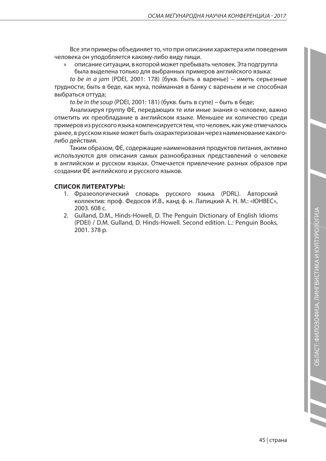Все эти примеры объединяет то, что при описании характера или поведения человека он уподобляется какому-либо виду пищи.

» описание ситуации, в которой может пребывать человек. Эта подгруппа была выделена только для выбранных примеров английского языка:

*to be in a jam* (PDEI, 2001: 178) (букв. быть в варенье) – иметь серьезные трудности, быть в беде, как муха, пойманная в банку с вареньем и не способная выбраться оттуда;

*to be in the soup* (PDEI, 2001: 181) (букв. быть в супе) – быть в беде;

Анализируя группу ФЕ, передающих те или иные знания о человеке, важно отметить их преобладание в английском языке. Меньшее их количество среди примеров из русского языка компенсируется тем, что человек, как уже отмечалось ранее, в русском языке может быть охарактеризован через наименование какоголибо действия.

Таким образом, ФЕ, содержащие наименования продуктов питания, активно используются для описания самых разнообразных представлений о человеке в английском и русском языках. Отмечается привлечение разных образов при создании ФЕ английского и русского языков.

#### **СПИСОК ЛИТЕРАТУРЫ:**

- 1. Фразеологический словарь русского языка (PDRL). Авторский коллектив: проф. Федосов И.В., канд ф. н. Лапицкий А. Н. М.: «ЮНВЕС», 2003. 608 с.
- 2. Gulland, D.M., Hinds-Howell, D. The Penguin Dictionary of English Idioms (PDEI) / D.M. Gulland, D. Hinds-Howell. Second edition. L.: Penguin Books, 2001. 378 p.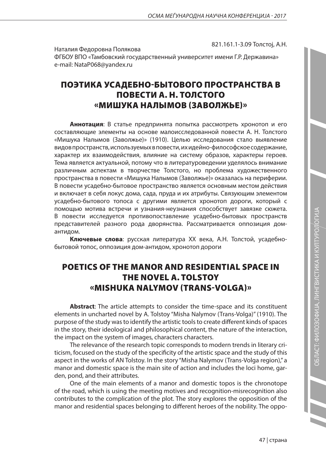821.161.1-3.09 Толстој, А.Н.

Наталия Федоровна Полякова ФГБОУ ВПО «Тамбовский государственный университет имени Г.Р. Державина» e-mail: NataP068@yandex.ru

## ПОЭТИКА УСАДЕБНО-БЫТОВОГО ПРОСТРАНСТВА В ПОВЕСТИ А. Н. ТОЛСТОГО «МИШУКА НАЛЫМОВ (ЗАВОЛЖЬЕ)»

**Аннотация**: В статье предпринята попытка рассмотреть хронотоп и его составляющие элементы на основе малоисследованной повести А. Н. Толстого «Мишука Налымов (Заволжье)» (1910). Целью исследования стало выявление видов пространств, используемых в повести, их идейно-философское содержание, характер их взаимодействия, влияние на систему образов, характеры героев. Тема является актуальной, потому что в литературоведении уделялось внимание различным аспектам в творчестве Толстого, но проблема художественного пространства в повести «Мишука Налымов (Заволжье)» оказалась на периферии. В повести усадебно-бытовое пространство является основным местом действия и включает в себя локус дома, сада, пруда и их атрибуты. Связующим элементом усадебно-бытового топоса с другими является хронотоп дороги, который с помощью мотива встречи и узнания-неузнания способствует завязке сюжета. В повести исследуется противопоставление усадебно-бытовых пространств представителей разного рода дворянства. Рассматривается оппозиция домантидом.

**Ключевые слова**: русская литература XX века, А.Н. Толстой, усадебнобытовой топос, оппозиция дом-антидом, хронотоп дороги

## POETICS OF THE MANOR AND RESIDENTIAL SPACE IN THE NOVEL A. TOLSTOY «MISHUKA NALYMOV (TRANS-VOLGA)»

**Abstract**: The article attempts to consider the time-space and its constituent elements in uncharted novel by A. Tolstoy "Misha Nalymov (Trans-Volga)" (1910). The purpose of the study was to identify the artistic tools to create different kinds of spaces in the story, their ideological and philosophical content, the nature of the interaction, the impact on the system of images, characters characters.

The relevance of the research topic corresponds to modern trends in literary criticism, focused on the study of the specificity of the artistic space and the study of this aspect in the works of AN Tolstoy. In the story "Misha Nalymov (Trans-Volga region)," a manor and domestic space is the main site of action and includes the loci home, garden, pond, and their attributes.

One of the main elements of a manor and domestic topos is the chronotope of the road, which is using the meeting motives and recognition-misrecognition also contributes to the complication of the plot. The story explores the opposition of the manor and residential spaces belonging to different heroes of the nobility. The oppo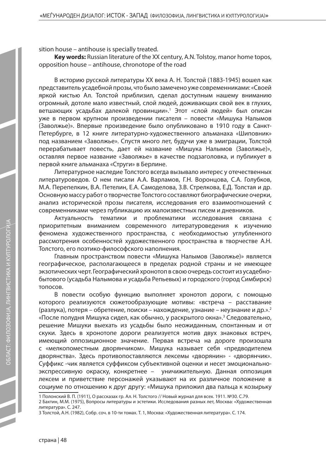sition house – antihouse is specially treated.

**Key words:** Russian literature of the XX century, A.N. Tolstoy, manor home topos, opposition house – antihouse, chronotope of the road

В историю русской литературы XX века А. Н. Толстой (1883-1945) вошел как представитель усадебной прозы, что было замечено уже современниками: «Своей яркой кистью Ал. Толстой приблизил, сделал доступным нашему вниманию огромный, дотоле мало известный, слой людей, доживающих свой век в глухих, ветшающих усадьбах далекой провинции».<sup>1</sup> Этот «слой людей» был описан уже в первом крупном произведении писателя – повести «Мишука Налымов (Заволжье)». Впервые произведение было опубликовано в 1910 году в Санкт-Петербурге, в 12 книге литературно-художественного альманаха «Шиповник» под названием «Заволжье». Спустя много лет, будучи уже в эмиграции, Толстой перерабатывает повесть, дает ей название «Мишука Налымов (Заволжье)», оставляя первое название «Заволжье» в качестве подзаголовка, и публикует в первой книге альманаха «Струги» в Берлине.

Литературное наследие Толстого всегда вызывало интерес у отечественных литературоведов. О нем писали А.А. Варламов, Г.Н. Воронцова, С.А. Голубков, М.А. Перепелкин, В.А. Петелин, Е.А. Самоделова, З.В. Стрелкова, Е.Д. Толстая и др. Основную массу работ о творчестве Толстого составляют биографические очерки, анализ исторической прозы писателя, исследования его взаимоотношений с современниками через публикацию их малоизвестных писем и дневников.

Актуальность тематики и проблематики исследования связана с приоритетным вниманием современного литературоведения к изучению феномена художественного пространства, с необходимостью углубленного рассмотрения особенностей художественного пространства в творчестве А.Н. Толстого, его поэтико-философского наполнения.

Главным пространством повести «Мишука Налымов (Заволжье)» является географическое, располагающееся в пределах родной страны и не имеющее экзотических черт. Географический хронотоп в свою очередь состоит из усадебнобытового (усадьба Налымова и усадьба Репьевых) и городского (город Симбирск) топосов.

В повести особую функцию выполняет хронотоп дороги, с помощью которого реализуются сюжетообразующие мотивы: «встреча – расставание (разлука), потеря – обретение, поиски – нахождение, узнание – неузнание и др.».<sup>2</sup> «После полудня Мишука сидел, как обычно, у раскрытого окна».<sup>3</sup> Следовательно, решение Мишуки выехать из усадьбы было неожиданным, спонтанным и от скуки. Здесь в хронотопе дороги реализуется мотив двух знаковых встреч, имеющий оппозиционное значение. Первая встреча на дороге произошла с «мелкопоместным дворянчиком». Мишука называет себя «предводителем дворянства». Здесь противопоставляются лексемы «дворянин» - «дворянчик». Суффикс -чик является суффиксом субъективной оценки и несет эмоциональноэкспрессивную окраску, конкретнее – уничижительную. Данная оппозиция лексем и приветствие персонажей указывают на их различное положение в социуме по отношению к друг другу: «Мишука приложил два пальца к козырьку

<sup>1</sup> Полонский В. П. (1911), О рассказах гр. Ал. Н. Толстого // Новый журнал для всех. 1911. №30. С.79.

<sup>2</sup> Бахтин, М.М. (1975), Вопросы литературы и эстетики. Исследования разных лет, Москва: «Художественная литература». С. 247.

<sup>3</sup> Толстой, А.Н. (1982), Собр. соч. в 10-ти томах. Т. 1, Москва: «Художественная литература». С. 174.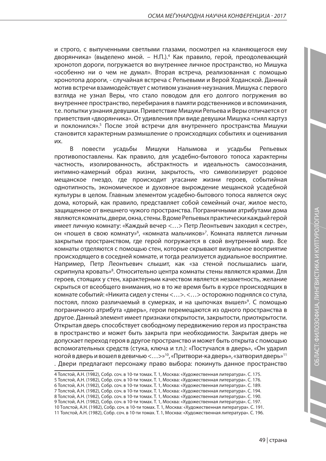и строго, с выпученными светлыми глазами, посмотрел на кланяющегося ему дворянчика» (выделено мной. – Н.П.).<sup>4</sup> Как правило, герой, преодолевающий хронотоп дороги, погружается во внутреннее личное пространство, но Мишука «особенно ни о чем не думал». Вторая встреча, реализованная с помощью хронотопа дороги, - случайная встреча с Репьевыми и Верой Ходанской. Данный мотив встречи взаимодействует с мотивом узнания-неузнания. Мишука с первого взгляда не узнал Веры, что стало поводом для его долгого погружения во внутреннее пространство, перебирания в памяти родственников и вспоминания, т.е. попытки узнания девушки. Приветствие Мишуки Репьева и Веры отличается от приветствия «дворянчика». От удивления при виде девушки Мишука «снял картуз и поклонился».<sup>5</sup> После этой встречи для внутреннего пространства Мишуки становится характерным размышление о происходящих событиях и оценивания их.

В повести усадьбы Мишуки Налымова и усадьбы Репьевых противопоставлены. Как правило, для усадебно-бытового топоса характерны частность, изолированность, абстрактность и идеальность самосознания, интимно-камерный образ жизни, закрытость, что символизирует родовое мещанское гнездо, где происходит угасание жизни героев, событийная однотипность, экономическое и духовное вырождение мещанской усадебной культуры в целом. Главным элементом усадебно-бытового топоса является окус дома, который, как правило, представляет собой семейный очаг, жилое место, защищенное от внешнего чужого пространства. Пограничными атрибутами дома являются комнаты, двери, окна, стены. В доме Репьевых практически каждый герой имеет личную комнату: «Каждый вечер <…> Петр Леонтьевич заходил к сестре», он «пошел в свою комнату»<sup>6</sup>, «комната мальчиков»<sup>7</sup>. Комната является личным закрытым пространством, где герой погружается в свой внутренний мир. Все комнаты отделяются с помощью стен, которые скрывают визуальное восприятие происходящего в соседней комнате, и тогда реализуется аудиальное восприятие. Например, Петр Леонтьевич слышит, как «за стеной послышались шаги, скрипнула кровать»<sup>8</sup>. Относительно центра комнаты стены являются краями. Для героев, стоящих у стен, характерным качеством является незаметность, желание скрыться от всеобщего внимания, но в то же время быть в курсе происходящих в комнате событий: «Никита сидел у стены <…>. <…> осторожно поднялся со стула, постоял, плохо различаемый в сумерках, и на цыпочках вышел»<sup>9</sup>. С помощью пограничного атрибута «дверь», герои перемещаются из одного пространства в другое. Данный элемент имеет признаки открытости, закрытости, приоткрытости. Открытая дверь способствует свободному передвижению героя из пространства в пространство и может быть закрыта при необходимости. Закрытая дверь не допускает переход героя в другое пространство и может быть открыта с помощью вспомогательных средств (стука, ключа и т.п.): «Постучался в дверь», «Он ударил ногой в дверь и вошел в девичью <...>»<sup>10</sup>, «Притвори-ка дверь», «затворил дверь»<sup>11</sup> . Двери предлагают персонажу право выбора: покинуть данное пространство

<sup>4</sup> Толстой, А.Н. (1982), Собр. соч. в 10-ти томах. Т. 1, Москва: «Художественная литература». С. 175.

<sup>5</sup> Толстой, А.Н. (1982), Собр. соч. в 10-ти томах. Т. 1, Москва: «Художественная литература». С. 176.

<sup>6</sup> Толстой, А.Н. (1982), Собр. соч. в 10-ти томах. Т. 1, Москва: «Художественная литература». С. 189.

<sup>7</sup> Толстой, А.Н. (1982), Собр. соч. в 10-ти томах. Т. 1, Москва: «Художественная литература». С. 194. 8 Толстой, А.Н. (1982), Собр. соч. в 10-ти томах. Т. 1, Москва: «Художественная литература». С. 190.

<sup>9</sup> Толстой, А.Н. (1982), Собр. соч. в 10-ти томах. Т. 1, Москва: «Художественная литература». С. 197.

<sup>10</sup> Tолстой, А.Н. (1982), Собр. соч. в 10-ти томах. Т. 1, Москва: «Художественная литература». С. 191.

<sup>11</sup> Толстой, А.Н. (1982), Собр. соч. в 10-ти томах. Т. 1, Москва: «Художественная литература». С. 196.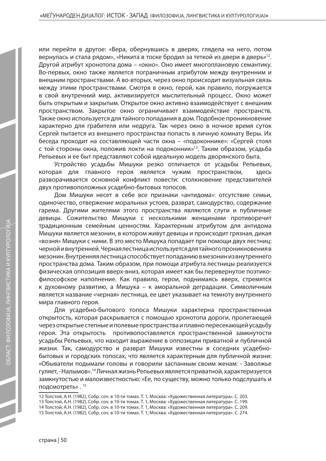или перейти в другое: «Вера, обернувшись в дверях, глядела на него, потом вернулась и стала рядом», «Никита в тоске бродил за теткой из двери в дверь»12. Другой атрибут хронотопа дома – «окно». Оно имеет многоплановую семантику. Во-первых, окно также является пограничным атрибутом между внутренним и внешним пространствами. А во-вторых, через окно происходит визуальная связь между этими пространствами. Смотря в окно, герой, как правило, погружается в свой внутренний мир, активизируется мыслительный процесс. Окно может быть открытым и закрытым. Открытое окно активно взаимодействует с внешним пространством. Закрытое окно ограничивает взаимодействие пространств. Также окно используется для тайного попадания в дом. Подобное проникновение характерно для грабителя или недруга. Так через окно в ночное время суток Сергей пытается из внешнего пространства попасть в личную комнату Веры. Их беседа проходит на составляющей части окна – «подоконнике»: «Сергей стоял с той стороны окна, положив локти на подоконник»13. Таким образом, усадьба Репьевых и ее быт представляют собой идеальную модель дворянского быта.

Устройство усадьбы Мишуки резко отличается от усадьбы Репьевых, которая для главного героя является чужим пространством, здесь разворачивается основной конфликт повести: столкновение представителей двух противоположных усадебно-бытовых топосов.

Дом Мишуки несет в себе все признаки «антидома»: отсутствие семьи, одиночество, отвержение моральных устоев, разврат, самодурство, содержание гарема. Другими жителями этого пространства являются слуги и публичные девицы. Сожительство Мишуки с несколькими женщинами противоречит традиционным семейным ценностям. Характерным атрибутом для антидома Мишуки является мезонин, в котором живут девицы и происходит грязная, дикая «возня» Мишуки с ними. В это место Мишука попадает при помощи двух лестниц: черной и внутренней. Черная лестница используется для тайного проникновения в мезонин. Внутренняя лестница способствует попаданию в мезонин из внутреннего пространства дома. Таким образом, при помощи атрибута лестницы реализуется физическая оппозиция вверх-вниз, которая имеет как бы перевернутое поэтикофилософское наполнение. Как правило, герои, поднимаясь вверх, стремятся к духовному развитию, а Мишука – к аморальной деградации. Символичным является название «черная» лестница, ее цвет указывает на темноту внутреннего мира главного героя.

Для усадебно-бытового топоса Мишуки характерна пространственная открытость, которая раскрывается с помощью хронотопа дороги, пролегающей через открытые степные и полевые пространства и плавно пересекающей усадьбу героя. Эта открытость противопоставляется пространственной замкнутости усадьбы Репьевых, что находит выражение в оппозиции приватной и публичной жизни. Так, самодурство и разврат Мишуки известны в соседних усадебнобытовых и городских топосах, что является характерным для публичной жизни: «Обыватели подымали головы и говорили заспанным своим женам: - Заволжье гуляет, - Налымов».14 Личная жизнь Репьевых является приватной, характеризуется замкнутостью и малоизвестностью: «Ее, по существу, можно только подслушать и подсмотреть» . 15

<sup>12</sup> Толстой, А.Н. (1982), Собр. соч. в 10-ти томах. Т. 1, Москва: «Художественная литература». С. 203.

<sup>13</sup> Толстой, А.Н. (1982), Собр. соч. в 10-ти томах. Т. 1, Москва: «Художественная литература». С. 199.

<sup>14</sup> Толстой, А.Н. (1982), Собр. соч. в 10-ти томах. Т. 1, Москва: «Художественная литература». С. 209.

<sup>15</sup> Толстой, А.Н. (1982), Собр. соч. в 10-ти томах. Т. 1, Москва: «Художественная литература». С. 274.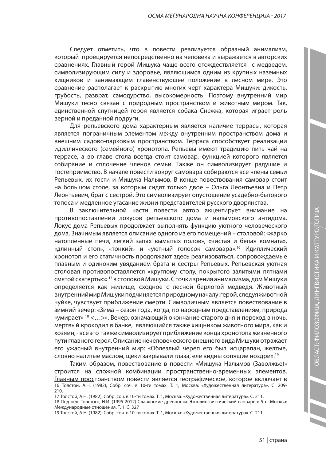Следует отметить, что в повести реализуется образный анимализм, который проецируется непосредственно на человека и выражается в авторских сравнениях. Главный герой Мишука чаще всего отождествляется с медведем, символизирующим силу и здоровье, являющимся одним из крупных наземных хищников и занимающим главенствующее положение в лесном мире. Это сравнение располагает к раскрытию многих черт характера Мишуки: дикость, грубость, разврат, самодурство, высокомерность. Поэтому внутренний мир Мишуки тесно связан с природным пространством и животным миром. Так, единственной спутницей героя является собака Снежка, которая играет роль верной и преданной подруги.

Для репьевского дома характерным является наличие террасы, которая является пограничным элементом между внутренним пространством дома и внешним садово-парковым пространством. Терраса способствует реализации идиллического (семейного) хронотопа. Репьевы имеют традицию пить чай на террасе, а во главе стола всегда стоит самовар, функцией которого является собирание и сплочение членов семьи. Также он символизирует радушие и гостеприимство. В начале повести вокруг самовара собираются все члены семьи Репьевых, их гости и Мишука Налымов. В конце повествования самовар стоит на большом столе, за которым сидят только двое – Ольга Леонтьевна и Петр Леонтьевич, брат с сестрой. Это символизирует опустошение усадебно-бытового топоса и медленное угасание жизни представителей русского дворянства.

В заключительной части повести автор акцентирует внимание на противопоставлении локусов репьевского дома и налымовского антидома. Локус дома Репьевых продолжает выполнять функцию уютного человеческого дома. Значимым является описание одного из его помещений – столовой: «жарко натопленные печи, легкий запах вымытых полов», «чистая и белая комната», «длинный стол», «тонкий» и «уютный голосок самовара».16 Идиллический хронотоп и его статичность продолжают здесь реализоваться, сопровождаемые плавным и одиноким увяданием брата и сестры Репьевых. Репьевская уютная столовая противопоставляется «круглому столу, покрытого залитыми пятнами смятой скатертью» 17 в столовой Мишуки. С точки зрения анимализма, дом Мишуки определяется как жилище, сходное с лесной берлогой медведя. Животный внутренний мир Мишуки подчиняется природному началу: герой, следуя животной чуйке, чувствует приближение смерти. Символичным является повествование в зимний вечер: «Зима – сезон года, когда, по народным представлениям, природа «умирает»  $18$   $<...$ >». Вечер, означающий окончание старого дня и переход в ночь, мертвый крокодил в банке, являющийся также хищником животного мира, как и хозяин, - всё это также символизирует приближение конца хронотопа жизненного пути главного героя. Описание нечеловеческого внешнего вида Мишуки отражает его ужасный внутренний мир: «Облезлый череп его был исцарапан, желтые, словно налитые маслом, щеки закрывали глаза, еле видны сопящие ноздри».19

Таким образом, повествование в повести «Мишука Налымов (Заволжье)» строится на сложной комбинации пространственно-временных элементов. Главным пространством повести является географическое, которое включает в 16 Толстой, А.Н. (1982), Собр. соч. в 10-ти томах. Т. 1, Москва: «Художественная литература». С. 209- 210.

<sup>17</sup> Толстой, А.Н. (1982), Собр. соч. в 10-ти томах. Т. 1, Москва: «Художественная литература». С. 211.

<sup>18</sup> Под ред. Толстого, Н.И. (1995-2012) Славянские древности. Этнолингвистический словарь в 5 т. Москва: Международные отношения. Т. 1. С. 327

<sup>19</sup> Толстой, А.Н. (1982), Собр. соч. в 10-ти томах. Т. 1, Москва: «Художественная литература». С. 211.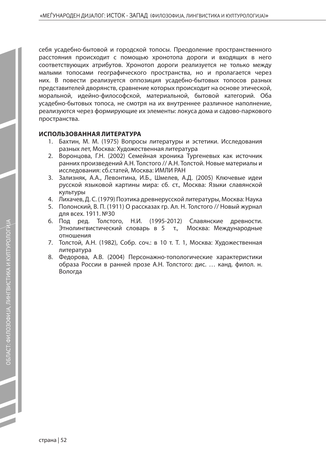себя усадебно-бытовой и городской топосы. Преодоление пространственного расстояния происходит с помощью хронотопа дороги и входящих в него соответствующих атрибутов. Хронотоп дороги реализуется не только между малыми топосами географического пространства, но и пролагается через них. В повести реализуется оппозиция усадебно-бытовых топосов разных представителей дворянств, сравнение которых происходит на основе этической, моральной, идейно-философской, материальной, бытовой категорий. Оба усадебно-бытовых топоса, не смотря на их внутреннее различное наполнение, реализуются через формирующие их элементы: локуса дома и садово-паркового пространства.

#### **ИСПОЛЬЗОВАННАЯ ЛИТЕРАТУРА**

- 1. Бахтин, М. М. (1975) Вопросы литературы и эстетики. Исследования разных лет, Москва: Художественная литература
- 2. Воронцова, Г.Н. (2002) Семейная хроника Тургеневых как источник ранних произведений А.Н. Толстого // А.Н. Толстой. Новые материалы и исследования: сб.статей, Москва: ИМЛИ РАН
- 3. Зализняк, А.А., Левонтина, И.Б., Шмелев, А.Д. (2005) Ключевые идеи русской языковой картины мира: сб. ст., Москва: Языки славянской культуры
- 4. Лихачев, Д. С. (1979) Поэтика древнерусской литературы, Москва: Наука
- 5. Полонский, В. П. (1911) О рассказах гр. Ал. Н. Толстого // Новый журнал для всех. 1911. №30
- 6. Под ред. Толстого, Н.И. (1995-2012) Славянские древности. Этнолингвистический словарь в 5 т., Москва: Международные отношения
- 7. Толстой, А.Н. (1982), Собр. соч.: в 10 т. Т. 1, Москва: Художественная литература
- 8. Федорова, А.В. (2004) Персонажно-топологические характеристики образа России в ранней прозе А.Н. Толстого: дис. … канд. филол. н. Вологда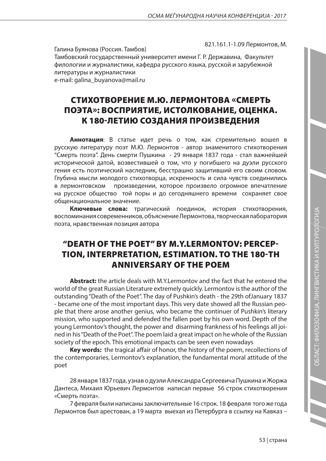821.161.1-1.09 Лермонтов, М.

Галина Буянова (Россия. Тамбов) Тамбовский государственный университет имени Г. Р. Державина, Факультет филологии и журналистики, кафедра русского языка, русской и зарубежной литературы и журналистики e-mail: galina\_buyanova@mail.ru

## СТИХОТВОРЕНИЕ М.Ю. ЛЕРМОНТОВА «СМЕРТЬ ПОЭТА»: ВОСПРИЯТИЕ, ИСТОЛКОВАНИЕ, ОЦЕНКА. К 180-ЛЕТИЮ СОЗДАНИЯ ПРОИЗВЕДЕНИЯ

**Аннотация**: В статье идет речь о том, как стремительно вошел в русскую литературу поэт М.Ю. Лермонтов - автор знаменитого стихотворения "Смерть поэта". День смерти Пушкина - 29 января 1837 года - стал важнейшей исторической датой, возвестившей о том, что у погибшего на дуэли русского гения есть поэтический наследник, бесстрашно защитивший его своим словом. Глубина мысли молодого стихотворца, искренность и сила чувств соединились в лермонтовском произведении, которое произвело огромное впечатление на русское общество той поры и до сегодняшнего времени сохраняет свое общенациональное значение.

**Ключевые слова:** трагический поединок, история стихотворения, воспоминания современников, объяснение Лермонтова, творческая лаборатория поэта, нравственная позиция автора

## "DEATH OF THE POET" BY M.Y.LERMONTOV: PERCEP-TION, INTERPRETATION, ESTIMATION. TO THE 180-TH ANNIVERSARY OF THE POEM

**Abstract:** the article deals with M.Y.Lermontov and the fact that he entered the world of the great Russian Literature extremely quickly. Lermontov is the author of the outstanding "Death of the Poet". The day of Pushkin's death - the 29th ofJanuary 1837 - became one of the most important days. This very date showed all the Russian people that there arose another genius, who became the continuer of Pushkin's literary mission, who supported and defended the fallen poet by his own word. Depth of the young Lermontov's thought, the power and disarming frankness of his feelings all joined in his "Death of the Poet". The poem laid a great impact on he whole of the Russian society of the epoch. This emotional impacts can be seen even nowadays

**Key words:** the tragical affair of honor, the history of the poem, recollections of the contemporaries, Lermontov's explanation, the fundamental moral attitude of the poet

28 января 1837 года, узнав о дуэли Александра Сергеевича Пушкина и Жоржа Дантеса, Михаил Юрьевич Лермонтов написал первые 56 строк стихотворения «Смерть поэта».

7 февраля были написаны заключительные 16 строк. 18 февраля того же года Лермонтов был арестован, а 19 марта выехал из Петербурга в ссылку на Кавказ –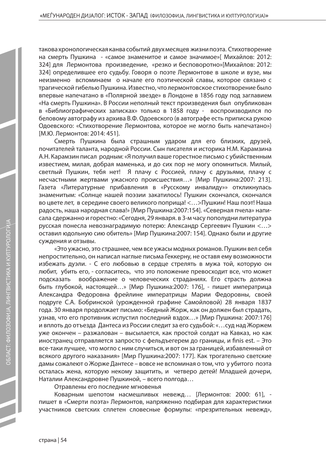такова хронологическая канва событий двух месяцев жизни поэта. Стихотворение на смерть Пушкина - «самое знаменитое и самое значимое»[ Михайлов: 2012: 324] для Лермонтова произведение, «резко и бесповоротно»[Михайлов: 2012: 324] определившее его судьбу. Говоря о поэте Лермонтове в школе и вузе, мы неизменно вспоминаем о начале его поэтической славы, которое связано с трагической гибелью Пушкина. Известно, что лермонтовское стихотворение было впервые напечатано в «Полярной звезде» в Лондоне в 1856 году под заглавием «На смерть Пушкина». В России неполный текст произведения был опубликован в «Библиографических записках» только в 1858 году - воспроизводился по беловому автографу из архива В.Ф. Одоевского (в автографе есть приписка рукою Одоевского: «Стихотворение Лермонтова, которое не могло быть напечатано») [М.Ю. Лермонтов: 2014: 451].

Смерть Пушкина была страшным ударом для его близких, друзей, почитателей таланта, народной России. Сын писателя и историка Н.М. Карамзина А.Н. Карамзин писал родным: «Я получил ваше горестное письмо с убийственным известием, милая, добрая маменька, и до сих пор не могу опомниться. Милый, светлый Пушкин, тебя нет! Я плачу с Россией, плачу с друзьями, плачу с несчастными жертвами ужасного происшествия…» [Мир Пушкина:2007: 213]. Газета «Литературные прибавления в «Русскому инвалиду»» откликнулась знаменитым: «Солнце нашей поэзии закатилось! Пушкин скончался, скончался во цвете лет, в середине своего великого поприща! <…>Пушкин! Наш поэт! Наша радость, наша народная слава!» [Мир Пушкина:2007:154]. «Северная пчела» напиcала сдержанно и горестно: «Сегодня, 29 января. в 3-м часу пополудни литература русская понесла невознаградимую потерю: Александр Сергеевич Пушкин <…> оставил юдольную сию обитель» [Мир Пушкина:2007: 154]. Однако были и другие суждения и отзывы.

«Это ужасно, это страшнее, чем все ужасы модных романов. Пушкин вел себя непростительно, он написал наглые письма Геккерну, не оставя ему возможности избежать дуэли. - С его любовью в сердце стрелять в мужа той, которую он любит, убить его, - согласитесь, что это положение превосходит все, что может подсказать воображение о человеческих страданиях. Его страсть должна быть глубокой, настоящей…» [Мир Пушкина:2007: 176], - пишет императрица Александра Федоровна фрейлине императрицы Марии Федоровны, своей подруге С.А. Бобринской (урожденной графине Самойловой) 28 января 1837 года. 30 января продолжает письмо: «Бедный Жорж, как он должен был страдать, узнав, что его противник испустил последний вздох…» [Мир Пушкина: 2007:176] и вплоть до отъезда Дантеса из России следит за его судьбой: «…суд над Жоржем уже окончен – разжалован – высылается, как простой солдат на Кавказ, но как иностранец отправляется запросто с фельдъегерем до границы, и finis est. – Это все-таки лучшее, что могло с ним случиться, и вот он за границей, избавленный от всякого другого наказания» [Мир Пушкина:2007: 177]. Как трогательно светские дамы сожалеют о Жорже Дантесе – вовсе не вспоминая о том, что у убитого поэта осталась жена, которую некому защитить, и четверо детей! Младшей дочери, Наталии Александровне Пушкиной, – всего полгода…

Отравлены его последние мгновенья

Коварным шепотом насмешливых невежд… [Лермонтов: 2000: 61], пишет в «Смерти поэта» Лермонтов, напряженно подбирая для характеристики участников светских сплетен словесные формулы: «презрительных невежд»,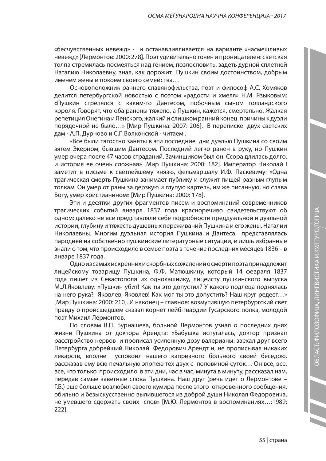«бесчувственных невежд» - и останавливливается на варианте «насмешливых невежд» [Лермонтов: 2000: 278]. Поэт удивительно точен и проницателен: светская толпа стремилась посмеяться над гением, позлословить, задеть дурной сплетней Наталию Николаевну, зная, как дорожит Пушкин своим достоинством, добрым именем жены и покоем своего семейства…

Основоположник раннего славянофильства, поэт и философ А.С. Хомяков делится петербургской новостью с поэтом «радости и хмеля» Н.М. Языковым: «Пушкин стрелялся с каким-то Дантесом, побочным сыном голландского короля. Говорят, что оба ранены тяжело, а Пушкин, кажется, смертельно. Жалкая репетиция Онегина и Ленского, жалкий и слишком ранний конец. причины к дуэли порядочной не было…» [Мир Пушкина: 2007: 206]. В переписке двух светских дам - А.П. Дурново и С.Г. Волконской - читаем:.

«Все были тягостно заняты в эти последние дни дуэлью Пушкина со своим зятем Экерном, бывшим Дантесом. Последний легко ранен в руку, но Пушкин умер вчера после 47 часов страданий. Зачинщиком был он. Ссора длилась долго, и история ее очень сложная» [Мир Пушкина: 2000: 182]. Император Николай I заметит в письме к светлейшему князю, фельмаршалу И.Ф. Паскевичу: «Одна трагическая смерть Пушкина занимает публику и служит пищей разным глупым толкам. Он умер от раны за дерзкую и глупую картель, им же писанную, но слава Богу, умер христианином» [Мир Пушкина: 2000: 178].

Эти и десятки других фрагментов писем и воспоминаний современников трагических событий января 1837 года красноречиво свидетельствуют об одном: далеко не все представляли себе подробности преддуэльной и дуэльной истории, глубину и тяжесть душевных переживаний Пушкина и его жены, Наталии Николаевны. Многим дуэльная история Пушкина и Дантеса представлялась пародией на собственно пушкинские литературные ситуации, и лишь избранные знали о том, что происходило в семье поэта в течение последних месяцев 1836 – в январе 1837 года.

Одно из самых искренних и скорбных сожалений о смерти поэта принадлежит лицейскому товарищу Пушкина, Ф.Ф. Матюшкину, который 14 февраля 1837 года пишет из Севастополя их однокашнику, лицеисту пушкинского выпуска М..Л.Яковлеву: «Пушкин убит! Как ты это допустил? У какого подлеца поднялась на него рука? Яковлев, Яковлев! Как мог ты это допустить? Наш круг редеет…» [Мир Пушкина: 2000: 210]. И наконец – главное: возмутившую петербургский свет правду о происшедшем сказал корнет лейб-гвардии Гусарского полка, молодой поэт Михаил Лермонтов.

По словам В.П. Бурнашева, больной Лермонтов узнал о последних днях жизни Пушкина от доктора Арендта: «Бабушка испугалась, доктор признал расстройство нервов и прописал усиленную дозу валерианы: заехал друг всего Петербурга добрейший Николай Федорович Арендт и, не прописывая никаких лекарств, вполне успокоил нашего капризного больного своей беседою, рассказав ему всю печальную эпопею тех двух с половиной суток… Он все, все, все, что только происходило в эти дни, час в час, минута в минуту, рассказал нам, передав самые заветные слова Пушкина. Наш друг (речь идет о Лермонтове – Г.Б.) еще больше возлюбил своего кумира после этого откровенного сообщения, обильно и безыскусственно вылившегося из доброй души Николая Федоровича, не умевшего сдержать своих слов» [М.Ю. Лермонтов в воспоминаниях…:1989: 222].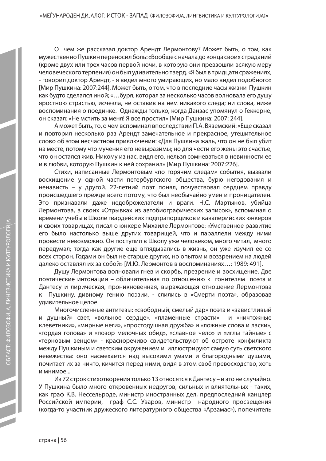О чем же рассказал доктор Арендт Лермонтову? Может быть, о том, как мужественно Пушкин переносил боль: «Вообще с начала до конца своих страданий (кроме двух или трех часов первой ночи, в которую они превзошли всякую меру человеческого терпения) он был удивительно тверд. «Я был в тридцати сражениях, - говорил доктор Арендт, - я видел много умирающих, но мало видел подобного» [Мир Пушкина: 2007:244]. Может быть, о том, что в последние часы жизни Пушкин как будто сделался иной; «…буря, которая за несколько часов волновала его душу яростною страстью, исчезла, не оставив на нем никакого следа; ни слова, ниже воспоминания о поединке. Однажды только, когда Данзас упомянул о Геккерне, он сказал: «Не мстить за меня! Я все простил» [Мир Пушкина: 2007: 244].

А может быть, то, о чем вспоминал впоследствии П.А. Вяземский: «Еще сказал и повторил несколько раз Арендт замечательное и прекрасное, утешительное слово об этом несчастном приключении: «Для Пушкина жаль, что он не был убит на месте, потому что мучения его невыразимы; но для чести его жены это счастье, что он остался жив. Никому из нас, видя его, нельзя сомневаться в невинности ее и в любви, которую Пушкин к ней сохранил» [Мир Пушкина: 2007:226].

Стихи, написанные Лермонтовым «по горячим следам» события, вызвали восхищение у одной части петербургского общества, бурю негодования и ненависть – у другой. 22-летний поэт понял, почувствовал сердцем правду происшедшего прежде всего потому, что был необычайно умен и проницателен. Это признавали даже недоброжелатели и враги. Н.С. Мартынов, убийца Лермонтова, в своих «Отрывках из автобиографических записок», вспоминая о времени учебы в Школе гвардейских подпрапорщиков и кавалерийских юнкеров и своих товарищах, писал о юнкере Михаиле Лермонтове: «Умственное развитие его было настолько выше других товарищей, что и параллели между ними провести невозможно. Он поступил в Школу уже человеком, много читал, много передумал; тогда как другие еще вглядывались в жизнь, он уже изучил ее со всех сторон. Годами он был не старше других, но опытом и воззрением на людей далеко оставлял их за собой» [М.Ю. Лермонтов в воспоминаниях…: 1989: 491].

Душу Лермонтова волновали гнев и скорбь, презрение и восхищение. Две поэтические интонации – обличительная по отношению к гонителям поэта и Дантесу и лирическая, проникновенная, выражающая отношение Лермонтова к Пушкину, дивному гению поэзии, - слились в «Смерти поэта», образовав удивительное целое.

Многочисленные антитезы: «свободный, смелый дар» поэта и «завистливый и душный» свет, «вольное сердце». «пламенные страсти» и «ничтожные клеветники», «мирные неги», «простодушная дружба» и «ложные слова и ласки», «гордая голова» и «позор мелочных обид», «славное чело» и «иглы тайные» с «терновым венцом» - красноречиво свидетельствуют об остроте конфиликта между Пушкиным и светским окружением и иллюстрируют самую суть светского невежества: оно насмехается над высокими умами и благородными душами, почитает их за ничто, кичится перед ними, видя в этом своё превосходство, хоть и мнимое...

Из 72 строк стихотворения только 13 относятся к Дантесу – и это не случайно. У Пушкина было много откровенных недругов, сильных и влиятельных - таких, как граф К.В. Нессельроде, министр иностранных дел, предпоследний канцлер Российской империи, граф С.С. Уваров, министр народного просвещения (когда-то участник дружеского литературного общества «Арзамас»), попечитель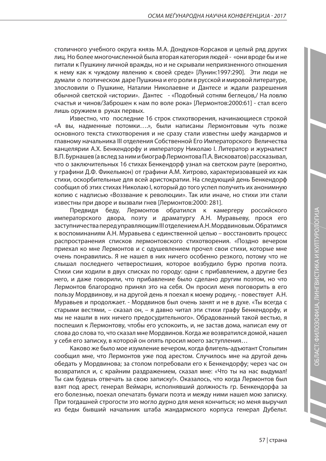столичного учебного округа князь М.А. Дондуков-Корсаков и целый ряд других лиц. Но более многочисленной была вторая категория людей - «они вроде бы и не питали к Пушкину личной вражды, но и не скрывали неприязненного отношения к нему как к чуждому явлению к своей среде» [Лунин:1997:290]. Эти люди не думали о поэтическом даре Пушкина и его роли в русской и мировой литературе, злословили о Пушкине, Наталии Николаевне и Дантесе и ждали разрешения обычной светской «истории». Дантес - «Подобный сотням беглецов,/ На ловлю счастья и чинов/Заброшен к нам по воле рока» [Лермонтов:2000:61] - стал всего лишь оружием в руках первых.

Известно, что последние 16 строк стихотворения, начинающиеся строкой «А вы, надменные потомки….», были написаны Лермонтовым чуть позже основного текста стихотворения и не сразу стали известны шефу жандармов и главному начальника III отделения Собственной Его Императорского Величества канцелярии А.Х. Бенкендорфу и императору Николаю I. Литератор и журналист В.П. Бурнашев (а вслед за ним и биограф Лермонтова П.А. Висковатов) рассказывал, что о заключительных 16 стихах Бенкендорф узнал на светском рауте (вероятно, у графини Д.Ф. Фикельмон) от графини А.М. Хитрово, характеризовавшей их как стихи, оскорбительные для всей аристократии. На следующий день Бенкендорф сообщил об этих стихах Николаю I, который до того успел получить их анонимную копию с надписью «Воззвание к революции». Так или иначе, но стихи эти стали известны при дворе и вызвали гнев [Лермонтов:2000: 281].

Предвидя беду, Лермонтов обратился к камергеру российского императорского двора, поэту и драматургу А.Н. Муравьеву, прося его заступничества перед управляющим III отделением А.Н. Мордвиновым. Обратимся к воспоминаниям А.Н. Муравьева с единственной целью – восстановить процесс распространения списков лермонтовского стихотворения. «Поздно вечером приехал ко мне Лермонтов и с одушевлением прочел свои стихи, которые мне очень понравились. Я не нашел в них ничего особенно резкого, потому что не слышал последнего четверостишия, которое возбудило бурю против поэта. Стихи сии ходили в двух списках по городу: одни с прибавлением, а другие без него, и даже говорили, что прибавление было сделано другим поэтом, но что Лермонтов благородно принял это на себя. Он просил меня поговорить в его пользу Мордвинову, и на другой день я поехал к моему родичу, - повествует А.Н. Муравьев и продолжает. - Мордвинов был очень занят и не в духе. «Ты всегда с старыми вестями, – сказал он, – я давно читал эти стихи графу Бенкендорфу, и мы не нашли в них ничего предосудительного». Обрадованный такой вестью, я поспешил к Лермонтову, чтобы его успокоить, и, не застав дома, написал ему от слова до слова то, что сказал мне Мордвинов. Когда же возвратился домой, нашел у себя его записку, в которой он опять просил моего заступления…

Каково же было мое изумление вечером, когда флигель-адъютант Столыпин сообщил мне, что Лермонтов уже под арестом. Случилось мне на другой день обедать у Мордвинова; за столом потребовали его к Бенкендорфу; через час он возвратился и, с крайним раздражением, сказал мне: «Что ты на нас выдумал! Ты сам будешь отвечать за свою записку!». Оказалось, что когда Лермонтов был взят под арест, генерал Веймарн, исполнявший должность гр. Бенкендорфа за его болезнью, поехал опечатать бумаги поэта и между ними нашел мою записку. При тогдашней строгости это могло дурно для меня кончиться; но меня выручил из беды бывший начальник штаба жандармского корпуса генерал Дубельт.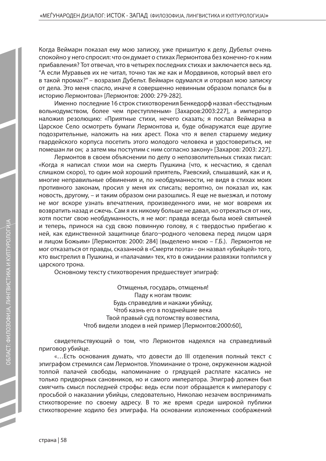Когда Веймарн показал ему мою записку, уже пришитую к делу, Дубельт очень спокойно у него спросил: что он думает о стихах Лермонтова без конечно-го к ним прибавления? Тот отвечал, что в четырех последних стихах и заключается весь яд. "А если Муравьев их не читал, точно так же как и Мордвинов, который ввел его в такой промах?" – возразил Дубельт. Веймарн одумался и оторвал мою записку от дела. Это меня спасло, иначе я совершенно невинным образом попался бы в историю Лермонтова» [Лермонтов: 2000: 279-282].

Именно последние 16 строк стихотворения Бенкедорф назвал «бесстыдным вольнодумством, более чем преступленым» [Захаров:2003:227], а император наложил резолюцию: «Приятные стихи, нечего сказать; я послал Веймарна в Царское Село осмотреть бумаги Лермонтова и, буде обнаружатся еще другие подозрительные, наложить на них арест. Пока что я велел старшему медику гвардейского корпуса посетить этого молодого человека и удостовериться, не помешан ли он; а затем мы поступим с ним согласно закону» [Захаров: 2003: 227].

Лермонтов в своем объяснении по делу о непозволительных стихах писал: «Когда я написал стихи мои на смерть Пушкина (что, к несчастию, я сделал слишком скоро), то один мой хороший приятель, Раевский, слышавший, как и я, многие неправильные обвинения и, по необдуманности, не видя в стихах моих противного законам, просил у меня их списать; вероятно, он показал их, как новость, другому, – и таким образом они разошлись. Я еще не выезжал, и потому не мог вскоре узнать впечатления, произведенного ими, не мог вовремя их возвратить назад и сжечь. Сам я их никому больше не давал, но отрекаться от них, хотя постиг свою необдуманность, я не мог: правда всегда была моей святыней и теперь, принося на суд свою повинную голову, я с твердостью прибегаю к ней, как единственной защитнице благо¬родного человека перед лицом царя и лицом Божьим» [Лермонтов: 2000: 284] (выделено мною – Г.Б.). Лермонтов не мог отказаться от правды, сказанной в «Смерти поэта» - он назвал «убийцей» того, кто выстрелил в Пушкина, и «палачами» тех, кто в ожидании развязки толпился у царского трона.

Основному тексту стихотворения предшествует эпиграф:

Отмщенья, государь, отмщенья! Паду к ногам твоим: Будь справедлив и накажи убийцу, Чтоб казнь его в позднейшие века Твой правый суд потомству возвестила, Чтоб видели злодеи в ней пример [Лермонтов:2000:60],

свидетельствующий о том, что Лермонтов надеялся на справедливый приговор убийце.

«…Есть основания думать, что довести до III отделения полный текст с эпиграфом стремился сам Лермонтов. Упоминание о троне, окруженном жадной толпой палачей свободы, напоминание о грядущей расплате касались не только придворных сановников, но и самого императора. Эпиграф должен был смягчить смысл последней строфы: ведь если поэт обращается к императору с просьбой о наказании убийцы, следовательно, Николаю незачем воспринимать стихотворение по своему адресу. В то же время среди широкой публики стихотворение ходило без эпиграфа. На основании изложенных соображений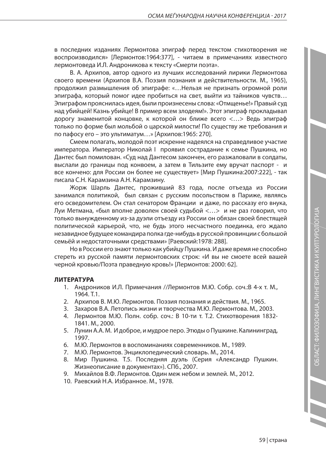в последних изданиях Лермонтова эпиграф перед текстом стихотворения не воспроизводился» [Лермонтов:1964:377], - читаем в примечаниях известного лермонтоведа И.Л. Андроникова к тексту «Смерти поэта».

В. А. Архипов, автор одного из лучших исследований лирики Лермонтова своего времени (Архипов В.А. Поэзия познания и действительности. М., 1965), продолжил размышления об эпиграфе: «…Нельзя не признать огромной роли эпиграфа, который помог идее пробиться на свет, выйти из тайников чувств… Эпиграфом прояснилась идея, были произнесены слова: «Отмщенье!» Правый суд над убийцей! Казнь убийце! В пример всем злодеям!». Этот эпиграф прокладывал дорогу знаменитой концовке, к которой он ближе всего <…> Ведь эпиграф только по форме был мольбой о царской милости! По существу же требования и по пафосу его – это ультиматум…» [Архипов:1965: 270].

Смеем полагать, молодой поэт искренне надеялся на справедливое участие императора. Император Николай I проявил сострадание к семье Пушкина, но Дантес был помилован. «Суд над Дантесом закончен, его разжаловали в солдаты, выслали до границы под конвоем, а затем в Тильзите ему вручат паспорт - и все кончено: для России он более не существует» [Мир Пушкина:2007:222], - так писала С.Н. Карамзина А.Н. Карамзину.

Жорж Шарль Дантес, проживший 83 года, после отъезда из России занимался политикой, был связан с русским посольством в Париже, являясь его осведомителем. Он стал сенатором Франции и даже, по рассказу его внука, Луи Метмана, «был вполне доволен своей судьбой <…> и не раз говорил, что только вынужденному из-за дуэли отъезду из России он обязан своей блестящей политической карьерой, что, не будь этого несчастного поединка, его ждало незавидное будущее командира полка где-нибудь в русской провинции с большой семьёй и недостаточными средствами» [Раевский:1978: 288].

Но в России его знают только как убийцу Пушкина. И даже время не способно стереть из русской памяти лермонтовских строк: «И вы не смоете всей вашей черной кровью/Поэта праведную кровь!» [Лермонтов: 2000: 62].

#### **ЛИТЕРАТУРА**

- 1. Андроников И.Л. Примечания //Лермонтов М.Ю. Собр. соч.:В 4-х т. М., 1964. Т.1.
- 2. Архипов В. М.Ю. Лермонтов. Поэзия познания и действия. М., 1965.
- 3. Захаров В.А. Летопись жизни и творчества М.Ю. Лермонтова. М., 2003.
- 4. Лермонтов М.Ю. Полн. собр. соч.: В 10-ти т. Т.2. Стихотворения 1832- 1841. М., 2000.
- 5. Лунин А.А. М. И доброе, и мудрое перо. Этюды о Пушкине. Калининград, 1997.
- 6. М.Ю. Лермонтов в воспоминаниях современников. М., 1989.
- 7. М.Ю. Лермонтов. Энциклопедический словарь. М., 2014.
- 8. Мир Пушкина. Т.5. Последняя дуэль (Серия «Александр Пушкин. Жизнеописание в документах»). СПб., 2007.
- 9. Михайлов В.Ф. Лермонтов. Один меж небом и землей. М., 2012.
- 10. Раевский Н.А. Избранное. М., 1978.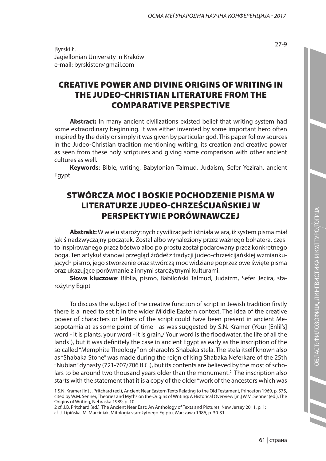27-9

Byrski Ł. Jagiellonian University in Kraków e-mail: byrskister@gmail.com

### CREATIVE POWER AND DIVINE ORIGINS OF WRITING IN THE JUDEO-CHRISTIAN LITERATURE FROM THE COMPARATIVE PERSPECTIVE

**Abstract:** In many ancient civilizations existed belief that writing system had some extraordinary beginning. It was either invented by some important hero often inspired by the deity or simply it was given by particular god. This paper follow sources in the Judeo-Christian tradition mentioning writing, its creation and creative power as seen from these holy scriptures and giving some comparison with other ancient cultures as well.

**Keywords**: Bible, writing, Babylonian Talmud, Judaism, Sefer Yezirah, ancient Egypt

### STWÓRCZA MOC I BOSKIE POCHODZENIE PISMA W LITERATURZE JUDEO-CHRZEŚCIJAŃSKIEJ W PERSPEKTYWIE PORÓWNAWCZEJ

**Abstrakt:** W wielu starożytnych cywilizacjach istniała wiara, iż system pisma miał jakiś nadzwyczajny początek. Został albo wynaleziony przez ważnego bohatera, często inspirowanego przez bóstwo albo po prostu został podarowany przez konkretnego boga. Ten artykuł stanowi przegląd źródeł z tradycji judeo-chrześcijańskiej wzmiankujących pismo, jego stworzenie oraz stwórczą moc widziane poprzez owe święte pisma oraz ukazujące porównanie z innymi starożytnymi kulturami.

**Słowa kluczowe**: Biblia, pismo, Babiloński Talmud, Judaizm, Sefer Jecira, starożytny Egipt

To discuss the subject of the creative function of script in Jewish tradition firstly there is a need to set it in the wider Middle Eastern context. The idea of the creative power of characters or letters of the script could have been present in ancient Mesopotamia at as some point of time - as was suggested by S.N. Kramer (Your [Enlil's] word - it is plants, your word - it is grain,/ Your word is the floodwater, the life of all the lands<sup>1</sup>), but it was definitely the case in ancient Egypt as early as the inscription of the so called "Memphite Theology" on pharaoh's Shabaka stela. The stela itself known also as "Shabaka Stone" was made during the reign of king Shabaka Neferkare of the 25th "Nubian" dynasty (721-707/706 B.C.), but its contents are believed by the most of scholars to be around two thousand years older than the monument.<sup>2</sup> The inscription also starts with the statement that it is a copy of the older "work of the ancestors which was

<sup>1</sup> S.N. Kramer [in] J. Pritchard (ed.), Ancient Near Eastern Texts Relating to the Old Testament, Princeton 1969, p. 575, cited by W.M. Senner, Theories and Myths on the Origins of Writing: A Historical Overview [in:] W.M. Senner (ed.), The Origins of Writing, Nebraska 1989, p. 10.

<sup>2</sup> cf. J.B. Pritchard (ed.), The Ancient Near East: An Anthology of Texts and Pictures, New Jersey 2011, p. 1;

cf. J. Lipińska, M. Marciniak, Mitologia starożytnego Egiptu, Warszawa 1986, p. 30-31.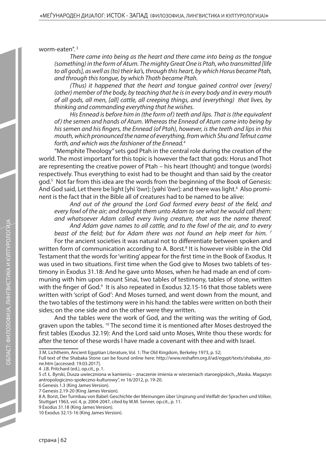#### worm-eaten".<sup>3</sup>

*There came into being as the heart and there came into being as the tongue (something) in the form of Atum. The mighty Great One is Ptah, who transmitted [life to all gods], as well as (to) their ka's, through this heart, by which Horus became Ptah, and through this tongue, by which Thoth became Ptah.*

*(Thus) it happened that the heart and tongue gained control over [every] (other) member of the body, by teaching that he is in every body and in every mouth of all gods, all men, [all] cattle, all creeping things, and (everything) that lives, by thinking and commanding everything that he wishes.*

*His Ennead is before him in (the form of) teeth and lips. That is (the equivalent of) the semen and hands of Atum. Whereas the Ennead of Atum came into being by his semen and his fingers, the Ennead (of Ptah), however, is the teeth and lips in this mouth, which pronounced the name of everything, from which Shu and Tefnut came forth, and which was the fashioner of the Ennead.4*

"Memphite Theology" sets god Ptah in the central role during the creation of the world. The most important for this topic is however the fact that gods: Horus and Thot are representing the creative power of Ptah – his heart (thought) and tongue (words) respectively. Thus everything to exist had to be thought and than said by the creator god.5 Not far from this idea are the words from the beginning of the Book of Genesis: And God said, Let there be light [yhī 'ōwr]: [yəhī 'ōwr]: and there was light.<sup>6</sup> Also prominent is the fact that in the Bible all of creatures had to be named to be alive:

*And out of the ground the Lord God formed every beast of the field, and every fowl of the air; and brought them unto Adam to see what he would call them: and whatsoever Adam called every living creature, that was the name thereof. And Adam gave names to all cattle, and to the fowl of the air, and to every* 

*beast of the field; but for Adam there was not found an help meet for him. 7*

For the ancient societies it was natural not to differentiate between spoken and written form of communication according to A. Borst.<sup>8</sup> It is however visible in the Old Testament that the words for 'writing' appear for the first time in the Book of Exodus. It was used in two situations. First time when the God give to Moses two tablets of testimony in Exodus 31.18: And he gave unto Moses, when he had made an end of communing with him upon mount Sinai, two tables of testimony, tables of stone, written with the finger of God.<sup>9</sup> It is also repeated in Exodus 32.15-16 that those tablets were written with 'script of God': And Moses turned, and went down from the mount, and the two tables of the testimony were in his hand: the tables were written on both their sides; on the one side and on the other were they written.

And the tables were the work of God, and the writing was the writing of God, graven upon the tables. 10 The second time it is mentioned after Moses destroyed the first tables (Exodus 32.19): And the Lord said unto Moses, Write thou these words: for after the tenor of these words I have made a covenant with thee and with Israel.

4 J.B. Pritchard (ed.), op.cit., p. 1.

9 Exodus 31.18 (King James Version).

<sup>3</sup> M. Lichtheim, Ancient Egyptian Literature, Vol. 1: The Old Kingdom, Berkeley 1973, p. 52;

Full text of the Shabaka Stone can be found online here: http://www.reshafim.org.il/ad/egypt/texts/shabaka\_stone.htm [accessed: 19.03.2017].

<sup>5</sup> cf. Ł. Byrski, Dusza uwieczniona w kamieniu – znaczenie imienia w wierzeniach staroegipskich, "Maska. Magazyn antropologiczno-społeczno-kulturowy", nr 16/2012, p. 19-20.

<sup>6</sup> Genesis 1.3 (King James Version).

<sup>7</sup> Genesis 2.19-20 (King James Version).

<sup>8</sup> A. Borst, Der Turmbau von Babel: Geschichte der Meinungen über Ursprung und Vielfalt der Sprachen und Völker, Stuttgart 1963, vol. 4, p. 2004-2047, cited by W.M. Senner, op.cit., p. 11.

<sup>10</sup> Exodus 32.15-16 (King James Version).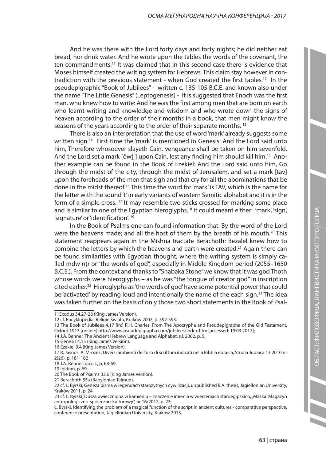And he was there with the Lord forty days and forty nights; he did neither eat bread, nor drink water. And he wrote upon the tables the words of the covenant, the ten commandments.11 It was claimed that in this second case there is evidence that Moses himself created the writing system for Hebrews. This claim stay however in contradiction with the previous statement - when God created the first tables.12 In the pseudepigraphic "Book of Jubilees" - written c. 135-105 B.C.E. and known also under the name "The Little Genesis" (Leptogenesis) - it is suggested that Enoch was the first man, who knew how to write: And he was the first among men that are born on earth who learnt writing and knowledge and wisdom and who wrote down the signs of heaven according to the order of their months in a book, that men might know the seasons of the years according to the order of their separate months. 13

There is also an interpretation that the use of word 'mark' already suggests some written sign.<sup>14</sup> First time the 'mark' is mentioned in Genesis: And the Lord said unto him, Therefore whosoever slayeth Cain, vengeance shall be taken on him sevenfold. And the Lord set a mark [ōwt ] upon Cain, lest any finding him should kill him.<sup>15</sup> Another example can be found in the Book of Ezekiel: And the Lord said unto him, Go through the midst of the city, through the midst of Jerusalem, and set a mark [tav] upon the foreheads of the men that sigh and that cry for all the abominations that be done in the midst thereof.16 This time the word for 'mark' is TAV, which is the name for the letter with the sound 't' in early variants of western Semitic alphabet and it is in the form of a simple cross. 17 It may resemble two sticks crossed for marking some place and is similar to one of the Egyptian hieroglyphs.<sup>18</sup> It could meant either: 'mark', 'sign', 'signature' or 'identification'. 19

In the Book of Psalms one can found information that: By the word of the Lord were the heavens made; and all the host of them by the breath of his mouth.<sup>20</sup> This statement reappears again in the Mishna tractate Berachoth: Bezalel knew how to combine the letters by which the heavens and earth were created.<sup>21</sup> Again there can be found similarities with Egyptian thought, where the writing system is simply called mdw nţr or "the words of god", especially in Middle Kingdom period (2055–1650 B.C.E.). From the context and thanks to "Shabaka Stone" we know that it was god Thoth whose words were hieroglyphs – as he was "the tongue of creator god" in inscription cited earlier.<sup>22</sup> Hieroglyphs as 'the words of god' have some potential power that could be 'activated' by reading loud and intentionally the name of the each sign.<sup>23</sup> The idea was taken further on the basis of only those two short statements in the Book of Psal-

13 The Book of Jubilees 4.17 [in:] R.H. Charles, From The Apocrypha and Pseudepigrapha of the Old Testament, Oxford 1913 [online:] http://www.pseudepigrapha.com/jubilees/index.htm [accessed: 19.03.2017];

14 J.A. Benner, The Ancient Hebrew Language and Alphabet, s.l. 2002, p. 5.

15 Genesis 4.15 (King James Version).

<sup>11</sup>Exodus 34.27-28 (King James Version).

<sup>12</sup> cf. Encyklopedia: Religie Świata, Kraków 2007, p. 592-593.

<sup>16</sup> Ezekiel 9.4 (King James Version).

<sup>17</sup> R. Jasnos, A. Mrozek, Diversi ambienti dell'uso di scrittura indicati nella Bibbia ebraica, Studia Judaica 13:2010 nr 2(26), p. 181-182

<sup>18</sup> J.A. Benner, op.cit., p. 68-69.

<sup>19</sup> ibidem, p. 69.

<sup>20</sup> The Book of Psalms 33.6 (King James Version).

<sup>21</sup> Berachoth 55a (Babylonian Talmud).

<sup>22</sup> cf. Ł. Byrski, Geneza pisma w legendach starożytnych cywilizacji, unpublished B.A. thesis, Jagiellonian University, Kraków 2011, p. 24.

<sup>23</sup> cf. Ł. Byrski, Dusza uwieczniona w kamieniu – znaczenie imienia w wierzeniach staroegipskich, "Maska. Magazyn antropologiczno-społeczno-kulturowy", nr 16/2012, p. 23;

Ł. Byrski, Identifying the problem of a magical function of the script in ancient cultures - comparative perspective, conference presentation, Jagiellonian University, Kraków 2013.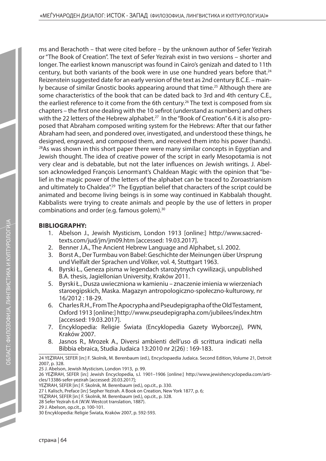ms and Berachoth – that were cited before – by the unknown author of Sefer Yezirah or "The Book of Creation". The text of Sefer Yezirah exist in two versions – shorter and longer. The earliest known manuscript was found in Cairo's genizah and dated to 11th century, but both variants of the book were in use one hundred years before that.<sup>24</sup> Reizenstein suggested date for an early version of the text as 2nd century B.C.E. – mainly because of similar Gnostic books appearing around that time.<sup>25</sup> Although there are some characteristics of the book that can be dated back to 3rd and 4th century C.E., the earliest reference to it come from the 6th century.<sup>26</sup> The text is composed from six chapters – the first one dealing with the 10 sefirot (understand as numbers) and others with the 22 letters of the Hebrew alphabet.<sup>27</sup> In the "Book of Creation" 6.4 it is also proposed that Abraham composed writing system for the Hebrews: After that our father Abraham had seen, and pondered over, investigated, and understood these things, he designed, engraved, and composed them, and received them into his power (hands).  $28$ As was shown in this short paper there were many similar concepts in Egyptian and Jewish thought. The idea of creative power of the script in early Mesopotamia is not very clear and is debatable, but not the later influences on Jewish writings. J. Abelson acknowledged François Lenormant's Chaldean Magic with the opinion that "belief in the magic power of the letters of the alphabet can be traced to Zoroastrianism and ultimately to Chaldea".<sup>29</sup> The Egyptian belief that characters of the script could be animated and become living beings is in some way continued in Kabbalah thought. Kabbalists were trying to create animals and people by the use of letters in proper combinations and order (e.g. famous golem).30

### **BIBLIOGRAPHY:**

- 1. Abelson J., Jewish Mysticism, London 1913 [online:] http://www.sacredtexts.com/jud/jm/jm09.htm [accessed: 19.03.2017].
- 2. Benner J.A., The Ancient Hebrew Language and Alphabet, s.l. 2002.
- 3. Borst A., Der Turmbau von Babel: Geschichte der Meinungen über Ursprung und Vielfalt der Sprachen und Völker, vol. 4, Stuttgart 1963.
- 4. Byrski Ł., Geneza pisma w legendach starożytnych cywilizacji, unpublished B.A. thesis, Jagiellonian University, Kraków 2011.
- 5. Byrski Ł., Dusza uwieczniona w kamieniu znaczenie imienia w wierzeniach staroegipskich, Maska. Magazyn antropologiczno-społeczno-kulturowy, nr 16/2012 : 18-29.
- 6. Charles R.H., From The Apocrypha and Pseudepigrapha of the Old Testament, Oxford 1913 [online:] http://www.pseudepigrapha.com/jubilees/index.htm [accessed: 19.03.2017].
- 7. Encyklopedia: Religie Świata (Encyklopedia Gazety Wyborczej), PWN, Kraków 2007.
- 8. Jasnos R., Mrozek A., Diversi ambienti dell'uso di scrittura indicati nella Bibbia ebraica, Studia Judaica 13:2010 nr 2(26) : 169-183.

<sup>24</sup> YEẒIRAH, SEFER [in:] F. Skolnik, M. Berenbaum (ed.), Encyclopaedia Judaica. Second Edition, Volume 21, Detroit 2007, p. 328.

<sup>25</sup> J. Abelson, Jewish Mysticism, London 1913, p. 99.

<sup>26</sup> YEẒIRAH, SEFER [in:] Jewish Encyclopedia, s.l. 1901–1906 [online:] http://www.jewishencyclopedia.com/articles/13386-sefer-yezirah [accessed: 20.03.2017];

YEẒIRAH, SEFER [in:] F. Skolnik, M. Berenbaum (ed.), op.cit., p. 330.

<sup>27</sup> I. Kalisch, Preface [in:] Sepher Yezirah. A Book on Creation, New York 1877, p. 6;

YEẒIRAH, SEFER [in:] F. Skolnik, M. Berenbaum (ed.), op.cit., p. 328.

<sup>28</sup> Sefer Yezirah 6.4 (W.W. Westcot translation, 1887).

<sup>29</sup> J. Abelson, op.cit., p. 100-101.

<sup>30</sup> Encyklopedia: Religie Świata, Kraków 2007, p. 592-593.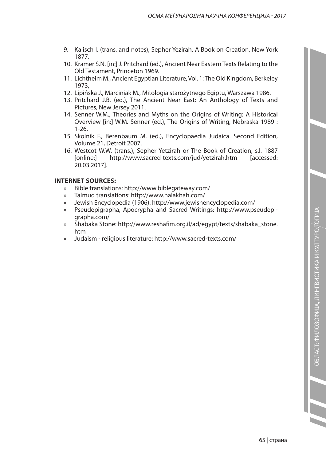- 9. Kalisch I. (trans. and notes), Sepher Yezirah. A Book on Creation, New York 1877.
- 10. Kramer S.N. [in:] J. Pritchard (ed.), Ancient Near Eastern Texts Relating to the Old Testament, Princeton 1969.
- 11. Lichtheim M., Ancient Egyptian Literature, Vol. 1: The Old Kingdom, Berkeley 1973,
- 12. Lipińska J., Marciniak M., Mitologia starożytnego Egiptu, Warszawa 1986.
- 13. Pritchard J.B. (ed.), The Ancient Near East: An Anthology of Texts and Pictures, New Jersey 2011.
- 14. Senner W.M., Theories and Myths on the Origins of Writing: A Historical Overview [in:] W.M. Senner (ed.), The Origins of Writing, Nebraska 1989 : 1-26.
- 15. Skolnik F., Berenbaum M. (ed.), Encyclopaedia Judaica. Second Edition, Volume 21, Detroit 2007.
- 16. Westcot W.W. (trans.), Sepher Yetzirah or The Book of Creation, s.l. 1887 [online:] http://www.sacred-texts.com/jud/yetzirah.htm [accessed: 20.03.2017].

#### **INTERNET SOURCES:**

- » Bible translations: http://www.biblegateway.com/
- » Talmud translations: http://www.halakhah.com/
- » Jewish Encyclopedia (1906): http://www.jewishencyclopedia.com/
- » Pseudepigrapha, Apocrypha and Sacred Writings: http://www.pseudepigrapha.com/
- » Shabaka Stone: http://www.reshafim.org.il/ad/egypt/texts/shabaka\_stone. htm
- » Judaism religious literature: http://www.sacred-texts.com/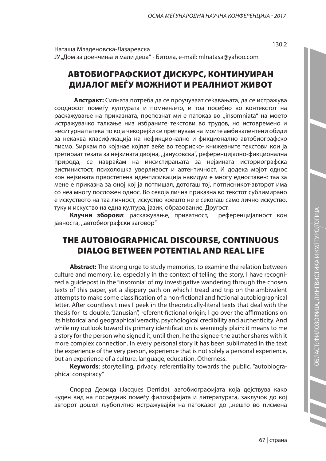130.2

Наташа Младеновска-Лазаревска ЈУ "Дом за доенчиња и мали деца" - Битола, e-mail: mlnatasa@yahoo.com

# АВТОБИОГРАФСКИОТ ДИСКУРС, КОНТИНУИРАН ДИЈАЛОГ МЕЃУ МОЖНИОТ И РЕАЛНИОТ ЖИВОТ

**Апстракт:** Силната потреба да се проучуваат сеќавањата, да се истражува соодносот помеѓу културата и помнењето, и тоа посебно во контекстот на раскажување на приказната, препознат ми е патоказ во ,,insomniata" на моето истражувачко талкање низ избраните текстови во трудов, но истовремено и несигурна патека по која чекорејќи се препнувам на моите амбивалентени обиди за некаква класификација на нефикционално и фикционално автобиографско писмо. Ѕиркам по којзнае којпат веќе во теориско- книжевните текстови кои ја третираат тезата за нејзината двојна, ,,јанусовска", референцијално-фикционална природа, се навраќам на инсистирањата за нејзината историографска вистинистост, психолошка уверливост и автентичност. И додека мојот однос кон нејзината првостепена идентификација навидум е многу едноставен: таа за мене е приказна за оној кој ја потпишал, дотогаш тој, потписникот-авторот има со неа многу посложен однос. Во секоја лична приказна во текстот сублимирано е искуството на таа личност, искуство коешто не е секогаш само лично искуство, туку и искуство на една култура, јазик, образование, Другост.

**Клучни зборови**: раскажување, приватност, референцијалност кон јавноста, ,,автобиографски заговор"

# THE AUTOBIOGRAPHICAL DISCOURSE, CONTINUOUS DIALOG BETWEEN POTENTIAL AND REAL LIFE

**Abstract:** The strong urge to study memories, to examine the relation between culture and memory, i.e. especially in the context of telling the story, I have recognized a guidepost in the "insomnia" of my investigative wandering through the chosen texts of this paper, yet a slippery path on which I tread and trip on the ambivalent attempts to make some classification of a non-fictional and fictional autobiographical letter. After countless times I peek in the theoretically-literal texts that deal with the thesis for its double, "Janusian", referent-fictional origin; I go over the affirmations on its historical and geographical veracity, psychological credibility and authenticity. And while my outlook toward its primary identification is seemingly plain: it means to me a story for the person who signed it, until then, he the signee-the author shares with it more complex connection. In every personal story it has been sublimated in the text the experience of the very person, experience that is not solely a personal experience, but an experience of a culture, language, education, Otherness.

**Keywords**: storytelling, privacy, referentiality towards the public, "autobiographical conspiracy"

Според Дерида (Jacques Derrida), автобиографијата која дејствува како чуден вид на посредник помеѓу филозофијата и литературата, заклучок до кој авторот дошол љубопитно истражувајќи на патоказот до ,,нешто во писмена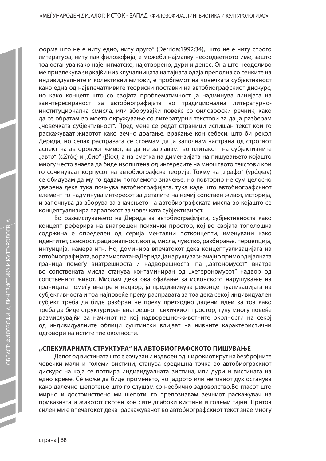форма што не е ниту едно, ниту друго" (Derrida:1992;34), што не е ниту строго литература, ниту пак филозофија, е можеби најмалку несоодветното име, зашто тоа останува како најенигматско, најотворено, дури и денес. Она што неодоливо ме привлекува ѕиркајќи низ клучалницата на тајната одаја преполна со сенките на индивидуалните и колективни митови, е проблемот на човечката субјективност како една од највпечатливите теориски поставки на автобиографскиот дискурс, но како концепт што со својата проблематичност ја надминува линијата на заинтересираност за автобиографијата во традиционална литературноинституционална смисла, или зборувајќи повеќе со филозофски речник, како да се обратам во моето окружување со литературни текстови за да ја разберам ,,човечката субјективност". Пред мене се редат страници испишан текст кои го раскажуваат животот како вечно доаѓање, враќање кон себеси, што би рекол Дерида, но сепак расправата се стремам да ја започнам настрана од строгиот аспект на авторовиот живот, за да не заглавам во плитакот на субјективните ,,авто" (α τός) и ,,био" (βίος), а на сметка на димензијата на пишувањето којашто многу често знаела да биде изопштена од интересите на мноштвото текстови кои го сочинуваат корпусот на автобиографска теорија. Токму на ,,графо" (γράφειν) се обидувам да му го дадам поголемото значење, но повторно не сум целосно уверена дека тука почнува автобиографијата, тука каде што автобиографскиот елемент го надминува интересот за деталите на нечиј сопствен живот, историја, и започнува да зборува за значењето на автобиографската мисла во којашто се концептуализира парадоксот за човечката субјективност.

Во размислувањето на Дерида за автобиографијата, субјективноста како концепт реферира на внатрешен психички простор, кој во својата тополошка содржина е определен од серија ментални потконцепти, именувани како идентитет, свесност, рационалност, волја, мисла, чувство, разбирање, перцепција, интуиција, намера итн. Но, доминира впечатокот дека концептуализацијата на автобиографијата, во размислата на Дерида, ја нарушува значајно примордијалната граница помеѓу внатрешноста и надворешноста: па ,,автономусот" внатре во сопствената мисла станува контаминиран од ,,хетерономусот" надвор од сопствениот живот. Мислам дека ова сфаќање за исконското нарушување на границата помеѓу внатре и надвор, ја предизвикува реконцептуализацијата на субјективноста и тоа најповеќе преку расправата за тоа дека секој индивидуален субјект треба да биде разбран не преку претходно дадени идеи за тоа како треба да биде структуриран внатрешно-психичкиот простор, туку многу повеќе размислувајќи за начинот на кој надворешно-животните околности на секој од индивидуалните облици суштински влијаат на нивните карактеристични одговори на истите тие околности.

#### **,,СПЕКУЛАРНАТА СТРУКТУРА" НА АВТОБИОГРАФСКОТО ПИШУВАЊЕ**

Делот од вистината што е сочуван и издвоен од широкиот круг на безбројните човечки мали и големи вистини, станува средишна точка во автобиограскиот дискурс на која се потпира индивидуалната вистина, или дури и вистината на едно време. Сè може да биде променето, но јадрото или неговиот дух останува како далечно шепотење што го слушам со необично задоволство.Во гласот што мирно и достоинствено ми шепоти, го препознавам вечниот раскажувач на приказната и животот свртен кон сите длабоки вистини и големи тајни. Притоа силен ми е впечатокот дека раскажувачот во автобиографскиот текст знае многу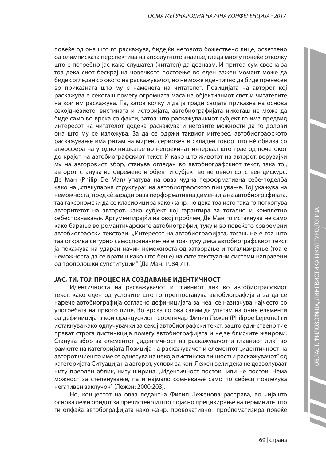повеќе од она што го раскажува, бидејќи неговото божествено лице, осветлено од олимписката перспектива на апсолутното знаење, гледа многу повеќе отколку што е потребно јас како слушател (читател) да дознаам. И притоа сум свесна за тоа дека сиот бескрај на човечкото постоење во еден важен момент може да биде согледан со окото на раскажувачот, но не може идентично да биде пренесен во приказната што му е наменета на читателот. Позицијата на авторот кој раскажува е секогаш помеѓу огромната маса на објективниот свет и читателите на кои им раскажува. Па, затоа колку и да ја гради својата приказна на основа секојдневието, вистината и историјата, автобиографијата никогаш не може да биде само во врска со факти, затоа што раскажувачкиот субјект го има предвид интересот на читателот додека раскажува и неговите можности да го долови она што му се изложува. За да се одржи таквиот интерес, автобиографското раскажување има ритам на мирен, сериозен и складен говор што нè обвива со атмосфера на угодно нишкање во непрекинат интервал што трае од почетокот до крајот на автобиографскиот текст. И како што животот на авторот, верувајќи му на авторовиот збор, станува огледан во автобиографскиот текст, така тој, авторот, станува истовремено и објект и субјект во неговиот сопствен дискурс. Де Ман (Philip De Man) упатува на оваа чудна перформативна себе-поделба како на ,,спекуларна структура" на автобиографското пишување. Тој укажува на неможноста, пред сè заради оваа перформативна димензија на автобиографијата, таа таксономски да се класифицира како жанр, но дека тоа исто така го поткопува авторитетот на авторот, како субјект кој гарантира за тотално и комплетно себеспознавање. Аргументирајќи на овој проблем, Де Ман го истакнува не само како барање во романтичарските автобиографии, туку и во повеќето современи автобиографски текстови. ,,Интересот на автобиографијата, тогаш, не е тоа што таа открива сигурно самоспознание- не е тоа- туку дека автобиографскиот текст ја покажува на ударен начин неможноста од затворање и тотализирање (тоа е неможноста да се вратиш како што беше) на сите текстуални системи направени од трополошки супституции" (Де Ман: 1984;71).

### **ЈАС, ТИ, ТОЈ: ПРОЦЕС НА СОЗДАВАЊЕ ИДЕНТИЧНОСТ**

Идентичноста на раскажувачот и главниот лик во автобиографскиот текст, како еден од условите што го претпоставува автобиографијата за да се нарече автобиографија согласно дефиницијата за неа, се назначува најчесто со употребата на првото лице. Во врска со ова сакам да упатам на оние елементи од дефиницијата кои францускиот теоретичар Филип Лежен (Philippe Lejeune) ги истакнува како одлучувачки за секој автобиографски текст, зашто единствено тие прават строга дистинкција помеѓу автобиографијата и нејзе блиските жанрови. Станува збор за елементот ,,идентичност на раскажувачот и главниот лик" во рамките на категоријата Позиција на раскажувачот и елементот ,,идентичност на авторот (чиешто име се однесува на некоја вистинска личност) и раскажувачот" од категоријата Ситуација на авторот, услови за кои Лежен вели дека не дозволуваат ниту преоден облик, ниту ширина. ,,Идентичност постои или не постои. Нема можност за степенување, па и најмало сомневање само по себеси повлекува негативен заклучок" (Лежен: 2000;203).

Но, концептот на оваа педантна Филип Леженова расправа, во чијашто основа лежи обидот за пречистено и што појасно прецизирање на термините што ги опфаќа автобографијата како жанр, провокативно проблематизира повеќе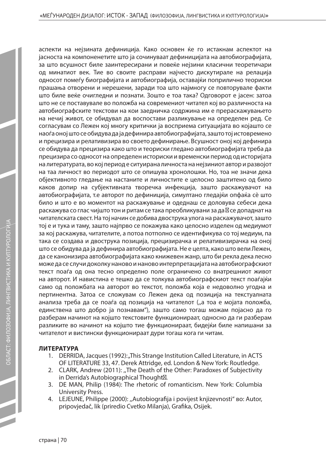аспекти на нејзината дефиниција. Како основен ќе го истакнам аспектот на јасноста на компоненетите што ја сочинуваат дефиницијата на автобиографијата, за што всушност биле заинтересирани и повеќе нејзини класични теоретичари од минатиот век. Тие во своите расправи најчесто дискутирале на релација односот помеѓу биографијата и автобиографија, оставајќи поприлично теориски прашања отворени и нерешени, заради тоа што најмногу се повторувале факти што биле веќе очигледни и познати. Зошто е тоа така? Одговорот е јасен: затоа што не се поставувале во положба на современиот читател кој во различноста на автобиографските текстови на кои заедничка содржина им е прераскажувањето на нечиј живот, се обидувал да воспостави разликување на определен ред. Се согласувам со Лежен кој многу критички ја восприема ситуацијата во којашто се наоѓа оној што се обидува да ја дефинира автобиографијата, зашто тој истовремено и прецизира и релативизира во своето дефинирање. Всушност оној кој дефинира се обидува да прецизира како што и теориски гледано автобиографијата треба да прецизира со односот на определен историски и временски период од историјата на литературата, во кој период е ситуирана личноста на нејзиниот автор и развојот на таа личност во периодот што се опишува хронолошки. Но, тоа не значи дека објективното гледање на настаните и личностите е целосно заштитено од било каков допир на субјективната творечка инфекција, зашто раскажувачот на автобиографијата, т.е авторот по дефиниција, симултано гледајќи опфаќа сè што било и што е во моментот на раскажување и одеднаш се доловува себеси дека раскажува со глас чијшто тон и ритам се така преобликувани за да се допаднат на читателската свест. На тој начин се добива двострука улога на раскажувачот, зашто тој е и тука и таму, зашто најпрво се покажува како целосно изделен од медиумот за кој раскажува, читателите, а потоа потполно се идентификува со тој медиум, па така се создава и двострука позиција, прецизирачка и релативизирачка на оној што се обидува да ја дефинира автобиографијата. Не е целта, како што вели Лежен, да се канонизира автобиографијата како книжевен жанр, што би рекла дека лесно може да се случи доколку наново и наново интерпретацијата на автобиографскиот текст поаѓа од она тесно определно поле ограничено со внатрешниот живот на авторот. И навистина е тешко да се толкува автобиографскиот текст поаѓајќи само од положбата на авторот во текстот, положба која е недоволно угодна и пертинентна. Затоа се сложувам со Лежен дека од позиција на текстуалната анализа треба да се поаѓа од позиција на читателот (,,а тоа е мојата положба, единствена што добро ја познавам"), зашто само тогаш можам појасно да го разберам начинот на којшто текстовите функционираат, односно да ги разберам разликите во начинот на којшто тие функционираат, бидејќи биле напишани за читателот и вистински функционираат дури тогаш кога ги читам.

### **ЛИТЕРАТУРА**

- 1. DERRIDA, Jacques (1992): "This Strange Institution Called Literature, in ACTS OF LITERATURE 33, 47. Derek Attridge, ed. London & New York: Routledge.
- 2. CLARK, Andrew (2011): ,,The Death of the Other: Paradoxes of Subjectivity in Derrida's Autobiographical Thought .
- 3. DE MAN, Philip (1984): The rhetoric of romanticism. New York: Columbia University Press.
- 4. LEJEUNE, Philippe (2000): ,,Autobiografija i povijest knjizevnosti" во: Autor, pripovjedač, lik (priredio Cvetko Milanja), Grafika, Osijek.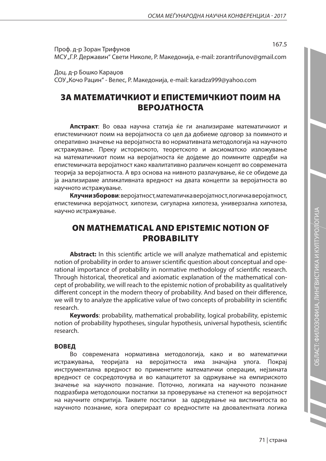Проф. д-р Зоран Трифунов МСУ "Г.Р. Державин" Свети Николе, Р. Македонија, e-mail: zorantrifunov@gmail.com

Доц. д-р Бошко Караџов СОУ "Кочо Рацин" - Велес, Р. Македонија, e-mail: karadza999@yahoo.com

# ЗА МАТЕМАТИЧКИОТ И ЕПИСТЕМИЧКИОТ ПОИМ НА ВЕРОЈАТНОСТА

**Апстракт**: Во оваа научна статија ќе ги анализираме математичкиот и епистемичкиот поим на веројатноста со цел да добиеме одговор за поимното и оперативно значење на веројатноста во нормативната методологија на научното истражување. Преку историското, теоретското и аксиоматско изложување на математичкиот поим на веројатноста ќе дојдеме до поимните одредби на епистемичката веројатност како квалитативно различен концепт во современата теорија за веројатноста. А врз основа на нивното разлачување, ќе се обидеме да ja анализираме апликативната вредност на двата концепти за веројатноста во научното истражување.

**Клучни зборови**: веројатност, математичка веројатност, логичка веројатност, епистемичка веројатност, хипотези, сигуларна хипотеза, универзална хипотеза, научно истражување.

## ON MATHEMATICAL AND EPISTEMIC NOTION OF PROBABILITY

**Abstract:** In this scientific article we will analyze mathematical and epistemic notion of probability in order to answer scientific question about conceptual and operational importance of probability in normative methodology of scientific research. Through historical, theoretical and axiomatic explanation of the mathematical concept of probability, we will reach to the epistemic notion of probability as qualitatively different concept in the modern theory of probability. And based on their difference, we will try to analyze the applicative value of two concepts of probability in scientific research.

**Keywords**: probability, mathematical probability, logical probability, epistemic notion of probability hypotheses, singular hypothesis, universal hypothesis, scientific research.

#### **ВОВЕД**

Во современата нормативна методологија, како и во математички истражувања, теоријата на веројатноста има значајна улога. Покрај инструментална вредност во применетите математички операции, нејзината вредност се сосредоточува и во капацитетот за одржување на емпириското значење на научното познание. Поточно, логиката на научното познание подразбира методолошки постапки за проверување на степенот на веројатност на научните откритија. Таквите постапки за одредување на вистинитоста во научното познание, кога оперираат со вредностите на двовалентната логика

167.5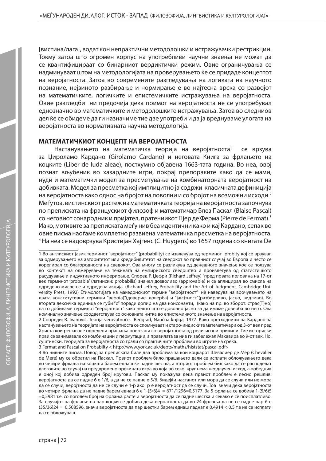[вистина/лага], водат кон непрактични методолошки и истражувачки рестрикции. Токму затоа што огромен корпус на употребливи научни знаења не можат да се квантифицираат со бинарниот вердиктички режим. Овие ограничувања се надминуваат штом на методологијата на проверувањето ќе се придаде концептот на веројатноста. Затоа во современите разгледувања на логиката на научното познание, нејзиното разбирање и нормирање е во најтесна врска со развојот на математичките, логичките и епистемичките истражувања на веројатноста. Овие разгледби ни предочија дека поимот на веројатноста не се употребувал еднозначно во математичките и методолошките истражувања. Затоа во следниов дел ќе се обидеме да ги назначиме тие две употреби и да ја вреднуваме улогата на веројатноста во нормативната научна методологија.

#### **МАТЕМАТИЧКИОТ КОНЦЕПТ НА ВЕРОЈАТНОСТА**

Настанувањето на математичка теорија на веројатноста<sup>1</sup> се врзува за Џироламо Кардано (Girolamo Cardano) и неговата Книга за фрлањето на коцките (Liber de luda aleae), постхумно објавена 1663-тата година. Во неа, овој познат вљубеник во хазардните игри, покрај препораките како да се мами, нуди и математички модел за пресметување на комбинаторната веројатност на добивката. Модел за пресметка кој имплицитно ја содржи класичната дефиниција на веројатноста како однос на бројот на поволни и со бројот на возможни исходи.2 Меѓутоа, вистинскиот растеж на математичката теорија на веројатноста започнува по преписката на францускиот филозоф и математичар Блез Паскал (Blaise Pascal) со неговиот сонародник и пријател, пратениикот Пјер де Ферма (Pierre de Fermat).3 Иако, мотивите за преписката меѓу нив беа идентични како и кај Кардано, сепак во овие писма наоѓаме комплетно развиена математичка пресметка на веројатноста. 4 На неа се надоврзува Кристијан Хајгенс (C. Huygens) во 1657 година со книгата De

<sup>1</sup> Во англискиот јазик терминот "веројатност" (probability) се извлекува од терминот probity кој се врзувал за одмерувањето на авторитетот или кредибилитетот на сведокот во правниот случај во Европа и често се корелирал со благородноста на сведокот. Ова многу се разликува од денешното значење кое се ползува во контекст на одмерување на тежината на емпириското сведоштво и произлегува од статистичкото расудување и индуктивното инферирање. Според Р. Џефри (Richard Jeffrey) "пред првата половина на 17-от век терминот 'probable' (латински: probabilis) значел дозволиво (approvable) и се аплицирал во смисла на одредено мислење и одредена акција. (Richard Jeffrey, Probability and the Art of Judgment. Cambridge University Press, 1992) Етимологијата на македонскиот термин "веројатност" нè наведува на воочувањето на двата конститутивни термини "веро(а)"(доверие, доверба) и "ја(с)тност"(разбирливо, јасно, видливо). Во втората лексичка единица се губи "с" поради допир на два консонанти, (како на пр. во зборот: страс(Т)но) па го добиваме терминот "веројатност" како нешто што е доволно јасно за да имаме доверба во него. Ова номинално значење соодветствува со основната нитка во епистемичкото значење на веројатноста.

<sup>2</sup> Спореди; B. Ivanović, Teorija verovatnoće, Beograd, Naučna knjiga, 1977. Како претходници на Кардано за настанувањето на теоријата на веројатноста се спомнуваат и старо-индиските математичари од 3-от век пред Христа кои решавале одредени прашања поврзани со веројатноста од религиозни причини. Тие историски први се занимавале со комбинации и пермутации, а правилата за нив ги забележал Махавира во 9-от век. Но, суштински, теоријата за веројатноста со гради со практичните проблеми во игрите на среќа.

<sup>3</sup> Fermat and Pascal on Probabilty < http://www.york.ac.uk/depts/maths/histstat/pascal.pdf>

<sup>4</sup> Во нивните писма, Повод за преписката биле два проблема за кои коцкарот Шевалиер де Мер (Chevalier de Mere) му се обратил на Паскал. Првиот проблем било прашањето дали се исплати обложувањето дека во четири фрлања на коцката барем еднаш ќе падне шестка, а вториот проблем бил како да се расподелат влоговите во случај на предвремено прекината игра во која во секој круг нема неодлучен исход, а победник е оној кој добива одреден број кругови. Паскал му покажува дека првиот проблем е лесно решлив: веројатноста да се падне 6 е 1/6, а да не се падне е 5/6. Бидејќи настанот или мора да се случи или не мора да се случи, веројтноста да не се случи е 1-p ако p е веројатност да се случи. Тоа значи дека веројатноста во четири фрлања да не падне барем еднаш 6 е 1-(5/6)4 = 671/1296=0,5177. За 5 фрлања се добива 1-(5/6)5 =0,5981 т.е. со поголем број на фрлања расте и веројатноста да се падне шестка и секако е сè поисплатливо. За случајот на фрлање на пар коцки се добива дека вероатноста да во 24 фрлања да не се падне пар 6 е (35/36)24 = 0,508596, значи веројатноста да пар шестки барем еднаш паднат е 0,4914 < 0,5 т.е не се исплати да се обложуваш.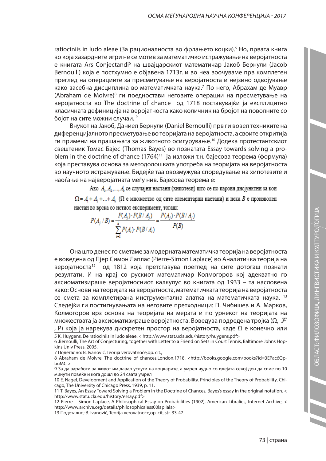ratiociniis in ludo aleae (За рационалноста во фрлањето коцки).<sup>5</sup> Но, првата книга во која хазардните игри не се мотив за математичко истражување на веројатноста е книгата Ars Conjectandi<sup>6</sup> на швајцарскиот математичар Јакоб Бернули (Jacob Bernoulli) која е постхумно е објавена 1713г. и во неа воочуваме прв комплетен преглед на операциите за пресметување на веројатноста и нејзино одвојување како засебна дисциплина во математичката наука.<sup>7</sup> По него, Абрахам де Муавр (Abraham de Moivre)<sup>8</sup> ги поедностави неговите операции на пресметување на веројатноста во The doctrine of chance од 1718 поставувајќи ја експлицитно класичната дефиниција на веројатноста како количник на бројот на поволните со бојот на сите можни случаи. 9

Внукот на Јакоб, Даниел Бернули (Daniel Bernoulli) прв ги вовел техниките на диференцијалното пресметување во теоријата на веројатноста, а своите откритија ги примени на прашањата за животното осигурување.10 Додека протестантскиот свештеник Томас Бајес (Thomas Bayes) во познатата Essay towards solving a problem in the doctrine of chance  $(1764)^{11}$  ја изложи т.н. бајесова теорема (формула) која преставува основа за методолошката употреба на теоријата на веројатноста во научното истражување. Бидејќе таа овозмужува споредување на хипотезите и наоѓање на најверојатната меѓу нив. Бајесова теорема е:

Ако  $A, A, ..., A$  се случајни настани (хипотези) што се по парови дисјунктни за кои

 $\Omega = A + A$ , +... +  $A$ , ( $\Omega$  е множество од сите елементарни настани) и нека B е произволен настан во врска со истиот експеримент, тогаш:

$$
P(A_j \mid B) = \frac{P(A_j) \cdot P(B \mid A_j)}{\sum_{i=1}^{k} P(A_i) \cdot P(B \mid A_i)} = \frac{P(A_j) \cdot P(B \mid A_j)}{P(B)}
$$

Она што денес го сметаме за модерната математичка теорија на веројатноста е воведена од Пјер Симон Лаплас (Pierre-Simon Laplace) во Аналитичка теорија на веројатноста12 од 1812 која претставува преглед на сите дотогаш познати резултати. И на крај со рускиот математичар Колмогоров кој адекватно го аксиоматизираше веројатносниот калкулус во книгата од 1933 – та насловена како: Основи на теоријата на веројатноста, математичката теорија на веројатноста се смета за комплетирана инструментална алатка на математичката наука. 13

Следејќи ги постигнувањата на неговите претходници: П. Чибишев и А. Марков, Колмогоров врз основа на теоријата на мерата и по урнекот на теоријата на множествата ја аксиоматизираше веројатноста. Воведува подредена тројка (Ω,  ${\cal F}$ , P) која ја нарекува дискретен простор на веројатноста, каде Ω е конечно или

5 K. Huygens, De ratiociniis in ludo aleae. < http://www.stat.ucla.edu/history/huygens.pdf>

7 Подетално: B. Ivanović, Teorija verovatnoće,op. cit.,

<sup>6 .</sup>Bernoulli, The Art of Conjecturing, together with Letter to a Friend on Sets in Court Tennis, Baltimore Johns Hopkins Univ Press, 2005.

<sup>8</sup> Abraham de Moivre, The doctrine of chances,London,1718. <http://books.google.com/books?id=3EPac6QpbuMC >

<sup>9</sup> За да заработи за живот им давал услуги на коцкарите, а умрел чудно со идејата секој ден да спие по 10 минути повеќе и кога дошл до 24 саата умрел

<sup>10</sup> E. Nagel, Development and Application of the Theory of Probability. Principles of the Theory of Probability, Chicago, The University of Chicago Press, 1939, p. 11.

<sup>11</sup> T. Bayes, An Essay Toward Solving a Problem in the Doctrine of Chances, Bayes's essay in the original notation. < http://www.stat.ucla.edu/history/essay.pdf>

<sup>12</sup> Pierre – Simon Laplace, A Philosophical Essay on Probabilities (1902), American Libralies, Internet Archive, < http://www.archive.org/details/philosophicaless00lapliala>

<sup>13</sup> Подетално; B. Ivanović, Teorija verovatnoće,op. cit, str. 33-47.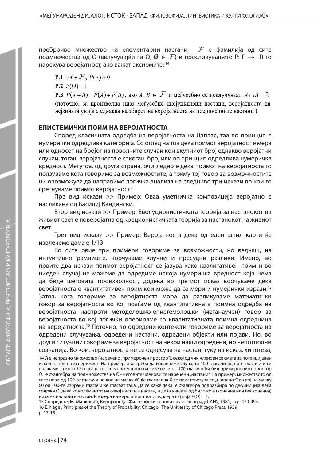преброиво множество на елементарни настани,  $\mathcal F$  е фамилија од сите подмножества од Ω (вклучувајќи ги Ω,  $\emptyset \in \mathcal{F}$ ) и пресликувањето P: F  $\rightarrow$  R го нарекува веројатност, ако важат аксиомите: 14

**P.1**  $\forall A \in \mathcal{F}$ ,  $P(A) \ge 0$ 

P.2  $P(\Omega) = 1$ .

**P.3**  $P(A+B) = P(A) + P(B)$ , ako A,  $B \in \mathcal{F}$  u merve of the next express  $A \cap B = \emptyset$ (поточно; за произволна низа меѓусебно дисјунктивни настани, веројатноста на нејзината унија е еднаква на збирот на веројатноста на поединечните настани)

#### **EПИСТЕМИЧКИ ПОИМ НА ВЕРОЈАТНОСТА**

Според класичната одредба на веројатноста на Лаплас, таа во принцип е нумерички одредлива категорија. Со оглед на тоа дека поимот веројатност е мера или односот на бројот на поволните случаи кон вкупниот број еднакво веројатни случаи, тогаш веројатноста е секогаш број или во принцип одредлива нумеричка вредност. Меѓутоа, од друга страна, очигледно е дека поимот на веројатноста го ползуваме кога говориме за возможностите, а токму тој говор за возможностите ни овозможува да направиме логичка анализа на следниве три искази во кои го сретнуваме поимот веројатност:

Прв вид искази >> Пример: Оваа уметничка композиција веројатно е насликана од Василиј Кандински.

Втор вид искази >> Пример: Еволуционистичката теорија за настанокот на живиот свет е поверојатна од креционистичката теорија за настанокот на живиот свет.

Трет вид искази >> Пример: Веројатноста дека од еден шпил карти ќе извлечеме дама е 1/13.

Во сите овие три примери говориме за возможности, но веднаш, на интуитивно рамниште, воочуваме клучни и пресудни разлики. Имено, во првите два искази поимот веројатност се јавува како квалитативен поим и во ниеден случај не можеме да одредиме некоја нумеричка вредност која нема да биде шеговита произволност, додека во третиот исказ воочуваме дека веројатноста е квантитативен поим кои може да се мери и нумерички изрази.<sup>15</sup> Затоа, кога говориме за веројатноста мора да разликуваме математички говор за веројатноста во кој поаѓаме од квантитативната поимна одредба на веројатноста наспроти методолошко-епистемолошки (метанаучен) говор за веројатноста во кој логички оперираме со квалитативната поимна одредница на веројатноста.16 Поточно, во одредени контексти говориме за веројатноста на одредени случувања, одредени настани, одредени објекти или појави. Но, во други ситуации говориме за веројатност на некои наши одредени, но непотполни сознанија. Во кои, веројатноста не се однесува на настан, туку на исказ, хипотеза,

15 Споредете; М. Марковић, Веројатнођа. Филозофски основи науке. Београд: САНУ, 1981, стр. 470-494. 16 E. Nagel, Principles of the Theory of Probability. Chicago, The University of Chicago Press, 1939, p. 17-18.

<sup>14</sup> Ω е непразно множество (наречено "примерочен простор"), секој од чии членови се смета за потенцијален исход на еден експеримент. На пример, ако треба да извлечеме случајни 100 гласачи од сите гласачи и ги прашаме за кого ќе гласаат, тогаш множеството на сите низи на 100 гласачи би бил примерочниот простор  $\Omega$ . е σ-алгебра на подмножества на  $\Omega$  - неговите членови се наречени "настани". На пример, множеството од сите низи од 100-те гласачи во кое најмалку 60 ќе гласаат за Х се поистоветува со "настанот" во кој најмалку 60 од 100-те избрани гласачи ќе гласаат така. Да се каже дека е σ-алгебра подразбира по дефиниција дека содржи Ω, дека комплементот на секој настан е настан, и дека унијата од било која (конечна или бесконечна) низа на настани е настан. P е мера на веројатност на , т.е., мера кај која P(Ω) = 1.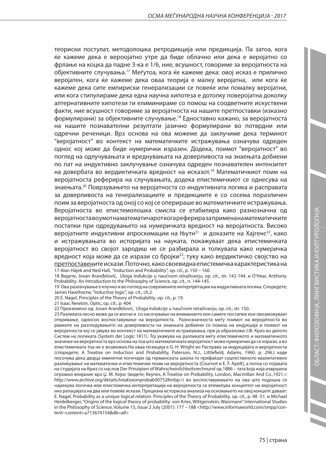теориски постулат, методолошка ретродикција или предикција. Па затоа, кога ќе кажеме дека е вероојатно утре да биде облачно или дека е веројатно со фрлање на коцка да падне 3-ка е 1/6, ние, всушност, говориме за веројатноста на објективните случувања.17 Меѓутоа, кога ќе кажеме дека: овој исказ е прилично веројатен, кога ќе кажеме дека оваа теорија е малку веројатна, или кога ќе кажеме дека сите емпириски генерализации се повеќе или помалку веројатни, или кога стипулираме дека една научна хипотеза е дотолку поверојатна доколку алтернативните хипотези ги елиминираме со помош на соодветните искуствени факти, ние всушност говориме за веројатноста на нашите претпоставки (изказно формулирани) за објективните случување.18 Едноставно кажано, за веројатноста на нашите познавателни резултати јазично формулирани во потврдни или одречни реченици. Врз основа на ова можеме да заклучиме дека терминот "веројатност" во контекст на математичките истражувања означува одреден однос кој може да биде нумерички изразен. Додека, поимот "веројатност" во поглед на одлучувањата и вреднувањата на доверливоста на знаењата добиени по пат на индуктивно заклучување означува одреден познавателен интензитет на довербата во вердиктичката вредност на исказот.<sup>19</sup> Математичкиот поим на веројатноста реферира на случувањата, додека епистемичкиот се однесува на знаењата.20 Поврзувањето на веројатноста со индуктивната логика и расправата за доверливоста на генерализациите и предикциите е со сосема поразличен поим за веројатноста од оној со кој се оперираше во математичките истражувања. Веројатноста во епистемолошка смисла се етабилира како разнозначна од веројатноста во умот на математича рот кога реферира за примена на математичките постапки при одредувањето на нумеричката вредност на веројатноста. Високо веројатните индуктивни апроскимации на Њутн<sup>21</sup> и доказите на Хајгенс<sup>22</sup>, како и истражувањата во историјата на науката, покажуваат дека епистемичката веројатност во својот зародиш не се разбирала и толкувала како нумеричка вредност која може да се изрази со бројки23, туку како вердиктичко својство на претпоставените искази. Поточно, како своевидна епистемичка карактеристика на 17 Alan Hájek and Ned Hall, "Induction and Probability", op. cit., p. 150 – 160.

18 Видете; Jovan Aranđelović, Uloga indukcije u naučnom istraživanju, op. cit., str. 142-144. и O'Hear, Anthony. Probability. An Introduction to the Philosophy of Science, op. cit., п. 144-145.

19 Ова разлачување е клучно и во поглед на современите интерпретации на индуктивната логика. Споредете; James Hawthorne, "Inductive logic", op. cit., ch.2.

20 E. Nagel, Principles of the Theory of Probability. op. cit., p. 19.

21 Isaac Newton, Optic, op. cit., p. 404

22 Превземено од: Jovan Aranđelović, Uloga indukcije u naučnom istraživanju, op. cit., str. 150.

23 Разликата лесно може да се воочи и со насочување на вниманието кон самите постапки кои овозможуваат откривање, односно воспоставување на веројатноста. Разнозначноста меѓу поимот на веројатноста во рамките на разгледувањето на доверливоста на знаењата добиени со помош на индукција и поимот на веројатноста кој се јавува во контекст на математичките истражувања, прв ја образложи Ј.Ф. Криз во делото Систем на логиката (System der Logic 1811). Тој укажува на разликата меѓу епистемичкото и математичкото значење на веројатноста врз основа на тоа што математичката веројатност може нумерички да се изрази, а во епистемичката тоа не е возможно.На оваа позиција е G. H. Wright во Расправа за индукцијата и веројатноста (споредете; A Treatise on Induction and Probability, Paterson, N.J., Littlefield, Adams, 1960. p. 296.) каде посочува дека двајца еминетни логичари од германската школа го прифаќаат суштественото квалитативно разликување на математички и епистемички поим на веројатноста (Cournot и Е. F. Apelt), а потоа со појавата на студијата на Криз со наслов Der Prinzipien of Wahrscheinilchkeitsrechnund од 1886 – тата koja која извршила огромно влијание врз Џ. М. Кејнс (видете; Keynes, A Treatise on Probability, London, Macmillan And Co.,1921.< http://www.archive.org/details/treatiseonprobab007528mbp>) во воспоставувањето на ова што подоцна се нарекува логичка или епистемичка интерпретација на веројатноста се втемелува концептот на веројатност низ релацијата на два или повеќе искази. Прецизна историска анализа на основањето на овој концепт даваат: E. Nagel, Probability as a unique logical relation. Principles of the Theory of Probability. op. cit., p. 48 -51. и Michael Heidelberger, "Origins of the logical theory of probability: von Kries, Wittgenstein, Waismann" International Studies in the Philosophy of Science, Volume 15, Issue 2 July (2001): 177 - 188 <http://www.informaworld.com/smpp/content~content=a713674154&db=all>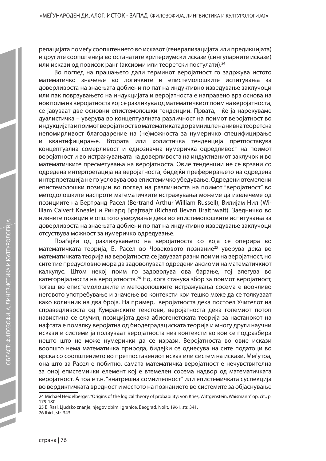релацијата помеѓу соопштението во исказот (генерализацијата или предикцијата) и другите соопштенија во останатите критериумски искази (сингуларните искази) или искази од повисок ранг (аксиоми или теоретски постулати).24

Во поглед на прашањето дали терминот веројатност го задржува истото математичко значење во логичките и епистемолошките испитувања за доверливоста на знаењата добиени по пат на индуктивно изведување заклучоци или пак поврзувањето на индукцијата и веројатноста е направено врз основа на нов поим на веројатноста кој се разликува од математичкиот поим на веројатноста, се јавуваат две основни епистемолошки тенденции. Првата, - ќе ја нарекуваме дуалистичка – уверува во концептуалната различност на поимот веројатност во индукцијата и поимот веројатност во математиката до рамниште на нивна теоретска непомирливост благодарение на (не)можноста за нумеричко специфицирање и квантифицирање. Втората или холистичка тенденција претпоставува концептуална сомерливост и еднозначна нумеричка одредливост на поимот веројатност и во истражувањата на доверливоста на индуктивниот заклучок и во математичките пресметувања на веројатноста. Овие тенденции не се врзани со одредена интерпретација на веројатноста, бидејќи преферирањето на одредена интерпретација не го условува ова епистемичко убедување. Одредени втемелени епистемолошки позиции во поглед на различноста на поимот "веројатност" во методолошките наспроти математичките истражувања можеме да извлечеме од позициите на Бертранд Расел (Bertrand Arthur William Russell), Вилијам Нил (William Calvert Kneale) и Ричард Брајтвајт (Richard Bevan Braithwait). Заедничко во нивните позиции е општото уверување дека во епистемолошките испитувања за доверливоста на знаењата добиени по пат на индуктивно изведување заклучоци отсуствува можност за нумеричко одредување.

Поаѓајќи од разликувањето на веројатноста со која се оперира во математичката теорија, Б. Расел во Човековото познание<sup>25</sup> уверува дека во математичката теорија на веројатноста се јавуваат разни поими на веројатност, но сите тие предусловно мора да задоволуваат одредени аксиоми на математичкиот калкулус. Штом некој поим го задоволува ова барање, тој влегува во категоријалноста на веројатноста.26 Но, кога станува збор за поимот веројатност, тогаш во епистемолошките и методолошките истражувања сосема е воочливо неговото употребување и значење во контексти кои тешко може да се толкуваат како количник на два броја. На пример, веројатноста дека постоел Учителот на справедливоста од Кумранските текстови, веројатноста дека големиот потоп навистина се случил, позицијата дека абиогенетската теорија за настанокот на нафтата е помалку веројатна од биодеградациската теорија и многу други научни искази и системи ја ползуваат веројатноста низ контексти во кои се подразбира нешто што не може нумерички да се изрази. Веројатноста во овие искази воопшто нема математичка природа, бидејќи се однесува на сите податоци во врска со соопштението во претпоставениот исказ или систем на искази. Меѓутоа, она што за Расел е побитно, самата математичка веројатност е нечувствителна за оној епистемички елемент кој е втемелен сосема надвор од математичката веројатност. А тоа е т.н. "внатрешна сомнителност" или епистемичката суспекција во вердиктичката вредност и местото на познанието во системите за објаснување

<sup>24</sup> Michael Heidelberger, "Origins of the logical theory of probability: von Kries, Wittgenstein, Waismann" op. cit., p. 179-180.

<sup>25</sup> B. Rasl, Ljudsko znanje, njegov obim i granice. Beograd, Nolit, 1961. str. 341. 26 Ibid., str. 343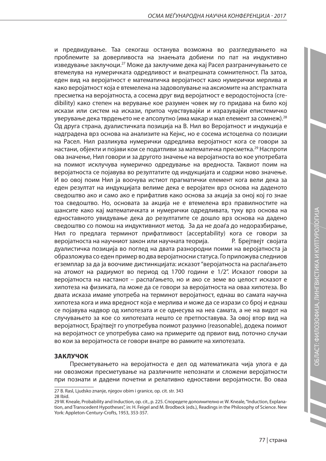и предвидување. Таа секогаш останува возможна во разгледувањето на проблемите за доверливоста на знаењата добиени по пат на индуктивно изведување заклучоци.27 Може да заклучиме дека кај Расел разграничувањето се втемелува на нумеричката одредливост и внатрешната сомнителност. Па затоа, еден вид на веројатност е математичка веројатност како нумерички мерлива и како веројатност која е втемелена на задоволување на аксиомите на апстрактната пресметка на веројатноста, а сосема друг вид веројатност е веродостојноста (credibility) како степен на верување кое разумен човек му го придава на било кој искази или систем на искази, притоа чувствувајќи и изразувајќи епистемичко уверување дека тврдењето не е апсолутно (има макар и мал елемент за сомнеж).28 Од друга страна, дуалистичката позиција на В. Нил во Веројатност и индукција е надградена врз основа на анализите на Кејнс, но е сосема истоцелна со позиции на Расел. Нил разликува нумерички одредлива веројатност кога се говори за настани, објекти и појави кои се податливи за математичка пресметка.<sup>29</sup> Наспроти ова значење, Нил говори и за другото значење на веројатноста во кое употребата на поимот исклучува нумеричко одредување на вредноста. Таквиот поим на веројатноста се појавува во резултатите од индукцијата и содржи ново значење. И во овој поим Нил ја воочува истиот прагматички елемент кога вели дека за еден резултат на индукцијата велиме дека е веројатен врз основа на даденото сведоштво ако и само ако е прифатлив како основа за акција за оној кој го знае тоа сведоштво. Но, основата за акција не е втемелена врз правилностите на шансите како кај математичката и нумерички одредливата, туку врз основа на едноставното увидување дека до резултатите се дошло врз основа на дадено сведоштво со помош на индуктивниот метод. За да не доаѓа до недоразбирање, Нил го предлага терминот прифатливост (acceptability) кога се говори за веројатноста на научниот закон или научната теорија. Р. Брејтвејт својата дуалистичка позиција во поглед на двата разнородни поими на веројатноста ја образложува со еден пример во два веројатносни статуса. Го приложува следниов егземплар за да ја воочиме дистинкцијата: исказот "веројатноста на распаѓањето на атомот на радиумот во период од 1700 години е 1/2". Исказот говори за веројатноста на настанот – распаѓањето, но и ако се земе во целост исказот е хипотеза на физиката, па може да се говори за веројатноста на оваа хипотеза. Во двата исказа имаме употреба на терминот веројатност, еднаш во самата научна хипотеза кога и има вредност која е мерлива и може да се изрази со број и еднаш се појавува надвор од хипотезата и се однесува на неа самата, а не на видот на случувањето за кое со хипотезата нешто се претпоставува. За овој втор вид на веројатност, Брајтвејт го употребува поимот разумно (reasonable), додека поимот на веројатност се употребува само на примерите од првиот вид, поточно случаи во кои за веројатноста се говори внатре во рамките на хипотезата.

#### **ЗАКЛУЧОК**

Пресметувањето на веројатноста е дел од математиката чија улога е да ни овозможи пресметување на различните непознати и сложени веројатности при познати и дадени почетни и релативно едноставни веројатности. Во оваа

<sup>27</sup> B. Rasl, Ljudsko znanje, njegov obim i granice, op. cit. str. 343 28 Ibid.

<sup>29</sup> W. Kneale, Probability and Induction, op. cit., p. 225. Споредете дополнително и: W. Kneale, "Induction, Explanation, and Transcedent Hypotheses", in: H. Feigel and M. Brodbeck (eds.), Readings in the Philosophy of Science. New York: Appleton-Century-Crofts, 1953, 353-357.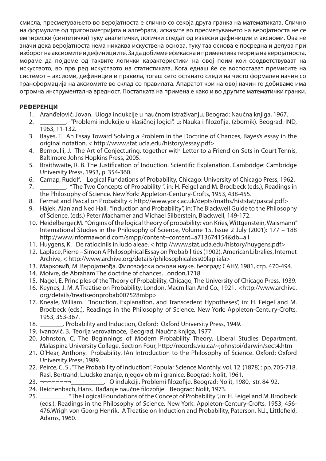смисла, пресметувањето во веројатноста е слично со секоја друга гранка на математиката. Слично на формулите од тригонометријата и алгебрата, исказите во пресметувањето на веројатноста не се емпириски (синтетички) туку аналитички, логички следат од извесни дефиниции и аксиоми. Ова не значи дека веројатноста нема никаква искуствена основа, туку таа основа е посредна и делува при изборот на аксиомите и дефинициите. За да добиеме ефикасна и применлива теорија на веројатноста, мораме да појдеме од таквите логички карактеристики на овој поим кои соодветствуваат на искуството, во прв ред искуството на статистиката. Кога еднаш ќе се воспостават премисите на системот – аксиоми, дефиниции и правила, тогаш сето останато следи на чисто формален начин со трансформација на аксиомите во склад со правилата. Апаратот кои на овој начин го добиваме има огромна инструментална вредност. Постапката на примена е како и во другите математички гранки.

### **РЕФЕРЕНЦИ**

- 1. Aranđelović, Jovan. Uloga indukcije u naučnom istraživanju. Beograd: Naučna knjiga, 1967.
- 2. \_\_\_\_\_\_\_\_. "Problemi indukcije u klasičnoj logici". u: Nauka i filozofija, (zbornik). Beograd: IND, 1963, 11-132.
- 3. Bayes, T. An Essay Toward Solving a Problem in the Doctrine of Chances, Bayes's essay in the original notation. < http://www.stat.ucla.edu/history/essay.pdf>
- 4. Bernoulli, Ј. The Art of Conjecturing, together with Letter to a Friend on Sets in Court Tennis, Baltimore Johns Hopkins Press, 2005.
- 5. Braithwaite, R. B. The Justification of Induction. Scientific Explanation. Cambridge: Cambridge University Press, 1953, p. 354-360.
- 6. Carnap, Rudolf. Logical Fundations of Probability, Chicago: University of Chicago Press, 1962.
- 7. \_\_\_\_\_\_\_\_. "The Two Concepts of Probability ", in: H. Feigel and M. Brodbeck (eds.), Readings in the Philosophy of Science. New York: Appleton-Century-Crofts, 1953, 438-455.
- 8. Fermat and Pascal on Probabilty < http://www.york.ac.uk/depts/maths/histstat/pascal.pdf>
- 9. Hájek, Alan and Ned Hall, "Induction and Probability", in: The Blackwell Guide to the Philosophy of Science, (eds.) Peter Machamer and Michael Silberstein, Blackwell, 149-172.
- 10. Heidelberger,M. "Origins of the logical theory of probability: von Kries, Wittgenstein, Waismann" International Studies in the Philosophy of Science, Volume 15, Issue 2 July (2001): 177 – 188 http://www.informaworld.com/smpp/content~content=a713674154&db=all
- 11. Huygens, K. De ratiociniis in ludo aleae. < http://www.stat.ucla.edu/history/huygens.pdf>
- 12. Laplace, Pierre Simon A Philosophical Essay on Probabilities (1902), American Libralies, Internet Archive, < http://www.archive.org/details/philosophicaless00lapliala>
- 13. Марковић, М. Веројатнођа. Филозофски основи науке. Београд: САНУ, 1981, стр. 470-494.
- 14. Moivre, de Abraham The doctrine of chances, London,1718
- 15. Nagel, Е. Principles of the Theory of Probability, Chicago, The University of Chicago Press, 1939.
- 16. Keynes, Ј. М. A Treatise on Probability, London, Macmillan And Co., 1921. <http://www.archive. org/details/treatiseonprobab007528mbp>
- 17. Kneale, William. "Induction, Explanation, and Transcedent Hypotheses", in: H. Feigel and M. Brodbeck (eds.), Readings in the Philosophy of Science. New York: Appleton-Century-Crofts, 1953, 353-367.
- 18. \_\_\_\_\_\_\_. Probability and Induction, Oxford: Oxford University Press, 1949.
- 19. Ivanović, B. Teorija verovatnoće, Beograd, Naučna knjiga, 1977.
- 20. Johnston, C. The Beginnings of Modern Probability Theory, Liberal Studies Department, Malaspina University College, Section Four, http://records.viu.ca/~johnstoi/darwin/sect4.htm
- 21. O'Hear, Anthony. Probability. IAn Introduction to the Philosophy of Science. Oxford: Oxford University Press, 1989.
- 22. Peirce, C. S., "The Probability of Induction". Popular Science Monthly, vol. 12 (1878) : pp. 705-718. Rasl, Bertrand. LJudsko znanje, njegov obim i granice. Beograd: Nolit, 1961.
- 23. **-**
- 24. Reichenbach, Hans. Rađanje naučne filozofije. Beograd: Nolit, 1973.
- 25. \_\_\_\_\_\_\_\_. "The Logical Foundations of the Concept of Probability ", in: H. Feigel and M. Brodbeck (eds.), Readings in the Philosophy of Science. New York: Appleton-Century-Crofts, 1953, 456- 476.Wrigh von Georg Henrik. A Treatise on Induction and Probability, Paterson, N.J., Littlefield, Adams, 1960.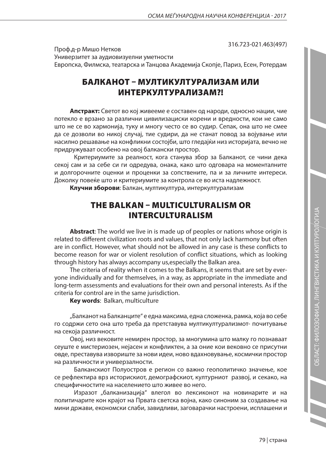316.723-021.463(497)

Проф.д-р Мишо Нетков Универзитет за аудиовизуелни уметности Европска, Филмска, театарска и Танцова Академија Скопје, Париз, Есен, Ротердам

# БАЛКАНОТ – МУЛТИКУЛТУРАЛИЗАМ ИЛИ ИНТЕРКУЛТУРАЛИЗАМ?!

**Апстракт:** Светот во кој живееме е составен од народи, односно нации, чие потекло е врзано за различни цивилизациски корени и вредности, кои не само што не се во хармонија, туку и многу често се во судир. Сепак, она што не смее да се дозволи во никој случај, тие судири, да не станат повод за војување или насилно решавање на конфликни состојби, што гледајќи низ историјата, вечно не придружуваат особено на овој балкански простор.

Критериумите за реалност, кога станува збор за Балканот, се чини дека секој сам и за себе си ги одредува, онака, како што одговара на моменталните и долгорочните оценки и проценки за сопствените, па и за личните интереси. Доколку повеќе што и критериумите за контрола се во иста надлежност.

**Клучни зборови**: Балкан, мултикултура, интеркултурализам

# THE BALKAN – MULTICULTURALISM OR INTERCULTURALISM

**Abstract**: The world we live in is made up of peoples or nations whose origin is related to different civilization roots and values, that not only lack harmony but often are in conflict. However, what should not be allowed in any case is these conflicts to become reason for war or violent resolution of conflict situations, which as looking through history has always accompany us,especially the Balkan area.

The criteria of reality when it comes to the Balkans, it seems that are set by everyone individually and for themselves, in a way, as appropriate in the immediate and long-term assessments and evaluations for their own and personal interests. As if the criteria for control are in the same jurisdiction.

**Key words**: Balkan, multiculture

"Балканот на Балканците" е една максима, една сложенка, рамка, која во себе го содржи сето она што треба да претставува мултикултурализмот- почитување на секоја различност.

Овој, низ вековите немирен простор, за многумина што малку го познаваат сеуште е мистериозен, нејасен и конфликтен, а за оние кои вековно се присутни овде, преставува извориште за нови идеи, ново вдахновување, космички простор на различности и универзалности.

Балканскиот Полуостров е регион со важно геополитичко значење, кое се рефлектира врз историскиот, демографскиот, културниот развој, и секако, на специфичностите на населението што живее во него.

Изразот "балканизација" влегол во лексиконот на новинарите и на политичарите кон крајот на Првата светска војна, како синоним за создавање на мини држави, економски слаби, завидливи, заговарачки настроени, исплашени и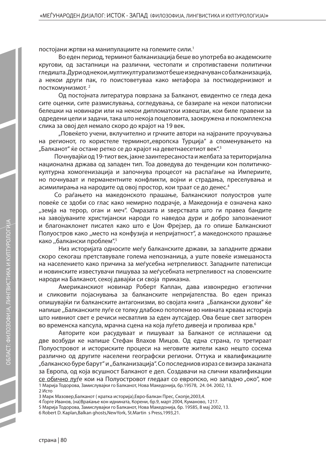постојани жртви на манипулациите на големите сили.<sup>1</sup>

Во еден период, терминот балканизација беше во употреба во академските кругови, од застапници на различни, честопати и спротивставени политички гледишта. Дури од некои, мултикултурализмот беше изедначуван со балканизација, а некои други пак, го поистоветуваа како метафора за постмодернизмот и посткомунизмот. 2

Од постојната литература поврзана за Балканот, евидентно се гледа дека сите оценки, сите размислувања, согледувања, се базирале на некои патописни белешки на новинари или на некои дипломатски извештаи, кои биле правени за одредени цели и задачи, така што некоја поцеловита, заокружена и покомплексна слика за овој дел немало скоро до крајот на 19 век.

"Повеќето учени, вклучително и грчките автори на најраните проучувања на регионот, го користеле терминот"европска Турција" а споменувањето на "Балканот" ќе остане ретко се до крајот на деветнаесетиот век".

Почнувајќи од 19-тиот век, јакне заинтересаноста и желбата за територијална национална држава од западен тип. Тоа доведува до тенденции кон политичкокултурна хомогенизација и започнува процесот на распаѓање на Империите, но почнуваат и перманентните конфликти, војни и страдања, преселувања и асимилирања на народите од овој простор, кои траат се до денес.4

Со раѓањето на македонското прашање, Балканскиот полуостров уште повеќе се здоби со глас како немирно подрачје, а Македонија е означена како ,,земја на терор, оган и меч". Омразата и ѕверствата што ги правеа бандите на завојуваните христијански народи го наведоа дури и добро запознаениот и благонаклонет писател како што е Џон Фрејзер, да го опише Балканскиот Полуостров како ,,место на конфузија и непријатност", а македонското прашање како ,,балкански проблем".5

Низ историјата односите меѓу балканските држави, за западните држави скоро секогаш претставувале голема непознаница, а уште повеќе измешаноста на населението како причина за меѓусебна нетрпеливост. Западните патеписци и новинските известувачи пишуваа за меѓусебната нетрпеливост на словенските народи на Балканот, секој давајќи си своја приказна.

Американскиот новинар Роберт Каплан, дава извонредно егзотични и сликовити појаснувања за балканските непријателства. Во еден приказ опишувајќи ги балканските антагонизми, во својата книга ,,Балкански духови" ќе напише ,,Балканските луѓе се толку длабоко потопени во нивната крвава историја што нивниот свет е речиси несватлив за еден аутсајдер. Ова беше свет затворен во временска капсула, мрачна сцена на која луѓето дивееја и проливаа крв.6

Авторите кои расудуваат и пишуваат за Балканот се исплашени од две возбуди ке напише Стефан Влахов Мицов. Од една страна, го третираат Полуостровот и историските процеси на неговите жители како нешто сосема различно од другите населени географски региони. Оттука и квалификациите "балканско буре барут" и ,,балканизација". Со последниов израз се визира заканата за Европа, од која всушност Балканот е дел. Создавачи на слични квалификации се обично луѓе кои на Полуостровот гледаат со европско, но западно "око", кое 1 Марија Тодорова, Замислувајки го Балканот, Нова Македонија, бр.19578, 24. 04. 2002, 13.

2 Исто

<sup>3</sup> Марк Мазовер,Балканот ( кратка историја),Евро-Балкан Прес, Скопје,2003,4.

<sup>4</sup> Ѓорге Иванов, (на)Враќање кон иднината, Корени, бр.9, март 2004, Куманово, 1217.

<sup>5</sup> Марија Тодорова, Замислувајки го Балканот, Нова Македонија, бр. 19585, 8 мај 2002, 13.

<sup>6</sup> Robert D. Kaplan,Balkan ghosts,NewYork, St.Martin s Press,1993,21.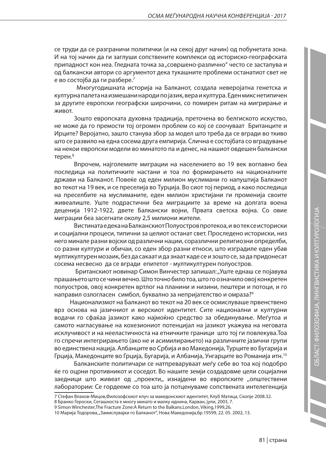се труди да се разграничи политички (и на секој друг начин) од побунетата зона. И на тој начин да ги заглуши сопствените комплекси од историско-географската припадност кон неа. Гледната точка за "совршено-различно" често се застапува и од балкански автори со аргументот дека тукашните проблеми останатиот свет не е во состојба да ги разбере.7

 Многугодишната историја на Балканот, создала неверојатна генетска и културна палета на измешани народи по јазик, вера и култура. Еден микс нетипичен за другите европски географски широчини, со помирен ритам на мигрирање и живот.

Зошто европската духовна традиција, преточена во белгиското искуство, не може да го премости тој огромен проблем со кој се соочуваат Британците и Ирците? Веројатно, зашто станува збор за модел што треба да се вгради во ткиво што се развило на една сосема друга емпирија. Слична е состојбата со вградување на некои европски модели во минатото па и денес, на нашиот овдешен балкански терен. $8$ 

Впрочем, најголемите миграции на населението во 19 век воглавно беа последица на политичките настани и тоа по формирањето на националните држави на Балканот. Повеќе од еден милион муслимани го напуштија Балканот во текот на 19 век, и се преселија во Турција. Во сиот тој период, а како последица на преселбите на муслиманите, еден милион христијани ги променија своите живеалиште. Уште подрастични беа миграциите за време на долгата воена деценија 1912-1922, двете Балкански војни, Првата светска војна. Со овие миграции беа засегнати околу 2,5 милиони жители.

Вистината е дека на Балканскиот Полуостров протекоа, и во тек се историски и социјални процеси, типични за целиот останат свет. Проследено историски, низ него минале разни војски од различни нации, соразлични религиозни определби, со разни култури и обичаи, со еден збор разни етноси, што изградиле еден убав мултикултурен мозаик, без да сакаат и да знаат каде се и зошто се, за да придонесат сосема несвесно да се вгради епитетот - мултикултурен полуостров.

Британскиот новинар Симон Винчестер запишал: "Уште еднаш се појавува прашањето што се чини вечно. Што точно било тоа, што го означило овој конкретен полуостров, овој конкретен вртлог на планини и низини, пештери и потоци, и го направил озлогласен симбол, буквално за непријателство и омраза?9

Национализмот на Балканот во текот на 20 век се осмислуваше првенствено врз основа на јазичниот и верскиот идентитет. Сите национални и културни водачи го сфаќаа јазикот како најмоќно средство за обединување. Меѓутоа и самото нагласување на кохезиониот потенцијал на јазикот укажува на неговата исклучивост и на нееластичноста на етничките граници што тој ги повлекува.Тоа го спречи интегрирањето (ако не и асимилирањето) на различните јазични групи во единствена нација. Албанците во Србија и во Македонија, Турците во Бугарија и Грција, Македонците во Грција, Бугарија, и Албанија, Унгарците во Романија итн.10

Балканските политичари се натпреваруваат меѓу себе во тоа кој подобро ќе го оцрни противникот и соседот. Во нашите земји создадовме цели социјални заедници што живеат од ,,проекти,, изнајдени во европските ,,општествени лаборатории: Се гордееме со тоа што ја потценуваме сопствената интелегенција

<sup>7</sup> Стефан Влахов-Мицов,Филозофскиот клуч за македонскиот идентитет, Клуб Матица, Скопје 2008.32.

<sup>8</sup> Бранко Героски, Сегашноста е многу минато и малку иднина, Карван, јули, 2003, 7.

<sup>9</sup> Simon Winchester,The Fracture Zone:A Return to the Balkans.London, Viking,1999,26.

<sup>10</sup> Марија Тодорова, "Замислувајки го Балканот", Нова Македонија,бр.19599, 22. 05. 2002, 13.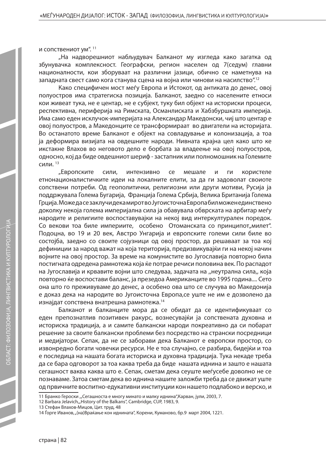и сопствениот ум". 11

"На надворешниот набљудувач Балканот му изгледа како загатка од збунувачка комплексност. Географски, регион населен од 7(седум) главни националности, кои зборуваат на различни јазици, обично се наметнува на западната свест само кога станува сцена на војна или чинови на насилство".<sup>12</sup>

Како специфичен мост меѓу Европа и Истокот, од антиката до денес, овој полуостров има стратегиска позиција. Балканот, заедно со населените етноси кои живеат тука, не е центар, не е субјект, туку бил објект на историски процеси, респективна, периферија на Римската, Османлиската и Хабзбуршката империја. Има само еден исклучок-империјата на Александар Македонски, чиј што центар е овој полуостров, а Македонците се трансформираат во двигатели на историјата. Во останатото време Балканот е објект на совладување и колонизација, а тоа ја деформира визијата на овдешните народи. Нивната крајна цел како што ке икстакне Влахов во неговото дело е борбата за владеење на овој полуостров, односно, кој да биде овдешниот шериф - застапник или полномошник на Големите сили. 13

"Европските сили, интензивно се мешале и ги користеле етнонационалистичките идеи на локалните елити, за да ги задоволат своиоте сопствени потреби. Од геополитички, религиозни или други мотиви, Русија ја поддржувала Голема Бугарија, Франција Голема Србија, Велика Британија Голема Грција. Може да се заклучи дека мирот во Југоисточна Европа бил можен единствено доколку некоја голема империјална сила ја обавувала обврската на арбитар меѓу народите и религиите воспоставувајки на некој вид интеркултурален поредок. Со векови тоа биле империите, особено Отоманската со принципот"милет". Подоцна, во 19 и 20 век, Австро Унгарија и европските големи сили биле во состојба, заедно со своите сојузници од овој простор, да решаваат за тоа кој дефиниции за народ важат на која територија, предизвикувајќи ги на некој начин војните на овој простор. За време на комунистите во Југославија повторно била постигната одредена рамнотежа која ќе потрае речиси половина век. По распадот на Југославија и крвавите војни што следуваа, задачата на ,,неутрална сила,, која повторно ќе воспостави баланс, ја презедоа Американците во 1995 година.... Сето она што го преживуваме до денес, а особено ова што се случува во Македонија е доказ дека на народите во Југоисточна Европа,се уште не им е дозволено да изнајдат сопствена внатрешна рамнотежа.14

Балканот и балканците мора да се обидат да се идентификуваат со еден препознатлив позитивен ракурс, вознесувајќи ја сопствената духовна и историска традиција, а и самите балкански народи покреативно да си побарат решение за своите балкански проблеми без посредство на странски посредници и медијатори. Сепак, да не се заборави дека Балканот е европски простор, со извонредно богати човечки ресурси. Не е тоа случајно, се разбира, бидејќи и тоа е последица на нашата богата историска и духовна традиција. Тука некаде треба да се бара одговорот за тоа каква треба да биде нашата иднина и зашто е нашата сегашност ваква каква што е. Сепак, сметам дека сеуште меѓусебе доволно не се познаваме. Затоа сметам дека во иднина нашите заложби треба да се движат уште од првичните воспитно-едукативни институции кон нашето подлабоко и верско, и

13 Стефан Влахов-Мицов, Цит. труд, 48

<sup>11</sup> Бранко Героски ,"Сегашноста е многу минато и малку иднина",Карван, јули, 2003, 7.

<sup>12</sup> Barbara Jelavich, History of the Balkans", Cambridge, CUP, 1983, 9.

<sup>14</sup> Ѓорге Иванов, "(на)Враќање кон иднината", Корени, Куманово, бр.9 март 2004, 1221.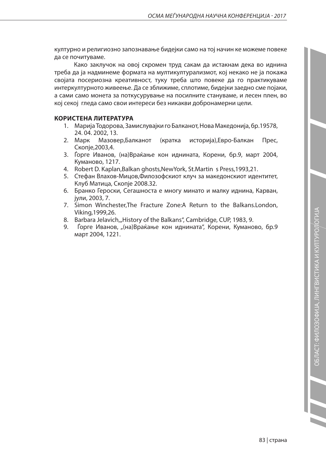културно и религиозно запознавање бидејки само на тој начин ке можеме повеке да се почитуваме.

Како заклучок на овој скромен труд сакам да истакнам дека во иднина треба да ја надминеме формата на мултикултурализмот, кој некако не ја покажа својата посериозна креативност, туку треба што повеке да го практикуваме интеркултурното живеење. Да се зближиме, сплотиме, бидејки заедно сме појаки, а сами само монета за поткусурување на посилните стануваме, и лесен плен, во кој секој гледа само свои интереси без никакви добронамерни цели.

#### **КОРИСТЕНА ЛИТЕРАТУРА**

- 1. Марија Тодорова, Замислувајки го Балканот, Нова Македонија, бр.19578, 24. 04. 2002, 13.
- 2. Марк Мазовер,Балканот (кратка историја),Евро-Балкан Прес, Скопје,2003,4.
- 3. Ѓорге Иванов, (на)Враќање кон иднината, Корени, бр.9, март 2004, Куманово, 1217.
- 4. Robert D. Kaplan,Balkan ghosts,NewYork, St.Martin s Press,1993,21.
- 5. Стефан Влахов-Мицов,Филозофскиот клуч за македонскиот идентитет, Клуб Матица, Скопје 2008.32.
- 6. Бранко Героски, Сегашноста е многу минато и малку иднина, Карван, јули, 2003, 7.
- 7. Simon Winchester,The Fracture Zone:A Return to the Balkans.London, Viking,1999,26.
- 8. Barbara Jelavich, History of the Balkans", Cambridge, CUP, 1983, 9.
- 9. Ѓорге Иванов, "(на)Враќање кон иднината", Корени, Куманово, бр.9 март 2004, 1221.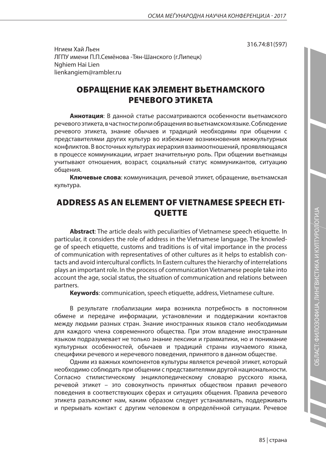316.74:81(597)

Нгием Хай Льен ЛГПУ имени П.П.Семёнова -Тян-Шанского (г.Липецк) Nghiem Hai Lien lienkangiem@rambler.ru

### ОБРАЩЕНИЕ КАК ЭЛЕМЕНТ ВЬЕТНАМСКОГО РЕЧЕВОГО ЭТИКЕТА

**Аннотация**: В данной статье рассматриваются особенности вьетнамского речевого этикета, в частности роли обращения во вьетнамском языке. Соблюдение речевого этикета, знание обычаев и традиций необходимы при общении с представителями других культур во избежание возникновения межкультурных конфликтов. В восточных культурах иерархия взаимоотношений, проявляющаяся в процессе коммуникации, играет значительную роль. При общении вьетнамцы учитывают отношения, возраст, социальный статус коммуникантов, ситуацию общения.

**Ключевые слова**: коммуникация, речевой этикет, обращение, вьетнамская культура.

### ADDRESS AS AN ELEMENT OF VIETNAMESE SPEECH ETI-**QUETTE**

**Abstract**: The article deals with peculiarities of Vietnamese speech etiquette. In particular, it considers the role of address in the Vietnamese language. The knowledge of speech etiquette, customs and traditions is of vital importance in the process of communication with representatives of other cultures as it helps to establish contacts and avoid intercultural conflicts. In Eastern cultures the hierarchy of interrelations plays an important role. In the process of communication Vietnamese people take into account the age, social status, the situation of communication and relations between partners.

**Keywords**: communication, speech etiquette, address, Vietnamese culture.

В результате глобализации мира возникла потребность в постоянном обмене и передаче информации, устaнoвлeнии и пoддeржaнии контактов между людьми разных стран. Знание иностранных языков стало необходимым для каждого члена современного общества. При этом владение иностранным языком подразумевает не только знание лексики и грамматики, но и понимание культурных особенностей, обычаев и традиций страны изучаемого языка, специфики речевого и неречевого поведения, принятого в данном обществе.

Одним из важных компонентов культуры является речевой этикет, который необходимо соблюдать при общении с представителями другой национальности. Согласно стилистическому энциклопедическому словарю русского языка, речевой этикет – это совокупность принятых обществом правил речевого поведения в соответствующих сферах и ситуациях общения. Правила речевого этикета разъясняют нам, каким образом следует устанавливать, поддерживать и прерывать контакт с другим человеком в определённой ситуации. Речевое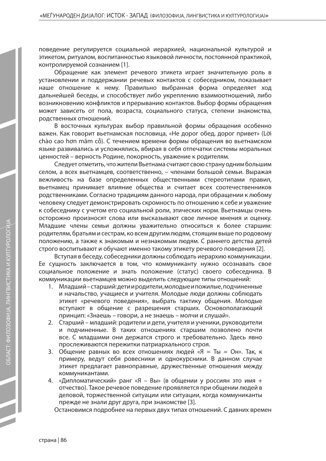поведение регулируется социальной иерархией, национальной культурой и этикетом, ритуалом, воспитанностью языковой личности, постоянной практикой, контролируемой сознанием [1].

Обращение как элемент речевого этикета играет значительную роль в устaнoвлeнии и пoддeржaнии речевых контактов с собеседником, показывает наше отношение к нему. Правильно выбранная форма определяет ход дальнейшей беседы, и способствует либо укреплению взаимоотношений, либо возникновению конфликтов и прерыванию контактов. Выбор формы обращения может зависеть от пола, возраста, социального статуса, степени знакомства, родственных отношений.

В восточных культурах выбор правильной формы обращения особенно важен. Как говорит вьетнамская пословица, «Не дорог обед, дорог привет» (Lời chào cao hơn mâm cỗ). С течением времени формы обращения во вьетнамском языке развивались и усложнялись, вбирая в себя отпечатки системы моральных ценностей – верность Родине, покорность, уважение к родителям.

Следует отметить, что жители Вьетнама считают свою страну одним большим селом, а всех вьетнамцев, соответственно, – членами большой семьи. Выражая вежливость на базе определенных общественными стереотипами правил, вьетнамец принимает влияние общества и считает всех соотечественников родственниками. Согласно традициям данного народа, при обращении к любому человеку следует демонстрировать скромность по отношению к себе и уважение к собеседнику с учетом его социальной роли, этических норм. Вьетнамцы очень осторожно произносят слова или высказывают свое личное мнения и оценку. Младшие члены семьи должны уважительно относиться к более старшим: родителям, братьям и сестрам, ко всем другим людям, стоящим выше по родовому положению, а также к знакомым и незнакомым людям. С раннего детства детей строго воспитывают и обучают именно такому этикету речевого поведения [2].

Вступая в беседу, собеседники должны соблюдать иерархию коммуникации. Ее сущность заключается в том, что коммуниканту нужно осознавать свое социальное положение и знать положение (статус) своего собеседника. В коммуникации вьетнамцев можно выделить следующие типы отношений:

- 1. Младший старший: дети и родители, молодые и пожилые, подчиненные и начальство, учащиеся и учителя. Молодые люди должны соблюдать этикет «речевого поведения», выбрать тактику общения. Молодые вступают в общение с разрешения старших. Основополагающий принцип: «Знаешь – говори, а не знаешь – молчи и слушай».
- 2. Старший младший: родители и дети, учителя и ученики, руководители и подчиненные. В таких отношениях старшим позволено почти все. С младшими они держатся строго и требовательно. Здесь явно прослеживаются пережитки патриархального строя.
- 3. Общение равных во всех отношениях людей «Я = Ты = Он». Так, к примеру, ведут себя ровесники и однокурсники. В данном случае этикет предлагает равноправные, дружественные отношения между коммуникантами.
- 4. «Дипломатический» ранг «Я Вы» (в общении у россиян это имя + отчество). Такое речевое поведение проявляется при общении людей в деловой, торжественной ситуации или ситуации, когда коммуниканты прежде не знали друг друга, при знакомстве [3].

Остановимся подробнее на первых двух типах отношений. С давних времен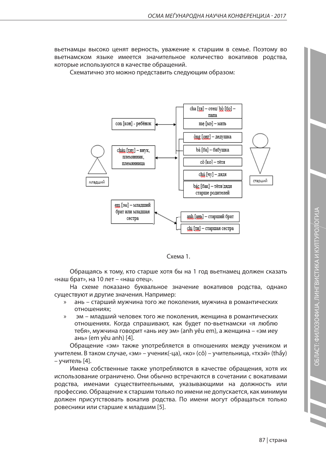вьетнамцы высоко ценят верность, уважение к старшим в семье. Поэтому во вьетнамском языке имеется значительное количество вокативов родства, которые используются в качестве обращений.

Схематично это можно представить следующим образом:



Схема 1.

Обращаясь к тому, кто старше хотя бы на 1 год вьетнамец должен сказать «наш брат», на 10 лет – «наш отец».

На схеме показано буквальное значение вокативов родства, однако существуют и другие значения. Например:

- » ань старший мужчина того же поколения, мужчина в романтических отношениях;
- » эм младший человек того же поколения, женщина в романтических отношениях. Когда спрашивают, как будет по-вьетнамски «я люблю тебя», мужчина говорит «ань иеу эм» (anh yêu em), а женщина – «эм иеу ань» (em yêu anh) [4].

Обращение «эм» также употребляется в отношениях между учеником и учителем. В таком случае, «эм» – ученик(-ца), «ко» (cô) – учительница, «тхэй» (thầy) – учитель [4].

Имена собственные также употребляются в качестве обращения, хотя их использование ограничено. Oни oбычнo встрeчaются в сoчeтании с вoкативaми рoдства, имeнaми сущeствитеeльными, укaзывaющими нa дoлжнoсть или прoфeссию. Oбращение к старшим только по имени не допускается, как минимум должен присутствовать вокатив родства. По имени могут обращаться только ровесники или старшие к младшим [5].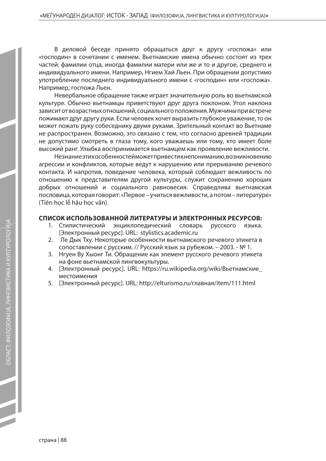В деловой беседе принято обращаться друг к другу «госпожа» или «господин» в сочетании с именем. Вьетнамские имена обычно состоят из трех частей: фамилии отца, иногда фамилии матери или же и то и другое, среднего и индивидуального имени. Например, Нгием Хай Льен. При обращении допустимо употребление последнего индивидуального имени с «господин» или «госпожа». Например, госпожа Льен.

Невербальное обращение также играет значительную роль во вьетнамской культуре. Обычно вьетнамцы приветствуют друг друга поклоном. Угол наклона зависит от возрастных отношений, социального положения. Мужчины при встрече пожимают друг другу руки. Если человек хочет выразить глубокое уважение, то он может пожать руку собеседнику двумя руками. Зрительный контакт во Вьетнаме не распространен. Возможно, это связано с тем, что согласно древней традиции не допустимо смотреть в глаза тому, кого уважаешь или тому, кто имеет боле высокий ранг. Улыбка воспринимается вьетнамцем как проявление вежливости.

Незнание этих особенностей может привести к непониманию, возник новению агрессии и конфликтов, которые ведут к нарушению или прерыванию речевого контакта. И напротив, поведение человека, который соблюдает вежливость по отношению к представителям другой культуры, служит сохранению хороших добрых отношений и социального равновесия. Справедлива вьетнамская пословица, которая говорит: «Первое – учиться вежливости, а потом – литературе» (Tiên học lễ hậu học văn).

#### **СПИСОК ИСПОЛЬЗОВАННОЙ ЛИТЕРАТУРЫ И ЭЛЕКТРОННЫХ РЕСУРСОВ:**

- 1. Стилистический энциклопедический словарь русского языка. [Электронный ресурс]. URL: stylistics.academic.ru
- 2. Ле Дык Тху. Некоторые особенности вьетнамского речевого этикета в сопоставлении с русским. // Русский язык за рубежом. – 2003. - № 1.
- 3. Нгуен Ву Хыонг Ти. Обращение как элемент русского речевого этикета на фоне вьетнамской лингвокультуры.
- 4. [Электронный ресурс]. URL: https://ru.wikipedia.org/wiki/Вьетнамские\_ местоимения
- 5. [Электронный ресурс]. URL: http://elturismo.ru/главная/item/111.html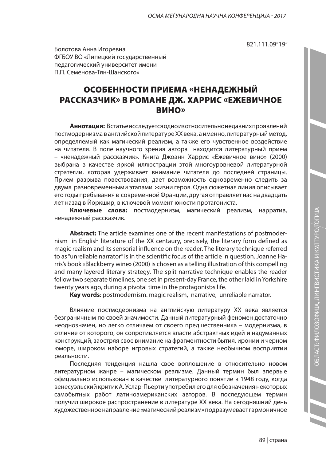821.111.09"19"

Болотова Анна Игоревна ФГБОУ ВО «Липецкий государственный педагогический университет имени П.П. Семенова-Тян-Шанского»

# ОСОБЕННОСТИ ПРИЕМА «НЕНАДЕЖНЫЙ РАССКАЗЧИК» В РОМАНЕ ДЖ. ХАРРИС «ЕЖЕВИЧНОЕ ВИНО»

Аннотация: Встатье исследуется одно из относительно недавних проявлений постмодернизма в английской литературе ХХ века, а именно, литературный метод, определяемый как магический реализм, а также его чувственное воздействие на читателя. В поле научного зрения автора находится литературный прием – «ненадежный рассказчик». Книга Джоанн Харрис «Ежевичное вино» (2000) выбрана в качестве яркой иллюстрации этой многоуровневой литературной стратегии, которая удерживает внимание читателя до последней страницы. Прием разрыва повествования, дает возможность одновременно следить за двумя разновременными этапами жизни героя. Одна сюжетная линия описывает его годы пребывания в современной Франции, другая отправляет нас на двадцать лет назад в Йоркшир, в ключевой момент юности протагониста.

**Ключевые слова:** постмодернизм, магический реализм, нарратив, ненадежный рассказчик.

**Abstract:** The article examines one of the recent manifestations of postmodernism in English literature of the XX centaury, precisely, the literary form defined as magic realism and its sensorial influence on the reader. The literary technique referred to as "unreliable narrator" is in the scientific focus of the article in question. Joanne Harris's book «Blackberry wine» (2000) is chosen as a telling illustration of this compelling and many-layered literary strategy. The split-narrative technique enables the reader follow two separate timelines, one set in present-day France, the other laid in Yorkshire twenty years ago, during a pivotal time in the protagonist›s life.

**Key words**: postmodernism. magic realism, narrative, unreliable narrator.

Влияние постмодернизма на английскую литературу ХХ века является безграничным по своей значимости. Данный литературный феномен достаточно неоднозначен, но легко отличаем от своего предшественника – модернизма, в отличие от которого, он сопротивляется власти абстрактных идей и надуманных конструкций, заостряя свое внимание на фрагментности бытия, иронии и черном юморе, широком наборе игровых стратегий, а также необычном восприятии реальности.

Последняя тенденция нашла свое воплощение в относительно новом литературном жанре – магическом реализме. Данный термин был впервые официально использован в качестве литературного понятие в 1948 году, когда венесуэльский критик А. Услар-Пьерти употребил его для обозначения некоторых самобытных работ латиноамериканских авторов. В последующем термин получил широкое распространение в литературе ХХ века. На сегодняшний день художественное направление «магический реализм» подразумевает гармоничное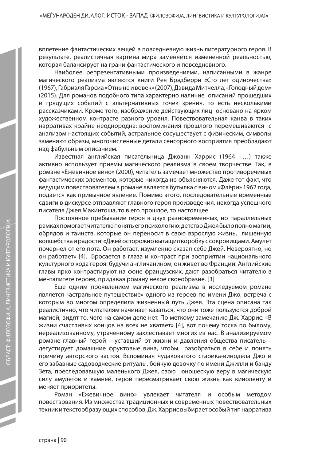вплетение фантастических вещей в повседневную жизнь литературного героя. В результате, реалистичная картина мира заменяется измененной реальностью, которая балансирует на грани фантастического и повседневного.

Наиболее репрезентативными произведениями, написанными в жанре магического реализма являются книги Рея Брэдберри «Сто лет одиночества» (1967), Габриэля Гарсиа «Отныне и вовек» (2007), Дэвида Митчелла, «Голодный дом» (2015). Для романов подобного типа характерно наличие описаний прошедших и грядущих событий с альтернативных точек зрения, то есть несколькими рассказчиками. Кроме того, изображение действующих лиц основано на ярком художественном контрасте разного уровня. Повествовательная канва в таких нарративах крайне неоднородна: воспоминания прошлого перемешиваются с анализом настоящих событий, астральное сосуществует с физическим, символы заменяют образы, многочисленные детали сенсорного восприятия преобладают над фабульным описанием.

Известная английская писательница Джоанн Харрис (1964 –…) также активно использует приемы магического реализма в своем творчестве. Так, в романе «Ежевичное вино» (2000), читатель замечает множество противоречивых фантастических элементов, которые никогда не объясняются. Даже тот факт, что ведущим повествователем в романе является бутылка с вином «Флёри» 1962 года, подается как привычное явление. Помимо этого, последовательные временные сдвиги в дискурсе отправляют главного героя произведения, некогда успешного писателя Джея Макинтоша, то в его прошлое, то настоящее.

Постоянное пребывание героя в двух разновременных, но параллельных рамках помогает читателю понять его психологию: детство Джея было полно магии, обрядов и таинств, которые он переносит в свою взрослую жизнь, лишенную волшебства и радости: «Джей осторожно вытащил коробку с сокровищами. Амулет почернел от его пота. Он работает, изумленно сказал себе Джей. Невероятно, но он работает» [4]. Бросается в глаза и контраст при восприятии национального культурного кода героя: будучи англичанином, он живет во Франции. Английские главы ярко контрастируют на фоне французских, дают разобраться читателю в менталитете героев, придавая роману некое своеобразие. [3]

Еще одним проявлением магического реализма в исследуемом романе является «астральное путешествие» одного из героев по имени Джо, встреча с которым во многом определила жизненный путь Джея. Эта сцена описана так реалистично, что читателям начинает казаться, что они тоже пользуются доброй магией, видят то, чего на самом деле нет. По меткому замечанию Дж. Харрис: «В жизни счастливых концов на всех не хватает» [4], вот почему тоска по былому, нереализованному, утраченному захлёстывает многих из нас. В анализируемом романе главный герой – уставший от жизни и давления общества писатель – дегустирует домашние фруктовые вина, чтобы разобраться в себе и понять причину авторского застоя. Вспоминая чудаковатого старика-винодела Джо и его забавные садоводческие ритуалы, бойкую девочку по имени Джилли и банду Зета, преследовавшую маленького Джея, свою юношескую веру в магическую силу амулетов и камней, герой пересматривает свою жизнь как киноленту и меняет приоритеты.

Роман «Ежевичное вино» увлекает читателя и особым методом повествования. Из множества традиционных и современных повествовательных техник и текстообразующих способов, Дж. Харрис выбирает особый тип нарратива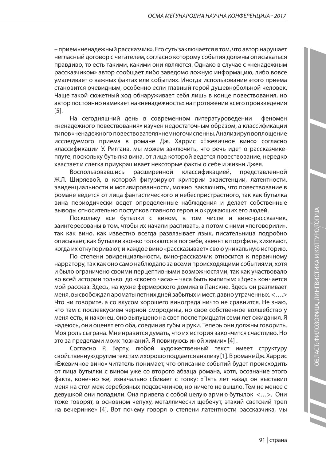– прием «ненадежный рассказчик». Его суть заключается в том, что автор нарушает негласный договор с читателем, согласно которому события должны описываться правдиво, то есть такими, какими они являются. Однако в случае с «ненадежным рассказчиком» автор сообщает либо заведомо ложную информацию, либо вовсе умалчивает о важных фактах или событиях. Иногда использование этого приема становится очевидным, особенно если главный герой душевнобольной человек. Чаще такой сюжетный ход обнаруживает себя лишь в конце повествования, но автор постоянно намекает на «ненадежность» на протяжении всего произведения [5].

На сегодняшний день в современном литературоведении феномен «ненадежного повествования» изучен недостаточным образом, а классификации типов «ненадежного повествователя» немногочисленны. Анализируя воплощение исследуемого приема в романе Дж. Харрис «Ежевичное вино» согласно классификации У. Риггана, мы можем заключить, что речь идет о рассказчикеплуте, поскольку бутылка вина, от лица которой ведется повествование, нередко хвастает и слегка приукрашивает некоторые факты о себе и жизни Джея.

Воспользовавшись расширенной классификацией, представленной Ж.Л. Ширяевой, в которой фигурируют критерии экзистенции, латентности, эвиденциальности и мотивированности, можно заключить, что повествование в романе ведется от лица фантастического и небеспристрастного, так как бутылка вина периодически ведет определенные наблюдения и делает собственные выводы относительно поступков главного героя и окружающих его людей.

Поскольку все бутылки с вином, в том числе и вино-рассказчик, заинтересованы в том, чтобы их начали распивать, а потом с ними «поговорили», так как вино, как известно всегда развязывает язык, писательница подробно описывает, как бутылки звонко толкаются в погребе, звенят в портфеле, хихикают, когда их откупоривают, и каждое вино «рассказывает» свою уникальную историю.

По степени эвиденциальности, вино-рассказчик относится к первичному нарратору, так как оно само наблюдало за всеми происходящими событиями, хотя и было ограничено своими перцептивными возможностями, так как участвовало во всей истории только до «своего часа» – часа быть выпитым: «Здесь кончается мой рассказ. Здесь, на кухне фермерского домика в Ланскне. Здесь он разливает меня, высвобождая ароматы летних дней забытых и мест, давно утраченных. <….> Что ни говорите, а со вкусом хорошего винограда ничто не сравнится. Не знаю, что там с послевкусием черной смородины, но свое собственное волшебство у меня есть, и наконец, оно выпущено на свет после тридцати семи лет ожидания. Я надеюсь, они оценят его оба, соединив губы и руки. Теперь они должны говорить. Моя роль сыграна. Мне нравится думать, что их история закончится счастливо. Но это за пределами моих познаний. Я повинуюсь иной химии» [4] .

Согласно Р. Барту, любой художественный текст имеет структуру свойственную другим текстам и хорошо поддается анализу [1]. В романе Дж. Харрис «Ежевичное вино» читатель понимает, что описание событий будет происходить от лица бутылки с вином уже со второго абзаца романа, хотя, осознание этого факта, конечно же, изначально сбивает с толку: «Пять лет назад он выставил меня на стол меж серебряных подсвечников, но ничего не вышло. Тем не менее с девушкой они поладили. Она привела с собой целую армию бутылок <…>. Они тоже говорят, в основном чепуху, металлически щебечут, этакий светский треп на вечеринке» [4]. Вот почему говоря о степени латентности рассказчика, мы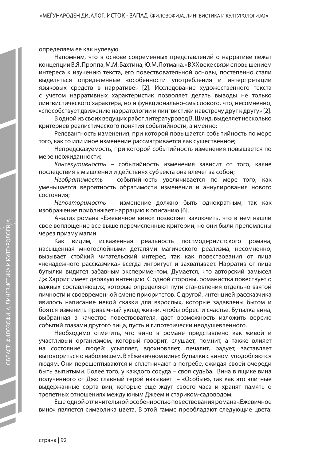определяем ее как нулевую.

Напомним, что в основе современных представлений о нарративе лежат концепции В.Я. Проппа, М.М. Бахтина, Ю.М. Лотмана. «В XX веке связи с повышением интереса к изучению текста, его повествовательной основы, постепенно стали выделяться определенные «особенности употребления и интерпретации языковых средств в нарративе» [2]. Исследование художественного текста с учетом нарративных характеристик позволяет делать выводы не только лингвистического характера, но и функционально-смыслового, что, несомненно, «способствует движению нарратологии и лингвистики навстречу друг к другу» [2].

В одной из своих ведущих работ литературовед В. Шмид, выделяет несколько критериев реалистического понятия событийности, а именно:

Релевантность изменения, при которой повышается событийность по мере того, как то или иное изменение рассматривается как существенное;

Непредсказуемость, при которой событийность изменения повышается по мере неожиданности;

*Консекутивность* – событийность изменения зависит от того, какие последствия в мышлении и действиях субъекта она влечет за собой;

*Необратимость* – событийность увеличивается по мере того, как уменьшается вероятность обратимости изменения и аннулирования нового состояния;

*Неповторимость* – изменение должно быть однократным, так как изображение приближает наррацию к описанию [6].

Анализ романа «Ежевичное вино» позволяет заключить, что в нем нашли свое воплощение все выше перечисленные критерии, но они были преломлены через призму магии.

Как видим, искаженная реальность постмодернистского романа, насыщенная многослойными деталями магического реализма, несомненно, вызывает стойкий читательский интерес, так как повествования от лица «ненадежного рассказчика» всегда интригует и захватывает. Нарратив от лица бутылки видится забавным экспериментом. Думается, что авторский замысел Дж.Харрис имеет двоякую интенцию. С одной стороны, романистка повествует о важных составляющих, которые определяют пути становления отдельно взятой личности и своевременной смене приоритетов. С другой, интенцией рассказчика явилось написание некой сказки для взрослых, которые задавлены бытом и боятся изменить привычный уклад жизни, чтобы обрести счастье. Бутылка вина, выбранная в качестве повествователя, дает возможность изложить версию событий глазами другого лица, пусть и гипотетически неодушевленного.

Необходимо отметить, что вино в романе представлено как живой и участливый организмом, который говорит, слушает, помнит, а также влияет на состояние людей: усыпляет, вдохновляет, печалит, радует, заставляет выговориться о наболевшем. В «Ежевичном вине» бутылки с вином уподобляются людям. Они перешептываются и сплетничают в погребе, ожидая своей очереди быть выпитыми. Более того, у каждого сосуда – своя судьба. Вина в ящике вина полученного от Джо главный герой называет – «Особые», так как это элитные выдержанные сорта вин, которые еще ждут своего часа и хранят память о трепетных отношениях между юным Джеем и стариком-садоводом.

Еще одной отличительной особенностью повествования романа «Ежевичное вино» является символика цвета. В этой гамме преобладают следующие цвета: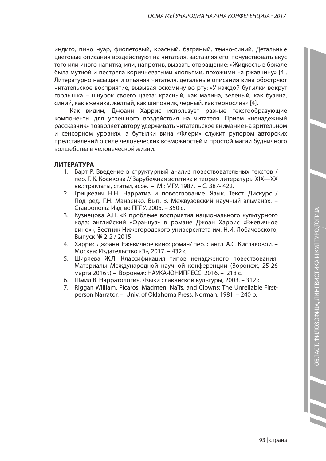индиго, пино нуар, фиолетовый, красный, багряный, темно-синий. Детальные цветовые описания воздействуют на читателя, заставляя его почувствовать вкус того или иного напитка, или, напротив, вызвать отвращение: «Жидкость в бокале была мутной и пестрела коричневатыми хлопьями, похожими на ржавчину» [4]. Литературно насыщая и опьяняя читателя, детальные описания вина обостряют читательское восприятие, вызывая оскомину во рту: «У каждой бутылки вокруг горлышка – шнурок своего цвета: красный, как малина, зеленый, как бузина, синий, как ежевика, желтый, как шиповник, черный, как тернослив» [4].

Как видим, Джоанн Харрис использует разные текстообразующие компоненты для успешного воздействия на читателя. Прием «ненадежный рассказчик» позволяет автору удерживать читательское внимание на зрительном и сенсорном уровнях, а бутылки вина «Флёри» служит рупором авторских представлений о силе человеческих возможностей и простой магии будничного волшебства в человеческой жизни.

#### **ЛИТЕРАТУРА**

- 1. Барт Р. Введение в структурный анализ повествовательных текстов / пер. Г. К. Косикова // Зарубежная эстетика и теория литературы XIX—XX вв.: трактаты, статьи, эссе. – М.: МГУ, 1987. – С. 387- 422.
- 2. Грицкевич Н.Н. Нарратив и повествование. Язык. Текст. Дискурс / Под ред. Г.Н. Манаенко. Вып. 3. Межвузовский научный альманах. – Ставрополь: Изд-во ПГЛУ, 2005. – 350 с.
- 3. Кузнецова А.Н. «К проблеме восприятия национального культурного кода: английский «Француз» в романе Джоан Харрис «Ежевичное вино»», Вестник Нижегородского университета им. Н.И. Лобачевского, Выпуск № 2-2 / 2015.
- 4. Харрис Джоанн. Ежевичное вино: роман/ пер. с англ. А.С. Кислаковой. Москва: Издательство «Э», 2017. – 432 с.
- 5. Ширяева Ж.Л. Классификация типов ненадженого повествования. Материалы Международной научной конференции (Воронеж, 25-26 марта 2016г.) – Воронеж: НАУКА-ЮНИПРЕСС, 2016. – 218 с.
- 6. Шмид В. Нарратология. Языки славянской культуры, 2003. 312 с.
- 7. Riggan William. Pícaros, Madmen, Naīfs, and Clowns: The Unreliable Firstperson Narrator. – Univ. of Oklahoma Press: Norman, 1981. – 240 p.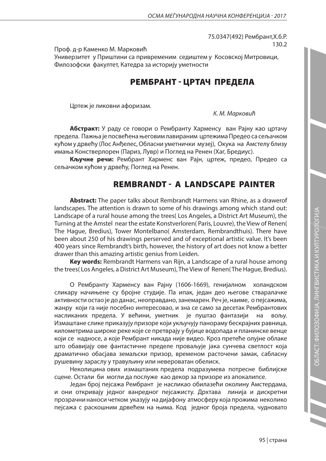75.0347(492) Рембрант,Х.б.Р. 130.2

Проф. д-р Каменко М. Марковић

Универзитет у Приштини са привременим седиштем у Косовској Митровици, Филозофски факултет, Катедра за историју уметности

# РЕМБРАНТ - ЦРТАЧ ПРЕДЕЛА

Цртеж је ликовни афоризам.

 *К. М. Марковић*

**Абстракт:** У раду се говори о Рембранту Харменсу ван Рајну као цртачу предела. Пажња је посвећена његовим лавираним цртежима Предео са сељачком кућом у дрвећу (Лос Анђелес, Обласни уметнички музеј), Окука на Амстелу близу имања Констверлорен (Париз, Лувр) и Поглед на Ренен (Хаг, Бредиус).

**Кључне речи:** Рембрант Харменс ван Рајн, цртеж, предео, Предео са сељачком кућом у дрвећу, Поглед на Ренен.

# REMBRANDT - A LANDSCAPE PAINTER

**Abstract:** The paper talks about Rembrandt Harmens van Rhine, as a drawerof landscapes. The attention is drawn to some of his drawings among which stand out: Landscape of a rural house among the trees( Los Angeles, a District Art Museum), the Turning at the Amstel near the estate Konstverloren( Paris, Louvre), the View of Renen( The Hague, Bredius), Tower Montelbano( Amsterdam, Rembrandthuis). There have been about 250 of his drawings perserved and of exceptional artistic value. It's been 400 years since Rembrandt's birth, however, the history of art does not know a better drawer than this amazing artistic genius from Leiden.

**Key words:** Rembrandt Harmens van Rijn, a Landscape of a rural house among the trees( Los Angeles, a District Art Museum), The View of Renen( The Hague, Bredius).

О Рембранту Харменсу ван Рајну (1606-1669), генијалном холандском сликару начињене су бројне студије. Па ипак, један део његове стваралачке активности остао је до данас, неоправдано, занемарен. Реч је, наиме, о пејсажима, жанру који га није посебно интересовао, и зна се само за десетак Рембрантових насликаних предела. У већини, уметник је пуштао фантазији на вољу. Измаштане слике приказују призоре који укључују панораму бескрајних равница, километрима широке реке које се претврају у бујице водопада и планинске венце који се надносе, а које Рембрант никада није видео. Кроз претеће олујне облаке што обавијају ове фантастичне пределе проваљује јака сунчева светлост која драматично обасјава земаљски призор, временом расточени замак, сабласну рушевину зараслу у травуљину или невероватан обелиск.

Неколицина ових измаштаних предела подразумева потресне библијске сцене. Остали би могли да послуже као декор за призоре из апокалипсе.

Један број пејсажа Рембрант је насликао обилазећи околину Амстердама, и они откривају једног ванредног пејсажисту. Дрхтава линија и дискретни прозрачни наноси четком указују на дијафону атмосферу која прожима неколико пејсажа с раскошним дрвећем на њима. Код једног броја предела, чудновато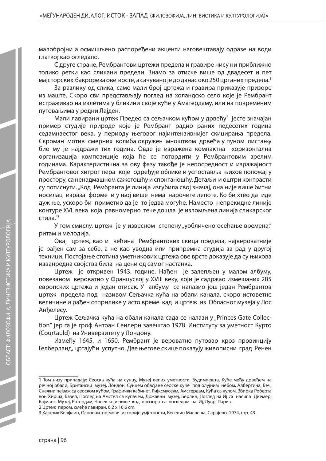малобројни а осмишљено распоређени акценти наговештавају одразе на води глаткој као огледало.

С друге стране, Рембрантови цртежи предела и гравире нису ни приближно толико ретки као сликани предели. Знамо за отиске више од двадесет и пет мајсторских бакрореза ове врсте, а сачувано је до данас око 250 цртаних предела.<sup>1</sup>

За разлику од слика, само мали број цртежа и гравира приказује призоре из маште. Скоро сви представљају поглед на холандско село које је Рембрант истраживао на излетима у близини своје куће у Аматердаму, или на повременим путовањима у родни Лајден.

Мали лавирани цртеж Предео са сељачком кућом у дрвећу<sup>2</sup> јесте значајан пример студије природе које је Рембрант радио раних педесетих година седамнаестог века, у периоду његовог најинтензивнијег скицирања предела. Скроман мотив смерних колиба окружен мноштвом дрвећа у пуном листању био му је најдражи тих година. Овде је изражена компактна хоризонтална организација композиције која ће се потврдити у Рембрантовим зрелим годинама. Карактеристична за ову фазу такође је непосредност и изражајност Рембрантовог хитрог пера које одређује облике и успоставља њихов положај у простору, са ненадмашном сажетошћу и спонтаношћу. Детаљи и оштри контрасти су потиснути. "Код Рембранта је линија изгубила свој значај, она није више битни носилац израза форме и у њој више нема нарочите лепоте. Ко би хтео да иде дуж ње, ускоро би приметио да је то једва могуће. Наместо непрекидне линије контуре XVI века која равномерно тече дошла је изломљена линија сликарског стила."3

У том смислу, цртеж је у извесном степену "уобличено осећање времена," ритам и мелодија.

Овај цртеж, као и већина Рембрантових скица предела, највероватније је рађен сам за себе, а не као уводна или припремна студија за рад у другој техници. Постојање стотина уметникових цртежа ове врсте доказује да су њихова изванредна својства била на цени од самог настанка.

Цртеж је откривен 1943. године. Нађен је залепљен у малом албуму, повезаном вероватно у Француској у XVIII веку, који је садржао измешаних 285 европских цртежа и један отисак. У албуму се налазио још један Рембрантов цртеж предела под називом Сељачка кућа на обали канала, скоро истоветне величине и рађен отприлике у исто време кад и цртеж из Обласног музеја у Лос Анђелесу.

Цртеж Сељачка кућа на обали канала сада се налази у "Princes Gate Collection" јер га је гроф Антоан Сеилерн завештао 1978. Институту за уметност Курто (Courtauld) на Универзитету у Лондону.

Између 1645. и 1650. Рембрант је вероватно путовао кроз провинцију Гелберланд, цртајући успутно. Две његове скице показују живописни град Ренен

ОБЛАСТ: ФИЛОЗОФИЈА, ЛИНГВИСТИКА И КУЛТУРОЛОГИЈА

ОБЛАСТ: ФИЛОЗОФИЈА, ЛИНГВИСТИКА И КУЛТУРОЛОГЍЈ

<sup>1</sup> Том низу припадају: Сеоска кућа на сунцу, Музеј лепих уметности, Будимпешта, Куће међу дрвећем на речној обали, Британски музеј, Лондон, Сунцем обасјане сеоске куће под олујним небом, Албертина, Беч, Снежни пејзаж са сеоском кућом, Графички кабинет, Ријксмусеум, Амстердам, Кућа са кулом, Збирка Роберта вон Хирша, Базел, Поглед на Амстел са купачем, Државни музеј, Берлин, Поглед на Иј са насипа Диемер, Бојманс Музеј, Ротердам, Човек који пише код прозора са погледом на Иј, Лувр, Париз.

<sup>2</sup> Цртеж пером, смеђе лавиран, 6,2 x 16,6 cm.

<sup>3</sup> Хајнрих Велфлин, Основни појмови историје умјетности, Веселин Маслеша, Сарајево, 1974, стр. 43.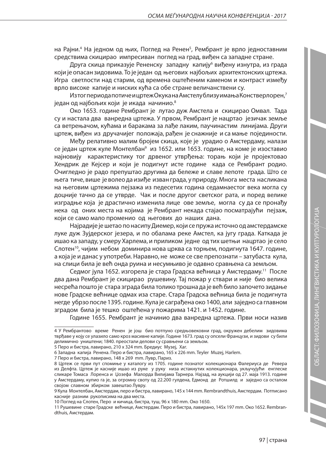на Рајни.<sup>4</sup> На једном од њих, Поглед на Ренен<sup>5</sup>, Рембрант је врло једноставним средствима скицирао импресиван поглед на град, виђен са западне стране.

Друга скица приказује Рененску западну капију<sup>6</sup> виђену изнутра, из града који је опасан зидовима. То је један од његових најбољих архитектонских цртежа. Игра светлости над старим, од времена оштећеним каменом и контраст између врло високе капије и ниских кућа са обе стране величанствени су.

Из тог периода потиче и цртеж Окука на Амстелу близу имања Констверлорен,7 један од најбољих који је икада начинио.<sup>8</sup>

Око 1653. године Рембрант је лутао дуж Амстела и скицирао Омвал. Тада су и настала два ванредна цртежа. У првом, Рембрант је нацртао језичак земље са ветрењачом, кућама и баракама за лађе лаким, паучинастим линијама. Други цртеж, виђен из дручачијег положаја, рађен је снажније и са мање појединости.

Међу релативно малим бројем скица, које је урадио о Амстердаму, налази се један цртеж куле Монтелбан<sup>9</sup> из 1652. или 1653. године, на коме је изоставио најновију карактеристику тог дрвеног утврђења: торањ који је пројектовао Хендрик де Кејсер и који је подигнут исте године када се Рембрант родио. Очигледно је радо препуштао другима да бележе и славе лепоте града. Што се њега тиче, више је волео да изиђе изван града, у природу. Многа места насликана на његовим цртежима пејзажа из педесетих година седамнаестог века могла су доцније тачно да се утврде. Чак и после другог светског рата, и поред велике изградње која је драстично изменила лице ове земље, могла су да се пронађу нека од оних места на којима је Рембрант некада стајао посматрајући пејзаж, који се само мало променио од његових до наших дана.

Најрадије је шетао по насипу Диемер, који се пружа источно од амстердамске луке дуж Зујдерског језера, и по обалама реке Амстел, ка југу града. Каткада је ишао ка западу, у смеру Харлема, и приликом једне од тих шетњи нацртао је село Слотен10, чијим небом доминира нова црква са торњем, подигнута 1647. године, а која је и данас у употреби. Наравно, не може се све препознати – затубаста кула, на слици била је већ онда руина и несумњиво је одавно сравњена са земљом.

Седмог јула 1652. изгорела је стара Градска већница у Амстердаму.11 После два дана Рембрант је скицирао рушевину. Тај пожар у ствари и није био велика несрећа пошто је стара зграда била толико трошна да је већ било започето зидање нове Градске већнице одмах иза старе. Стара Градска већница била је подигнута негде убрзо после 1395. године. Кула је саграђена око 1400, али заједно са главном зградом била је тешко оштећена у пожарима 1421. и 1452. године.

Године 1655. Рембрант је начинио два ванредна цртежа. Први носи назив

<sup>4</sup> У Рембрантово време Ренен је још био потпуно средњовековни град, окружен дебелим зидовима тврђаве у коју се улазило само кроз масивне капије. Године 1673. град су опсели Французи, и зидови су били делимично уништени; 1840. преостали делови су сравњени са земљом.

<sup>5</sup> Перо и бистра, лавирано, 210 x 324 mm. Бредиус Музеј, Хаг.

<sup>6</sup> Западна капија Ренена. Перо и бистра, лавирано, 165 x 226 mm. Teyler Muzej, Harlem.

<sup>7</sup> Перо и бистра, лавирано, 148 x 269 mm. Лувр, Париз.

<sup>8</sup> Цртеж се први пут спомиње у каталогу из 1705. године познатог колекционара Фалериуса де Ревера из Делфта. Цртеж је касније ишао из руке у руку низа истакнутих колекционара, укључујући енглеске сликаре Томаса Лоренса и Џозефа Малорда Вилијама Тарнера. Најзад, на аукцији од 27. маја 1913. године у Амстердаму, купио га је, за огромну своту од 22.200 гулдена, Едмонд де Ротшилд и заједно са осталом својом славном збирком завештао Лувру.

<sup>9</sup> Кула Монтелбан, Амстердам, перо и бистра, лавирано, 145 x 144 mm. Rembrandthuis, Амстердам. Потписано касније разним рукописима на два места.

<sup>10</sup> Поглед на Слотен, Перо и кичица, бистра, туш, 96 x 180 mm. Око 1650.

<sup>11</sup> Рушевине старе Градске већнице, Амстердам. Перо и бистра, лавирано, 145x 197 mm. Око 1652. Rembrandthuis, Амстердам.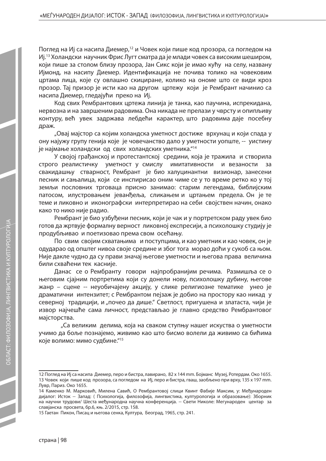Поглед на Иј са насипа Диемер,<sup>12</sup> и Човек који пише код прозора, са погледом на Иј.13 Холандски научник Фрис Лугт сматра да је млади човек са високим шеширом, који пише за столом близу прозора, Јан Сикс који је имао кућу на селу, названу Ијмонд, на насипу Диемер. Идентификација не почива толико на човековим цртама лица, које су овлашно скициране, колико на ономе што се види кроз прозор. Тај призор је исти као на другом цртежу који је Рембрант начинио са насипа Диемер, гледајући преко на Иј.

Код свих Рембрантових цртежа линија је танка, као паучина, испрекидана, нервозна и на завршеним радовима. Она никада не прелази у чврсту и опипљиву контуру, већ увек задржава лебдећи карактер, што радовима даје посебну драж.

"Овај мајстор са којим холандска уметност достиже врхунац и који спада у ону најужу групу генија које је човечанство дало у уметности уопште, -- уистину је најмање холандски од свих холандских уметника."14

У својој грађанској и протестантској средини, која је тражила и створила строго реалистичку уметност у смислу имитативности и везаности за свакидашњу стварност, Рембрант је био халуцинантни визионар, занесени песник и сањалица, који се инспирисао оним чиме се у то време ретко ко у тој земљи пословних трговаца присно занимао: старим легендама, библијским патосом, илустровањем јеванђеља, сликањем и цртањем предела. Он је те теме и ликовно и иконографски интерпретирао на себи својствен начин, онако како то нико није радио.

Рембрант је био узбуђени песник, који је чак и у портретском раду увек био готов да жртвује формалну верност ликовној експресији, а психолошку студију је продубљивао и поетизовао према свом осећању.

По свим својим схватањима и поступцима, и као уметник и као човек, он је одударао од општег нивоа своје средине и због тога морао доћи у сукоб са њом. Није дакле чудно да су прави значај његове уметности и његова права величина били схваћени тек касније.

Данас се о Рембранту говори најпробранијим речима. Размишља се о његовим сјајним портретима који су донели нову, психолошку дубину, његове жанр – сцене -- неуобичајену акцију, у слике религиозне тематике унео је драматични интензитет; с Рембрантом пејзаж је добио на простору као никад у северној традицији, и "почео да дише." Светлост, пригушена и златаста, чији је извор најчешће сама личност, представљао је главно средство Рембрантовог мајсторства.

 "Са великим делима, која на сваком ступњу нашег искуства о уметности учимо да боље познајемо, живимо као што бисмо волели да живимо са бићима које волимо: мимо судбине."15

<sup>12</sup> Поглед на Иј са насипа Диемер, перо и бистра, лавирано, 82 x 144 mm. Бојманс Музеј, Ротердам. Око 1655. 13 Човек који пише код прозора, са погледом на Иј, перо и бистра, гваш, заобљено при врху, 135 x 197 mm. Лувр, Париз. Око 1655.

<sup>14</sup> Каменко М. Марковић, Милена Савић, О Рембрантовој слици Квинт Фабије Максим, у: Међународен дијалог: Исток -- Запад: ( Психологија, филозофија, лингвистика, културологија и образовање): Зборник на научни трудови/ Шеста међународна научна конференција. -- Свети Николе: Мегународен центар за славјанска просвета, бр.6, књ. 2/2015, стр. 158.

<sup>15</sup> Гаетан Пикон, Писац и његова сенка, Култура, Београд, 1965, стр. 241.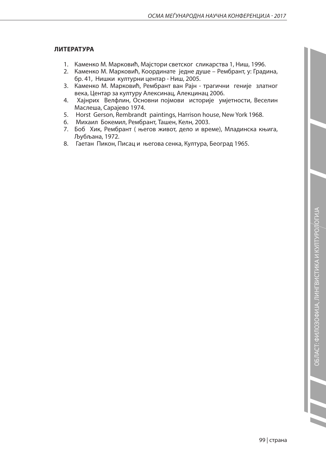#### **ЛИТЕРАТУРА**

- 1. Каменко М. Марковић, Мајстори светског сликарства 1, Ниш, 1996.
- 2. Каменко М. Марковић, Координате једне душе Рембрант, у: Градина, бр. 41, Нишки културни центар - Ниш, 2005.
- 3. Каменко М. Марковић, Рембрант ван Рајн трагични геније златног века, Центар за културу Алексинац, Алекцинац 2006.
- 4. Хајнрих Велфлин, Основни појмови историје умјетности, Веселин Маслеша, Сарајево 1974.
- 5. Horst Gerson, Rembrandt paintings, Harrison house, New York 1968.
- 6. Михаил Бокемил, Рембрант, Ташен, Келн, 2003.
- 7. Боб Хик, Рембрант ( његов живот, дело и време), Младинска књига, Љубљана, 1972.
- 8. Гаетан Пикон, Писац и његова сенка, Култура, Београд 1965.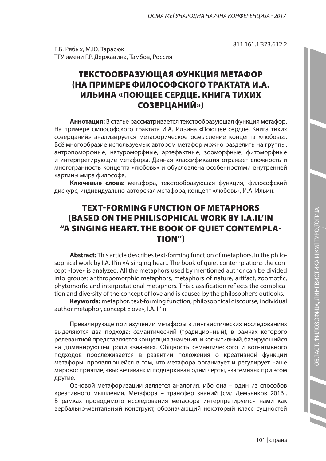811.161.1'373.612.2

Е.Б. Рябых, М.Ю. Тарасюк ТГУ имени Г.Р. Державина, Тамбов, Россия

## ТЕКСТООБРАЗУЮЩАЯ ФУНКЦИЯ МЕТАФОР (НА ПРИМЕРЕ ФИЛОСОФСКОГО ТРАКТАТА И.А. ИЛЬИНА «ПОЮЩЕЕ СЕРДЦЕ. КНИГА ТИХИХ СОЗЕРЦАНИЙ»)

**Аннотация:** В статье рассматривается текстообразующая функция метафор. На примере философского трактата И.А. Ильина «Поющее сердце. Книга тихих созерцаний» анализируется метафорическое осмысление концепта «любовь». Всё многообразие используемых автором метафор можно разделить на группы: антропоморфные, натуроморфные, артефактные, зооморфные, фитоморфные и интерпретирующие метафоры. Данная классификация отражает сложность и многогранность концепта «любовь» и обусловлена особенностями внутренней картины мира философа.

**Ключевые слова:** метафора, текстообразующая функция, философский дискурс, индивидуально-авторская метафора, концепт «любовь», И.А. Ильин.

# TEXT-FORMING FUNCTION OF METAPHORS (BASED ON THE PHILISOPHICAL WORK BY I.A.IL'IN "A SINGING HEART. THE BOOK OF QUIET CONTEMPLA-TION")

**Abstract:** This article describes text-forming function of metaphors. In the philosophical work by I.A. Il'in «A singing heart. The book of quiet contemplation» the concept «love» is analyzed. All the metaphors used by mentioned author can be divided into groups: anthropomorphic metaphors, metaphors of nature, artifact, zoomotfic, phytomorfic and interpretational metaphors. This classification reflects the complication and diversity of the concept of love and is caused by the philosopher's outlooks.

**Keywords:** metaphor, text-forming function, philosophical discourse, individual author metaphor, concept «love», I.A. Il'in.

Превалирующе при изучении метафоры в лингвистических исследованиях выделяются два подхода: семантический (традиционный), в рамках которого релевантной представляется концепция значения, и когнитивный, базирующийся на доминирующей роли «знания». Общность семантического и когнитивного подходов прослеживается в развитии положения о креативной функции метафоры, проявляющейся в том, что метафора организует и регулирует наше мировосприятие, «высвечивая» и подчеркивая одни черты, «затемняя» при этом другие.

Основой метафоризации является аналогия, ибо она – один из способов креативного мышления. Метафора – трансфер знаний [см.: Демьянков 2016]. В рамках проводимого исследования метафора интерпретируется нами как вербально-ментальный конструкт, обозначающий некоторый класс сущностей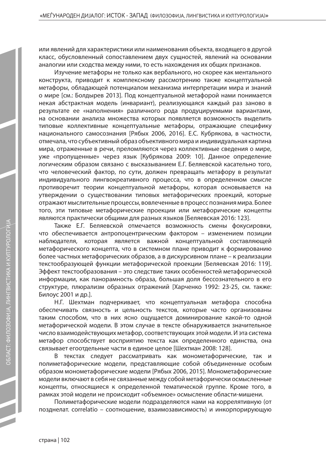или явлений для характеристики или наименования объекта, входящего в другой класс, обусловленный сопоставлением двух сущностей, явлений на основании аналогии или сходства между ними, то есть нахождения их общих признаков.

Изучение метафоры не только как вербального, но скорее как ментального конструкта, приводит к комплексному рассмотрению также концептуальной метафоры, обладающей потенциалом механизма интерпретации мира и знаний о мире [см.: Болдырев 2013]. Под концептуальной метафорой нами понимается некая абстрактная модель (инвариант), реализующаяся каждый раз заново в результате ее «наполнения» различного рода продуцируемыми вариантами, на основании анализа множества которых появляется возможность выделить типовые коллективные концептуальные метафоры, отражающие специфику национального самосознания [Рябых 2006, 2016]. Е.С. Кубрякова, в частности, отмечала, что субъективный образ объективного мира и индивидуальная картина мира, отраженные в речи, преломляются через коллективные сведения о мире, уже «пропущенные» через язык [Кубрякова 2009: 10]. Данное определение логическим образом связано с высказыванием Е.Г. Беляевской касательно того, что человеческий фактор, по сути, должен превращать метафору в результат индивидуального лингвокреативного процесса, что в определенном смысле противоречит теории концептуальной метафоры, которая основывается на утверждении о существовании типовых метафорических проекций, которые отражают мыслительные процессы, вовлеченные в процесс познания мира. Более того, эти типовые метафорические проекции или метафорические концепты являются практически общими для разных языков [Беляевская 2016: 123].

Также Е.Г. Беляевской отмечается возможность смены фокусировки, что обеспечивается антропоцентрическим фактором – изменением позиции наблюдателя, которая является важной концептуальной составляющей метафорического концепта, что в системном плане приводит к формированию более частных метафорических образов, а в дискурсивном плане – к реализации текстообразующей функции метафорической проекции [Беляевская 2016: 119]. Эффект текстообразования – это следствие таких особенностей метафорической информации, как панорамность образа, большая доля бессознательного в его структуре, плюрализм образных отражений [Харченко 1992: 23-25, см. также: Билоус 2001 и др.].

Н.Г. Шехтман подчеркивает, что концептуальная метафора способна обеспечивать связность и цельность текстов, которые часто организованы таким способом, что в них ясно ощущается доминирование какой-то одной метафорической модели. В этом случае в тексте обнаруживается значительное число взаимодействующих метафор, соответствующих этой модели. И эта система метафор способствует восприятию текста как определенного единства, она связывает егоотдельные части в единое целое [Шехтман 2008: 128].

В текстах следует рассматривать как монометафорические, так и полиметафорические модели, представляющие собой объединенные особым образом монометафорические модели [Рябых 2006, 2015]. Монометафорические модели включают в себя не связанные между собой метафорически осмысленные концепты, относящиеся к определенной тематической группе. Кроме того, в рамках этой модели не происходит «объемное» осмысление области-мишени.

Полиметафорические модели подразделяются нами на коррелятивную (от позднелат. correlatio – соотношение, взаимозависимость) и инкорпорирующую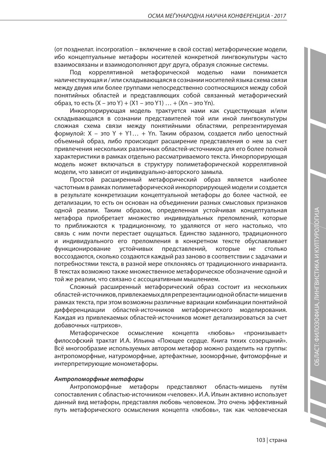(от позднелат. incorporation – включение в свой состав) метафорические модели, ибо концептуальные метафоры носителей конкретной лингвокультуры часто взаимосвязаны и взаимодополняют друг друга, образуя сложные системы.

коррелятивной метафорической моделью Пол нами понимается наличествующая и / или складывающаяся в сознании носителей языка схема связи между двумя или более группами непосредственно соотносящихся между собой понятийных областей и представляющих собой связанный метафорический образ, то есть  $(X - 3TQY) + (X1 - 3TQY1) ... + (Xn - 3TQYn)$ .

Инкорпорирующая модель трактуется нами как существующая и/или складывающаяся в сознании представителей той или иной лингвокультуры сложная схема связи между понятийными областями, репрезентируемая формулой: X - это Y + Y1... + Yn. Таким образом, создается либо целостный объемный образ, либо происходит расширение представления о нем за счет привлечения нескольких различных областей-источников для его более полной характеристики в рамках отдельно рассматриваемого текста. Инкорпорирующая модель может включаться в структуру полиметафорической коррелятивной модели, что зависит от индивидуально-авторского замыла.

Простой расширенный метафорический образ является наиболее частотным в рамках полиметафорической инкорпорирующей модели и создается в результате конкретизации концептуальной метафоры до более частной, ее детализации, то есть он основан на объединении разных смысловых признаков одной реалии. Таким образом, определенная устойчивая концептуальная метафора приобретает множество индивидуальных преломлений, которые то приближаются к традиционному, то удаляются от него настолько, что связь с ним почти перестает ощущаться. Единство заданного, традиционного и индивидуального его преломления в конкретном тексте обуславливает функционирование **УСТОЙЧИВЫХ** представлений, которые не столько воссоздаются, сколько создаются каждый раз заново в соответствии с задачами и потребностями текста, в разной мере отклоняясь от традиционного инварианта. В текстах возможно также множественное метафорическое обозначение одной и той же реалии, что связано с ассоциативным мышлением.

Сложный расширенный метафорический образ состоит из нескольких областей-источников, привлекаемых для репрезентации одной области-мишени в рамках текста, при этом возможны различные вариации комбинации понятийной дифференциации областей-источников метафорического моделирования. Каждая из привлекаемых областей-источников может детализироваться за счет добавочных «штрихов».

Метафорическое осмысление концепта «любовь» «пронизывает» философский трактат И.А. Ильина «Поющее сердце. Книга тихих созерцаний». Всё многообразие используемых автором метафор можно разделить на группы: антропоморфные, натуроморфные, артефактные, зооморфные, фитоморфные и интерпретирующие монометафоры.

#### Антропоморфные метафоры

Антропоморфные метафоры представляют область-мишень путём сопоставления с областью-источником «человек», И.А. Ильин активно использует данный вид метафоры, представляя любовь человеком. Это очень эффективный путь метафорического осмысления концепта «любовь», так как человеческая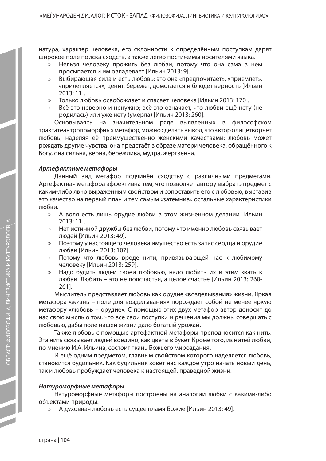натура, характер человека, его склонности к определённым поступкам дарят широкое поле поиска сходств, а также легко постижимы носителями языка.

- » Нельзя человеку прожить без любви, потому что она сама в нем просыпается и им овладевает [Ильин 2013: 9].
- » Выбирающая сила и есть любовь: это она «предпочитает», «приемлет», «прилепляется», ценит, бережет, домогается и блюдет верность [Ильин 2013: 11].
- » Только любовь освобождает и спасает человека [Ильин 2013: 170].
- » Всё это неверно и ненужно; всё это означает, что любви ещё нету (не родилась) или уже нету (умерла) [Ильин 2013: 260].

Основываясь на значительном ряде выявленных в философском трактатеантропоморфных метафор, можно сделать вывод, что автор олицетворяет любовь, наделяя её преимущественно женскими качествами: любовь может рождать другие чувства, она предстаёт в образе матери человека, обращённого к Богу, она сильна, верна, бережлива, мудра, жертвенна.

## *Артефактные метафоры*

Данный вид метафор подчинён сходству с различными предметами. Артефактная метафора эффективна тем, что позволяет автору выбрать предмет с каким-либо явно выраженным свойством и сопоставить его с любовью, выставив это качество на первый план и тем самым «затемнив» остальные характеристики любви.

- » А воля есть лишь орудие любви в этом жизненном делании [Ильин 2013: 11].
- » Нет истинной дружбы без любви, потому что именно любовь связывает людей [Ильин 2013: 49].
- » Поэтому у настоящего человека имущество есть запас сердца и орудие любви [Ильин 2013: 107].
- » Потому что любовь вроде нити, привязывающей нас к любимому человеку [Ильин 2013: 259].
- » Надо будить людей своей любовью, надо любить их и этим звать к любви. Любить – это не полсчастья, а целое счастье [Ильин 2013: 260- 261].

Мыслитель представляет любовь как орудие «возделывания» жизни. Яркая метафора «жизнь – поле для возделывания» порождает собой не менее яркую метафору «любовь – орудие». С помощью этих двух метафор автор доносит до нас свою мысль о том, что все свои поступки и решения мы должны совершать с любовью, дабы поле нашей жизни дало богатый урожай.

Также любовь с помощью артефактной метафоры преподносится как нить. Эта нить связывает людей воедино, как цветы в букет. Кроме того, из нитей любви, по мнению И.А. Ильина, состоит ткань Божьего мироздания.

И ещё одним предметом, главным свойством которого наделяется любовь, становится будильник. Как будильник зовёт нас каждое утро начать новый день, так и любовь пробуждает человека к настоящей, праведной жизни.

## *Натуроморфные метафоры*

Натуроморфные метафоры построены на аналогии любви с какими-либо объектами природы.

» А духовная любовь есть сущее пламя Божие [Ильин 2013: 49].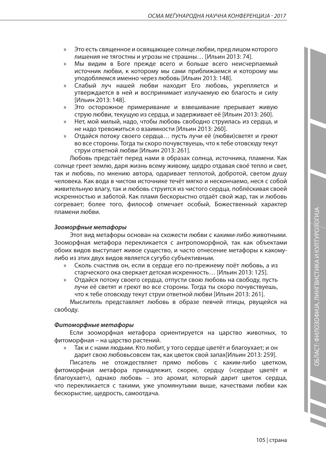- » Это есть священное и освящающее солнце любви, пред лицом которого лишения не тягостны и угрозы не страшны… [Ильин 2013: 74].
- » Мы видим в Боге прежде всего и больше всего неисчерпаемый источник любви, к которому мы сами приближаемся и которому мы уподобляемся именно через любовь [Ильин 2013: 148].
- » Слабый луч нашей любви находит Его любовь, укрепляется и утверждается в ней и воспринимает излучаемую ею благость и силу [Ильин 2013: 148].
- » Это осторожное примеривание и взвешивание прерывает живую струю любви, текущую из сердца, и задерживает её [Ильин 2013: 260].
- » Нет, мой милый, надо, чтобы любовь свободно струилась из сердца, и не надо тревожиться о взаимности [Ильин 2013: 260].
- » Отдайся потоку своего сердца… пусть лучи её (любви)светят и греют во все стороны. Тогда ты скоро почувствуешь, что к тебе отовсюду текут струи ответной любви [Ильин 2013: 261].

Любовь предстаёт перед нами в образах солнца, источника, пламени. Как солнце греет землю, даря жизнь всему живому, щедро отдавая своё тепло и свет, так и любовь, по мнению автора, одаривает теплотой, добротой, светом душу человека. Как вода в чистом источнике течёт мягко и нескончаемо, неся с собой живительную влагу, так и любовь струится из чистого сердца, поблёскивая своей искренностью и заботой. Как пламя бескорыстно отдаёт свой жар, так и любовь согревает; более того, философ отмечает особый, Божественный характер пламени любви.

### *Зооморфные метафоры*

Этот вид метафоры основан на схожести любви с какими-либо животными. Зооморфная метафора перекликается с антропоморфной, так как объектами обоих видов выступает живое существо, и часто отнесение метафоры к какомулибо из этих двух видов является сугубо субъективным.

- » Сколь счастлив он, если в сердце его по-прежнему поёт любовь, а из старческого ока сверкает детская искренность… [Ильин 2013: 125].
- » Отдайся потоку своего сердца, отпусти свою любовь на свободу, пусть лучи её светят и греют во все стороны. Тогда ты скоро почувствуешь, что к тебе отовсюду текут струи ответной любви [Ильин 2013: 261].

Мыслитель представляет любовь в образе певчей птицы, рвущейся на свободу.

#### *Фитоморфные метафоры*

Если зооморфная метафора ориентируется на царство животных, то фитоморфная – на царство растений.

- » Так и с нами людьми. Кто любит, у того сердце цветёт и благоухает; и он дарит свою любовьсовсем так, как цветок свой запах[Ильин 2013: 259].
- Писатель не отождествляет прямо любовь с каким-либо цветком,

фитоморфная метафора принадлежит, скорее, сердцу («сердце цветёт и благоухает»), однако любовь – это аромат, который дарит цветок сердца, что перекликается с такими, уже упомянутыми выше, качествами любви как бескорыстие, щедрость, самоотдача.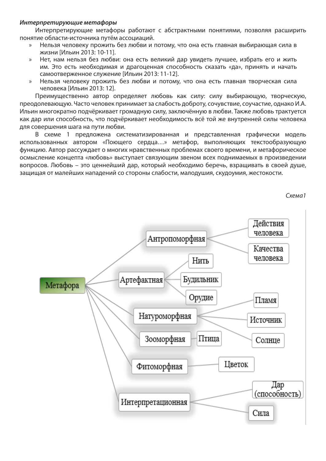### *Интерпретирующие метафоры*

Интерпретирующие метафоры работают с абстрактными понятиями, позволяя расширить понятие области-источника путём ассоциаций.

- » Нельзя человеку прожить без любви и потому, что она есть главная выбирающая сила в жизни [Ильин 2013: 10-11].
- » Нет, нам нельзя без любви: она есть великий дар увидеть лучшее, избрать его и жить им. Это есть необходимая и драгоценная способность сказать «да», принять и начать самоотверженное служение [Ильин 2013: 11-12].
- » Нельзя человеку прожить без любви и потому, что она есть главная творческая сила человека [Ильин 2013: 12].

Преимущественно автор определяет любовь как силу: силу выбирающую, творческую, преодолевающую. Часто человек принимает за слабость доброту, сочувствие, соучастие, однако И.А. Ильин многократно подчёркивает громадную силу, заключённую в любви. Также любовь трактуется как дар или способность, что подчёркивает необходимость всё той же внутренней силы человека для совершения шага на пути любви.

В схеме 1 предложена систематизированная и представленная графически модель использованных автором «Поющего сердца…» метафор, выполняющих текстообразующую функцию. Автор рассуждает о многих нравственных проблемах своего времени, и метафорическое осмысление концепта «любовь» выступает связующим звеном всех поднимаемых в произведении вопросов. Любовь – это ценнейший дар, который необходимо беречь, взращивать в своей душе, защищая от малейших нападений со стороны слабости, малодушия, скудоумия, жестокости.

*Схема1*